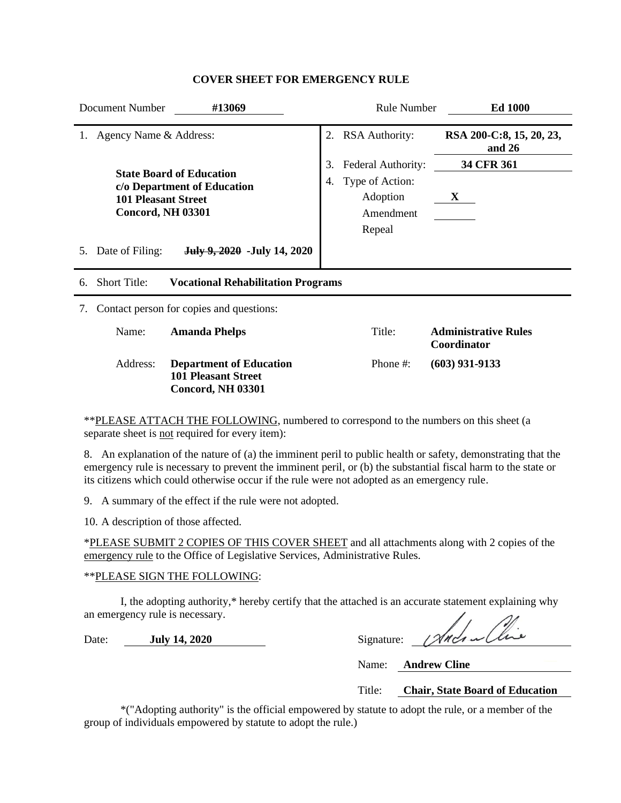#### **COVER SHEET FOR EMERGENCY RULE**

|    | Document Number                                        | #13069                                                                                   |          | <b>Rule Number</b>                                                       | <b>Ed 1000</b>                             |
|----|--------------------------------------------------------|------------------------------------------------------------------------------------------|----------|--------------------------------------------------------------------------|--------------------------------------------|
| 1. | Agency Name & Address:                                 |                                                                                          |          | 2. RSA Authority:                                                        | RSA 200-C:8, 15, 20, 23,<br>and $26$       |
|    | <b>101 Pleasant Street</b><br><b>Concord, NH 03301</b> | <b>State Board of Education</b><br>c/o Department of Education                           | 3.<br>4. | Federal Authority:<br>Type of Action:<br>Adoption<br>Amendment<br>Repeal | 34 CFR 361<br>X                            |
| 5. | Date of Filing:                                        | July 9, 2020 - July 14, 2020                                                             |          |                                                                          |                                            |
| 6. | <b>Short Title:</b>                                    | <b>Vocational Rehabilitation Programs</b>                                                |          |                                                                          |                                            |
| 7. |                                                        | Contact person for copies and questions:                                                 |          |                                                                          |                                            |
|    | Name:                                                  | <b>Amanda Phelps</b>                                                                     |          | Title:                                                                   | <b>Administrative Rules</b><br>Coordinator |
|    | Address:                                               | <b>Department of Education</b><br><b>101 Pleasant Street</b><br><b>Concord, NH 03301</b> |          | Phone #:                                                                 | $(603)$ 931-9133                           |

\*\* PLEASE ATTACH THE FOLLOWING, numbered to correspond to the numbers on this sheet (a separate sheet is not required for every item):

8. An explanation of the nature of (a) the imminent peril to public health or safety, demonstrating that the emergency rule is necessary to prevent the imminent peril, or (b) the substantial fiscal harm to the state or its citizens which could otherwise occur if the rule were not adopted as an emergency rule.

9. A summary of the effect if the rule were not adopted.

10. A description of those affected.

\*PLEASE SUBMIT 2 COPIES OF THIS COVER SHEET and all attachments along with 2 copies of the emergency rule to the Office of Legislative Services, Administrative Rules.

#### \*\*PLEASE SIGN THE FOLLOWING:

I, the adopting authority,\* hereby certify that the attached is an accurate statement explaining why an emergency rule is necessary.

Date: **July 14, 2020** Sign

| nature: |  |
|---------|--|

Title: **Chair, State Board of Education**

\*("Adopting authority" is the official empowered by statute to adopt the rule, or a member of the group of individuals empowered by statute to adopt the rule.)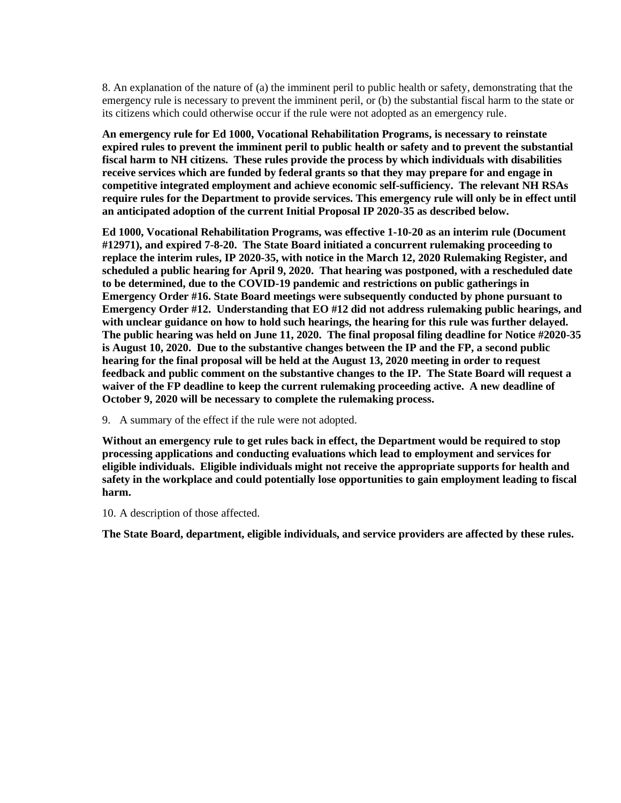8. An explanation of the nature of (a) the imminent peril to public health or safety, demonstrating that the emergency rule is necessary to prevent the imminent peril, or (b) the substantial fiscal harm to the state or its citizens which could otherwise occur if the rule were not adopted as an emergency rule.

**An emergency rule for Ed 1000, Vocational Rehabilitation Programs, is necessary to reinstate expired rules to prevent the imminent peril to public health or safety and to prevent the substantial fiscal harm to NH citizens. These rules provide the process by which individuals with disabilities receive services which are funded by federal grants so that they may prepare for and engage in competitive integrated employment and achieve economic self-sufficiency. The relevant NH RSAs require rules for the Department to provide services. This emergency rule will only be in effect until an anticipated adoption of the current Initial Proposal IP 2020-35 as described below.**

**Ed 1000, Vocational Rehabilitation Programs, was effective 1-10-20 as an interim rule (Document #12971), and expired 7-8-20. The State Board initiated a concurrent rulemaking proceeding to replace the interim rules, IP 2020-35, with notice in the March 12, 2020 Rulemaking Register, and scheduled a public hearing for April 9, 2020. That hearing was postponed, with a rescheduled date to be determined, due to the COVID-19 pandemic and restrictions on public gatherings in Emergency Order #16. State Board meetings were subsequently conducted by phone pursuant to Emergency Order #12. Understanding that EO #12 did not address rulemaking public hearings, and with unclear guidance on how to hold such hearings, the hearing for this rule was further delayed. The public hearing was held on June 11, 2020. The final proposal filing deadline for Notice #2020-35 is August 10, 2020. Due to the substantive changes between the IP and the FP, a second public hearing for the final proposal will be held at the August 13, 2020 meeting in order to request feedback and public comment on the substantive changes to the IP. The State Board will request a waiver of the FP deadline to keep the current rulemaking proceeding active. A new deadline of October 9, 2020 will be necessary to complete the rulemaking process.**

9. A summary of the effect if the rule were not adopted.

**Without an emergency rule to get rules back in effect, the Department would be required to stop processing applications and conducting evaluations which lead to employment and services for eligible individuals. Eligible individuals might not receive the appropriate supports for health and safety in the workplace and could potentially lose opportunities to gain employment leading to fiscal harm.**

10. A description of those affected.

**The State Board, department, eligible individuals, and service providers are affected by these rules.**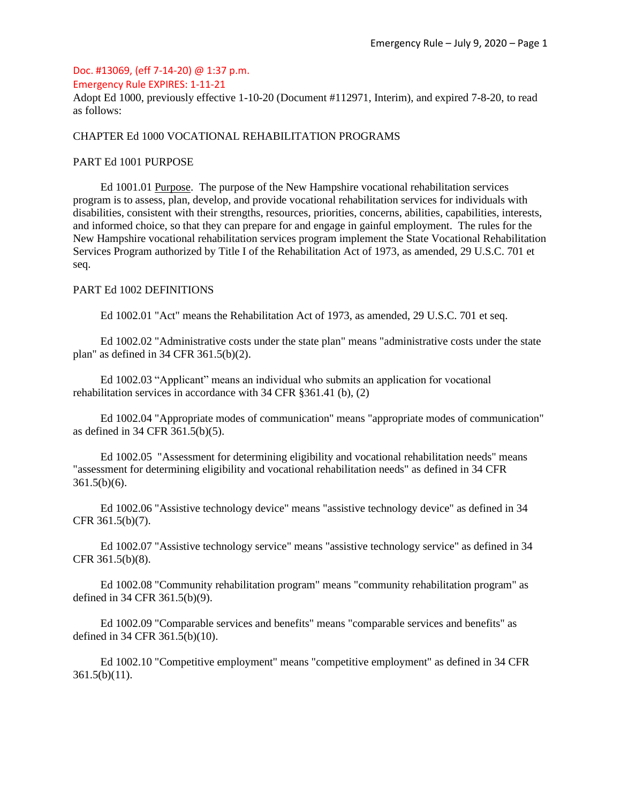Adopt Ed 1000, previously effective 1-10-20 (Document #112971, Interim), and expired 7-8-20, to read as follows:

#### CHAPTER Ed 1000 VOCATIONAL REHABILITATION PROGRAMS

#### PART Ed 1001 PURPOSE

Ed 1001.01 Purpose. The purpose of the New Hampshire vocational rehabilitation services program is to assess, plan, develop, and provide vocational rehabilitation services for individuals with disabilities, consistent with their strengths, resources, priorities, concerns, abilities, capabilities, interests, and informed choice, so that they can prepare for and engage in gainful employment. The rules for the New Hampshire vocational rehabilitation services program implement the State Vocational Rehabilitation Services Program authorized by Title I of the Rehabilitation Act of 1973, as amended, 29 U.S.C. 701 et seq.

#### PART Ed 1002 DEFINITIONS

Ed 1002.01 "Act" means the Rehabilitation Act of 1973, as amended, 29 U.S.C. 701 et seq.

Ed 1002.02 "Administrative costs under the state plan" means "administrative costs under the state plan" as defined in 34 CFR 361.5(b)(2).

Ed 1002.03 "Applicant" means an individual who submits an application for vocational rehabilitation services in accordance with 34 CFR §361.41 (b), (2)

Ed 1002.04 "Appropriate modes of communication" means "appropriate modes of communication" as defined in 34 CFR 361.5(b)(5).

Ed 1002.05 "Assessment for determining eligibility and vocational rehabilitation needs" means "assessment for determining eligibility and vocational rehabilitation needs" as defined in 34 CFR 361.5(b)(6).

Ed 1002.06 "Assistive technology device" means "assistive technology device" as defined in 34 CFR 361.5(b)(7).

Ed 1002.07 "Assistive technology service" means "assistive technology service" as defined in 34 CFR 361.5(b)(8).

Ed 1002.08 "Community rehabilitation program" means "community rehabilitation program" as defined in 34 CFR 361.5(b)(9).

Ed 1002.09 "Comparable services and benefits" means "comparable services and benefits" as defined in 34 CFR 361.5(b)(10).

Ed 1002.10 "Competitive employment" means "competitive employment" as defined in 34 CFR  $361.5(b)(11)$ .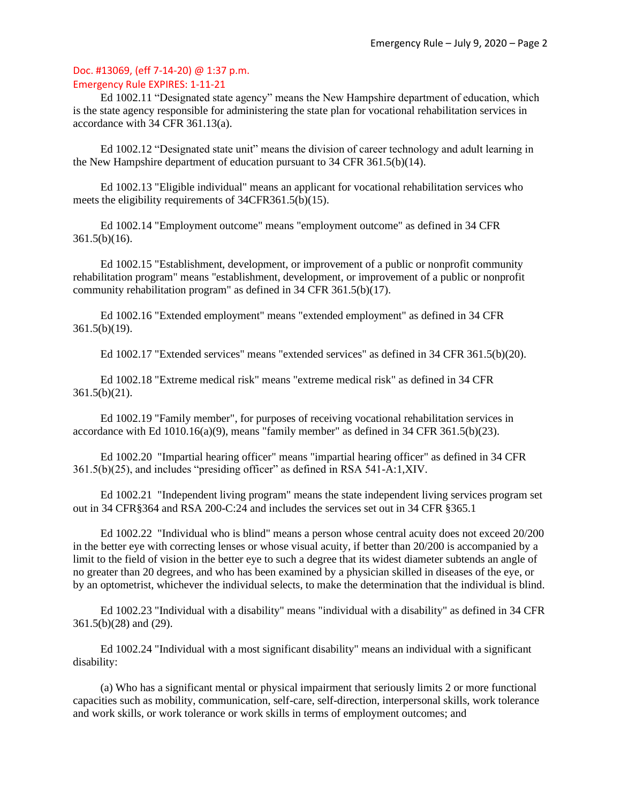### Emergency Rule EXPIRES: 1-11-21

Ed 1002.11 "Designated state agency" means the New Hampshire department of education, which is the state agency responsible for administering the state plan for vocational rehabilitation services in accordance with 34 CFR 361.13(a).

Ed 1002.12 "Designated state unit" means the division of career technology and adult learning in the New Hampshire department of education pursuant to 34 CFR 361.5(b)(14).

Ed 1002.13 "Eligible individual" means an applicant for vocational rehabilitation services who meets the eligibility requirements of 34CFR361.5(b)(15).

Ed 1002.14 "Employment outcome" means "employment outcome" as defined in 34 CFR 361.5(b)(16).

Ed 1002.15 "Establishment, development, or improvement of a public or nonprofit community rehabilitation program" means "establishment, development, or improvement of a public or nonprofit community rehabilitation program" as defined in 34 CFR 361.5(b)(17).

Ed 1002.16 "Extended employment" means "extended employment" as defined in 34 CFR  $361.5(b)(19)$ .

Ed 1002.17 "Extended services" means "extended services" as defined in 34 CFR 361.5(b)(20).

Ed 1002.18 "Extreme medical risk" means "extreme medical risk" as defined in 34 CFR 361.5(b)(21).

Ed 1002.19 "Family member", for purposes of receiving vocational rehabilitation services in accordance with Ed  $1010.16(a)(9)$ , means "family member" as defined in 34 CFR 361.5(b)(23).

Ed 1002.20 "Impartial hearing officer" means "impartial hearing officer" as defined in 34 CFR 361.5(b)(25), and includes "presiding officer" as defined in RSA 541-A:1,XIV.

Ed 1002.21 "Independent living program" means the state independent living services program set out in 34 CFR§364 and RSA 200-C:24 and includes the services set out in 34 CFR §365.1

Ed 1002.22 "Individual who is blind" means a person whose central acuity does not exceed 20/200 in the better eye with correcting lenses or whose visual acuity, if better than 20/200 is accompanied by a limit to the field of vision in the better eye to such a degree that its widest diameter subtends an angle of no greater than 20 degrees, and who has been examined by a physician skilled in diseases of the eye, or by an optometrist, whichever the individual selects, to make the determination that the individual is blind.

Ed 1002.23 "Individual with a disability" means "individual with a disability" as defined in 34 CFR 361.5(b)(28) and (29).

Ed 1002.24 "Individual with a most significant disability" means an individual with a significant disability:

(a) Who has a significant mental or physical impairment that seriously limits 2 or more functional capacities such as mobility, communication, self-care, self-direction, interpersonal skills, work tolerance and work skills, or work tolerance or work skills in terms of employment outcomes; and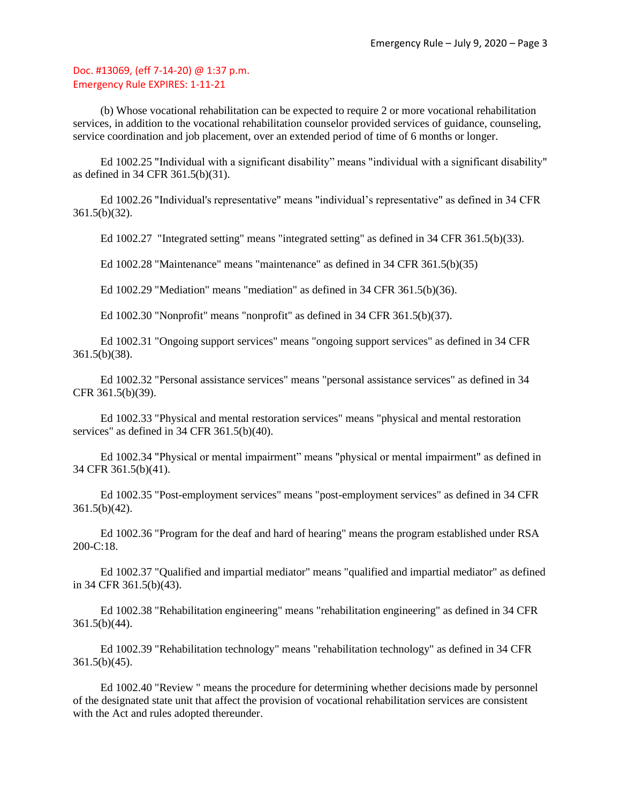(b) Whose vocational rehabilitation can be expected to require 2 or more vocational rehabilitation services, in addition to the vocational rehabilitation counselor provided services of guidance, counseling, service coordination and job placement, over an extended period of time of 6 months or longer.

Ed 1002.25 "Individual with a significant disability" means "individual with a significant disability" as defined in 34 CFR 361.5(b)(31).

Ed 1002.26 "Individual's representative" means "individual's representative" as defined in 34 CFR 361.5(b)(32).

Ed 1002.27 "Integrated setting" means "integrated setting" as defined in 34 CFR 361.5(b)(33).

Ed 1002.28 "Maintenance" means "maintenance" as defined in 34 CFR 361.5(b)(35)

Ed 1002.29 "Mediation" means "mediation" as defined in 34 CFR 361.5(b)(36).

Ed 1002.30 "Nonprofit" means "nonprofit" as defined in 34 CFR 361.5(b)(37).

Ed 1002.31 "Ongoing support services" means "ongoing support services" as defined in 34 CFR 361.5(b)(38).

Ed 1002.32 "Personal assistance services" means "personal assistance services" as defined in 34 CFR 361.5(b)(39).

Ed 1002.33 "Physical and mental restoration services" means "physical and mental restoration services" as defined in 34 CFR 361.5(b)(40).

Ed 1002.34 "Physical or mental impairment" means "physical or mental impairment" as defined in 34 CFR 361.5(b)(41).

Ed 1002.35 "Post-employment services" means "post-employment services" as defined in 34 CFR 361.5(b)(42).

Ed 1002.36 "Program for the deaf and hard of hearing" means the program established under RSA 200-C:18.

Ed 1002.37 "Qualified and impartial mediator" means "qualified and impartial mediator" as defined in 34 CFR 361.5(b)(43).

Ed 1002.38 "Rehabilitation engineering" means "rehabilitation engineering" as defined in 34 CFR 361.5(b)(44).

Ed 1002.39 "Rehabilitation technology" means "rehabilitation technology" as defined in 34 CFR 361.5(b)(45).

Ed 1002.40 "Review " means the procedure for determining whether decisions made by personnel of the designated state unit that affect the provision of vocational rehabilitation services are consistent with the Act and rules adopted thereunder.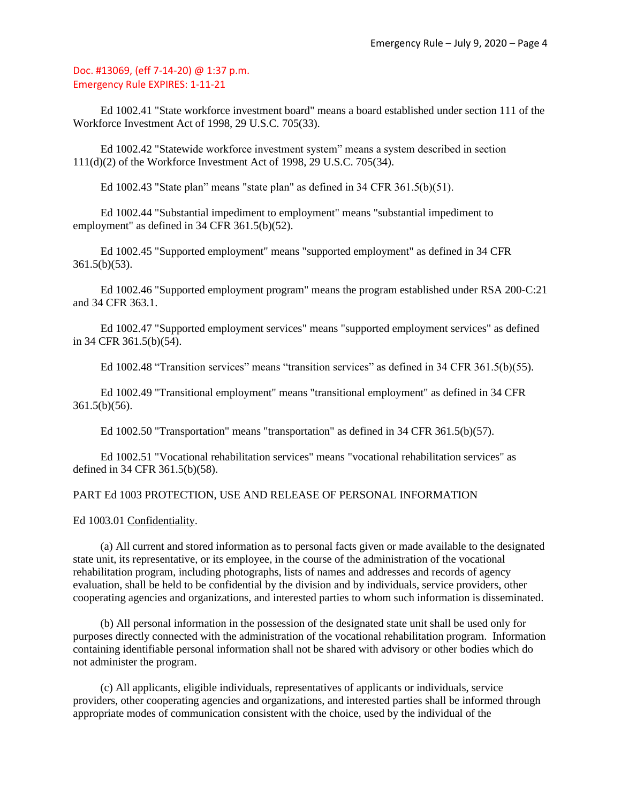Ed 1002.41 "State workforce investment board" means a board established under section 111 of the Workforce Investment Act of 1998, 29 U.S.C. 705(33).

Ed 1002.42 "Statewide workforce investment system" means a system described in section 111(d)(2) of the Workforce Investment Act of 1998, 29 U.S.C. 705(34).

Ed 1002.43 "State plan" means "state plan" as defined in 34 CFR 361.5(b)(51).

Ed 1002.44 "Substantial impediment to employment" means "substantial impediment to employment" as defined in 34 CFR 361.5(b)(52).

Ed 1002.45 "Supported employment" means "supported employment" as defined in 34 CFR 361.5(b)(53).

Ed 1002.46 "Supported employment program" means the program established under RSA 200-C:21 and 34 CFR 363.1.

Ed 1002.47 "Supported employment services" means "supported employment services" as defined in 34 CFR 361.5(b)(54).

Ed 1002.48 "Transition services" means "transition services" as defined in 34 CFR 361.5(b)(55).

Ed 1002.49 "Transitional employment" means "transitional employment" as defined in 34 CFR 361.5(b)(56).

Ed 1002.50 "Transportation" means "transportation" as defined in 34 CFR 361.5(b)(57).

Ed 1002.51 "Vocational rehabilitation services" means "vocational rehabilitation services" as defined in 34 CFR 361.5(b)(58).

#### PART Ed 1003 PROTECTION, USE AND RELEASE OF PERSONAL INFORMATION

Ed 1003.01 Confidentiality.

(a) All current and stored information as to personal facts given or made available to the designated state unit, its representative, or its employee, in the course of the administration of the vocational rehabilitation program, including photographs, lists of names and addresses and records of agency evaluation, shall be held to be confidential by the division and by individuals, service providers, other cooperating agencies and organizations, and interested parties to whom such information is disseminated.

(b) All personal information in the possession of the designated state unit shall be used only for purposes directly connected with the administration of the vocational rehabilitation program. Information containing identifiable personal information shall not be shared with advisory or other bodies which do not administer the program.

(c) All applicants, eligible individuals, representatives of applicants or individuals, service providers, other cooperating agencies and organizations, and interested parties shall be informed through appropriate modes of communication consistent with the choice, used by the individual of the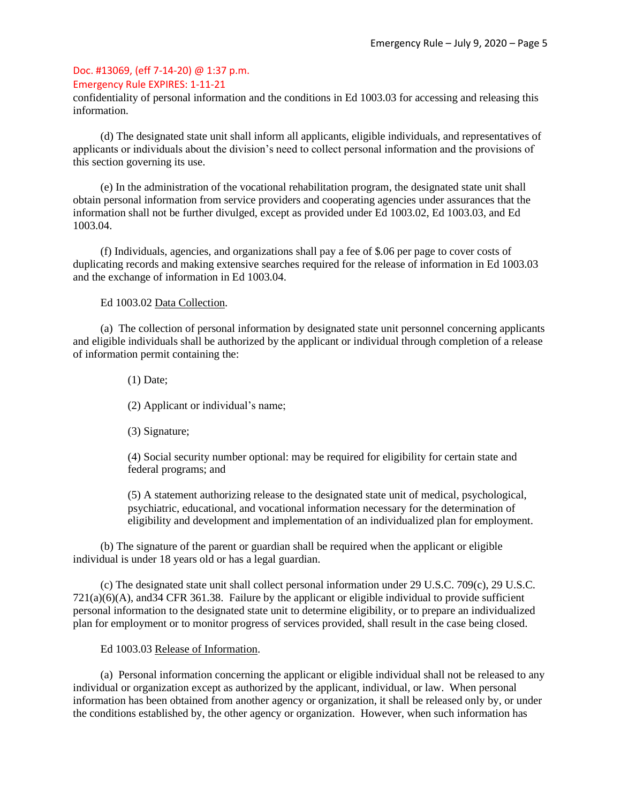## Emergency Rule EXPIRES: 1-11-21

confidentiality of personal information and the conditions in Ed 1003.03 for accessing and releasing this information.

(d) The designated state unit shall inform all applicants, eligible individuals, and representatives of applicants or individuals about the division's need to collect personal information and the provisions of this section governing its use.

(e) In the administration of the vocational rehabilitation program, the designated state unit shall obtain personal information from service providers and cooperating agencies under assurances that the information shall not be further divulged, except as provided under Ed 1003.02, Ed 1003.03, and Ed 1003.04.

(f) Individuals, agencies, and organizations shall pay a fee of \$.06 per page to cover costs of duplicating records and making extensive searches required for the release of information in Ed 1003.03 and the exchange of information in Ed 1003.04.

Ed 1003.02 Data Collection.

(a) The collection of personal information by designated state unit personnel concerning applicants and eligible individuals shall be authorized by the applicant or individual through completion of a release of information permit containing the:

(1) Date;

(2) Applicant or individual's name;

(3) Signature;

(4) Social security number optional: may be required for eligibility for certain state and federal programs; and

(5) A statement authorizing release to the designated state unit of medical, psychological, psychiatric, educational, and vocational information necessary for the determination of eligibility and development and implementation of an individualized plan for employment.

(b) The signature of the parent or guardian shall be required when the applicant or eligible individual is under 18 years old or has a legal guardian.

(c) The designated state unit shall collect personal information under 29 U.S.C. 709(c), 29 U.S.C. 721(a)(6)(A), and34 CFR 361.38. Failure by the applicant or eligible individual to provide sufficient personal information to the designated state unit to determine eligibility, or to prepare an individualized plan for employment or to monitor progress of services provided, shall result in the case being closed.

#### Ed 1003.03 Release of Information.

(a) Personal information concerning the applicant or eligible individual shall not be released to any individual or organization except as authorized by the applicant, individual, or law. When personal information has been obtained from another agency or organization, it shall be released only by, or under the conditions established by, the other agency or organization. However, when such information has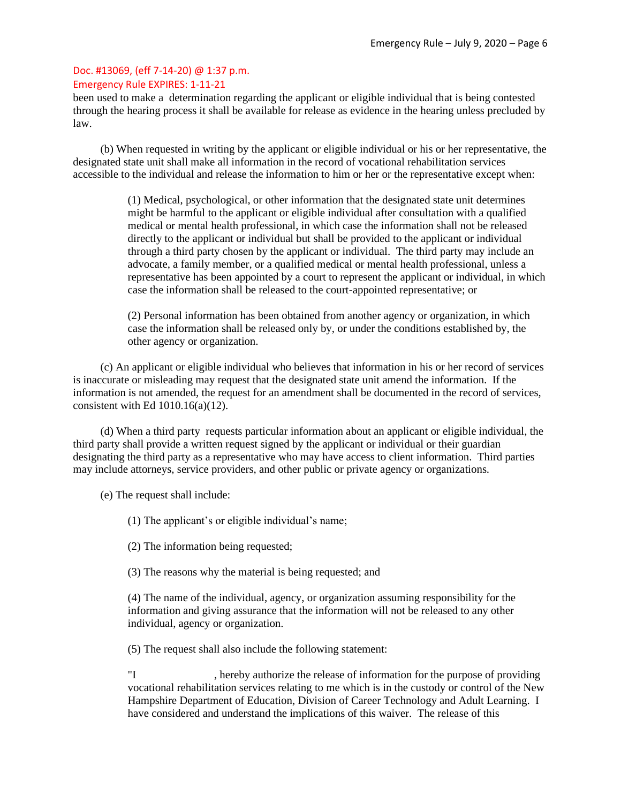## Emergency Rule EXPIRES: 1-11-21

been used to make a determination regarding the applicant or eligible individual that is being contested through the hearing process it shall be available for release as evidence in the hearing unless precluded by law.

(b) When requested in writing by the applicant or eligible individual or his or her representative, the designated state unit shall make all information in the record of vocational rehabilitation services accessible to the individual and release the information to him or her or the representative except when:

> (1) Medical, psychological, or other information that the designated state unit determines might be harmful to the applicant or eligible individual after consultation with a qualified medical or mental health professional, in which case the information shall not be released directly to the applicant or individual but shall be provided to the applicant or individual through a third party chosen by the applicant or individual. The third party may include an advocate, a family member, or a qualified medical or mental health professional, unless a representative has been appointed by a court to represent the applicant or individual, in which case the information shall be released to the court-appointed representative; or

(2) Personal information has been obtained from another agency or organization, in which case the information shall be released only by, or under the conditions established by, the other agency or organization.

(c) An applicant or eligible individual who believes that information in his or her record of services is inaccurate or misleading may request that the designated state unit amend the information. If the information is not amended, the request for an amendment shall be documented in the record of services, consistent with Ed  $1010.16(a)(12)$ .

(d) When a third party requests particular information about an applicant or eligible individual, the third party shall provide a written request signed by the applicant or individual or their guardian designating the third party as a representative who may have access to client information. Third parties may include attorneys, service providers, and other public or private agency or organizations.

(e) The request shall include:

(1) The applicant's or eligible individual's name;

(2) The information being requested;

(3) The reasons why the material is being requested; and

(4) The name of the individual, agency, or organization assuming responsibility for the information and giving assurance that the information will not be released to any other individual, agency or organization.

(5) The request shall also include the following statement:

"I , hereby authorize the release of information for the purpose of providing vocational rehabilitation services relating to me which is in the custody or control of the New Hampshire Department of Education, Division of Career Technology and Adult Learning. I have considered and understand the implications of this waiver. The release of this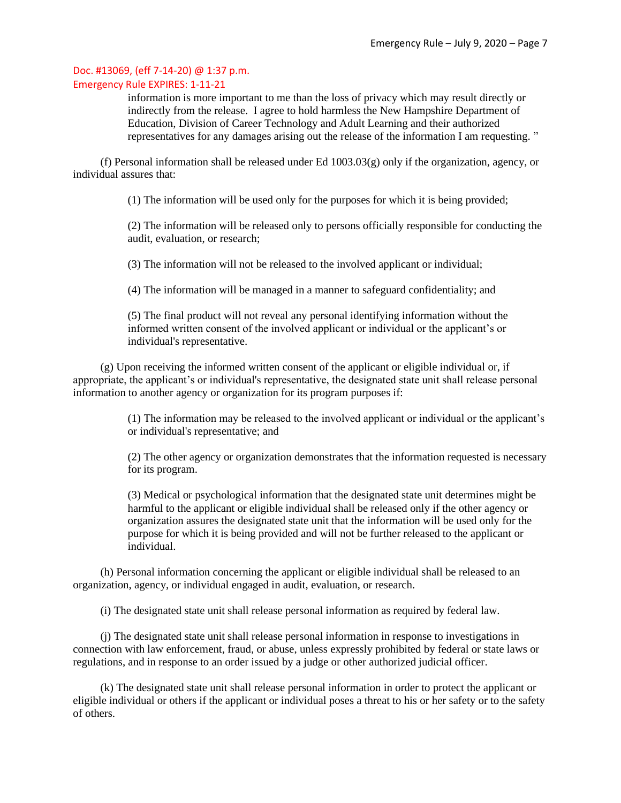information is more important to me than the loss of privacy which may result directly or indirectly from the release. I agree to hold harmless the New Hampshire Department of Education, Division of Career Technology and Adult Learning and their authorized representatives for any damages arising out the release of the information I am requesting. "

(f) Personal information shall be released under Ed 1003.03(g) only if the organization, agency, or individual assures that:

(1) The information will be used only for the purposes for which it is being provided;

(2) The information will be released only to persons officially responsible for conducting the audit, evaluation, or research;

(3) The information will not be released to the involved applicant or individual;

(4) The information will be managed in a manner to safeguard confidentiality; and

(5) The final product will not reveal any personal identifying information without the informed written consent of the involved applicant or individual or the applicant's or individual's representative.

(g) Upon receiving the informed written consent of the applicant or eligible individual or, if appropriate, the applicant's or individual's representative, the designated state unit shall release personal information to another agency or organization for its program purposes if:

> (1) The information may be released to the involved applicant or individual or the applicant's or individual's representative; and

> (2) The other agency or organization demonstrates that the information requested is necessary for its program.

(3) Medical or psychological information that the designated state unit determines might be harmful to the applicant or eligible individual shall be released only if the other agency or organization assures the designated state unit that the information will be used only for the purpose for which it is being provided and will not be further released to the applicant or individual.

(h) Personal information concerning the applicant or eligible individual shall be released to an organization, agency, or individual engaged in audit, evaluation, or research.

(i) The designated state unit shall release personal information as required by federal law.

(j) The designated state unit shall release personal information in response to investigations in connection with law enforcement, fraud, or abuse, unless expressly prohibited by federal or state laws or regulations, and in response to an order issued by a judge or other authorized judicial officer.

(k) The designated state unit shall release personal information in order to protect the applicant or eligible individual or others if the applicant or individual poses a threat to his or her safety or to the safety of others.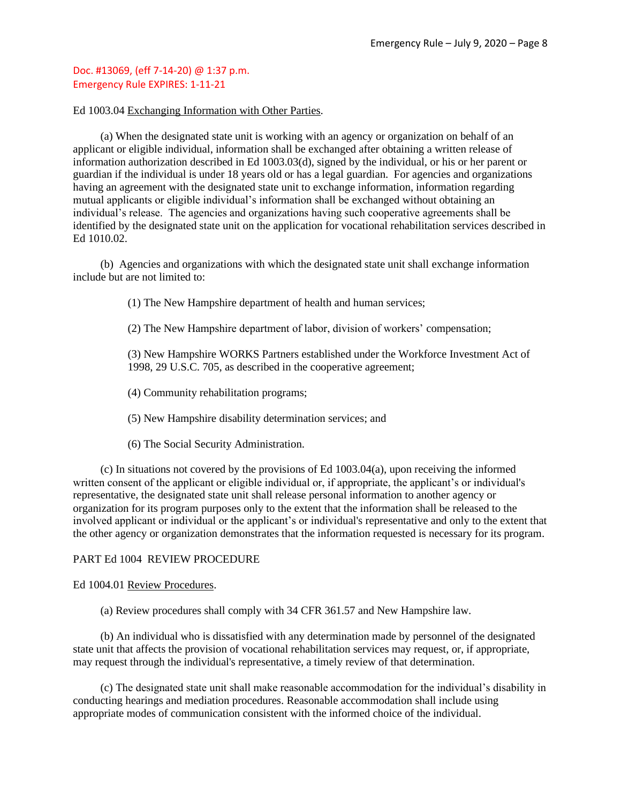#### Ed 1003.04 Exchanging Information with Other Parties.

(a) When the designated state unit is working with an agency or organization on behalf of an applicant or eligible individual, information shall be exchanged after obtaining a written release of information authorization described in Ed 1003.03(d), signed by the individual, or his or her parent or guardian if the individual is under 18 years old or has a legal guardian. For agencies and organizations having an agreement with the designated state unit to exchange information, information regarding mutual applicants or eligible individual's information shall be exchanged without obtaining an individual's release. The agencies and organizations having such cooperative agreements shall be identified by the designated state unit on the application for vocational rehabilitation services described in Ed 1010.02.

(b) Agencies and organizations with which the designated state unit shall exchange information include but are not limited to:

(1) The New Hampshire department of health and human services;

(2) The New Hampshire department of labor, division of workers' compensation;

(3) New Hampshire WORKS Partners established under the Workforce Investment Act of 1998, 29 U.S.C. 705, as described in the cooperative agreement;

- (4) Community rehabilitation programs;
- (5) New Hampshire disability determination services; and
- (6) The Social Security Administration.

(c) In situations not covered by the provisions of Ed 1003.04(a), upon receiving the informed written consent of the applicant or eligible individual or, if appropriate, the applicant's or individual's representative, the designated state unit shall release personal information to another agency or organization for its program purposes only to the extent that the information shall be released to the involved applicant or individual or the applicant's or individual's representative and only to the extent that the other agency or organization demonstrates that the information requested is necessary for its program.

#### PART Ed 1004 REVIEW PROCEDURE

#### Ed 1004.01 Review Procedures.

(a) Review procedures shall comply with 34 CFR 361.57 and New Hampshire law.

(b) An individual who is dissatisfied with any determination made by personnel of the designated state unit that affects the provision of vocational rehabilitation services may request, or, if appropriate, may request through the individual's representative, a timely review of that determination.

(c) The designated state unit shall make reasonable accommodation for the individual's disability in conducting hearings and mediation procedures. Reasonable accommodation shall include using appropriate modes of communication consistent with the informed choice of the individual.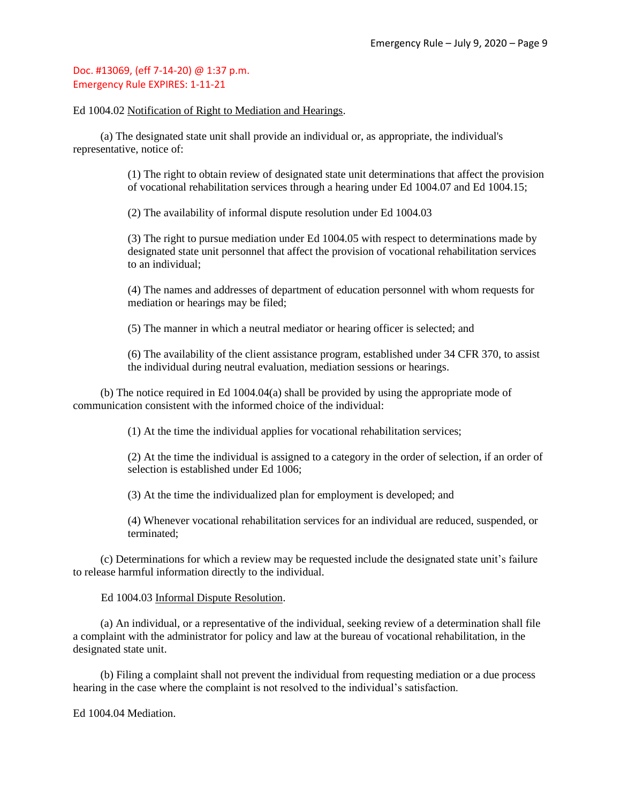Ed 1004.02 Notification of Right to Mediation and Hearings.

(a) The designated state unit shall provide an individual or, as appropriate, the individual's representative, notice of:

> (1) The right to obtain review of designated state unit determinations that affect the provision of vocational rehabilitation services through a hearing under Ed 1004.07 and Ed 1004.15;

(2) The availability of informal dispute resolution under Ed 1004.03

(3) The right to pursue mediation under Ed 1004.05 with respect to determinations made by designated state unit personnel that affect the provision of vocational rehabilitation services to an individual;

(4) The names and addresses of department of education personnel with whom requests for mediation or hearings may be filed;

(5) The manner in which a neutral mediator or hearing officer is selected; and

(6) The availability of the client assistance program, established under 34 CFR 370, to assist the individual during neutral evaluation, mediation sessions or hearings.

(b) The notice required in Ed 1004.04(a) shall be provided by using the appropriate mode of communication consistent with the informed choice of the individual:

(1) At the time the individual applies for vocational rehabilitation services;

(2) At the time the individual is assigned to a category in the order of selection, if an order of selection is established under Ed 1006;

(3) At the time the individualized plan for employment is developed; and

(4) Whenever vocational rehabilitation services for an individual are reduced, suspended, or terminated;

(c) Determinations for which a review may be requested include the designated state unit's failure to release harmful information directly to the individual.

Ed 1004.03 Informal Dispute Resolution.

(a) An individual, or a representative of the individual, seeking review of a determination shall file a complaint with the administrator for policy and law at the bureau of vocational rehabilitation, in the designated state unit.

(b) Filing a complaint shall not prevent the individual from requesting mediation or a due process hearing in the case where the complaint is not resolved to the individual's satisfaction.

Ed 1004.04 Mediation.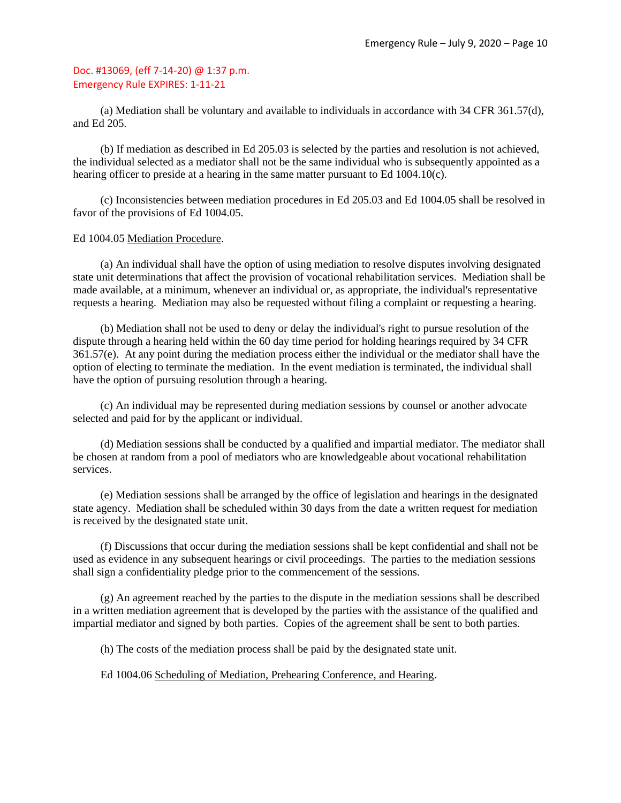(a) Mediation shall be voluntary and available to individuals in accordance with 34 CFR 361.57(d), and Ed 205.

(b) If mediation as described in Ed 205.03 is selected by the parties and resolution is not achieved, the individual selected as a mediator shall not be the same individual who is subsequently appointed as a hearing officer to preside at a hearing in the same matter pursuant to Ed 1004.10(c).

(c) Inconsistencies between mediation procedures in Ed 205.03 and Ed 1004.05 shall be resolved in favor of the provisions of Ed 1004.05.

#### Ed 1004.05 Mediation Procedure.

(a) An individual shall have the option of using mediation to resolve disputes involving designated state unit determinations that affect the provision of vocational rehabilitation services. Mediation shall be made available, at a minimum, whenever an individual or, as appropriate, the individual's representative requests a hearing. Mediation may also be requested without filing a complaint or requesting a hearing.

(b) Mediation shall not be used to deny or delay the individual's right to pursue resolution of the dispute through a hearing held within the 60 day time period for holding hearings required by 34 CFR 361.57(e). At any point during the mediation process either the individual or the mediator shall have the option of electing to terminate the mediation. In the event mediation is terminated, the individual shall have the option of pursuing resolution through a hearing.

(c) An individual may be represented during mediation sessions by counsel or another advocate selected and paid for by the applicant or individual.

(d) Mediation sessions shall be conducted by a qualified and impartial mediator. The mediator shall be chosen at random from a pool of mediators who are knowledgeable about vocational rehabilitation services.

(e) Mediation sessions shall be arranged by the office of legislation and hearings in the designated state agency. Mediation shall be scheduled within 30 days from the date a written request for mediation is received by the designated state unit.

(f) Discussions that occur during the mediation sessions shall be kept confidential and shall not be used as evidence in any subsequent hearings or civil proceedings. The parties to the mediation sessions shall sign a confidentiality pledge prior to the commencement of the sessions.

(g) An agreement reached by the parties to the dispute in the mediation sessions shall be described in a written mediation agreement that is developed by the parties with the assistance of the qualified and impartial mediator and signed by both parties. Copies of the agreement shall be sent to both parties.

(h) The costs of the mediation process shall be paid by the designated state unit.

#### Ed 1004.06 Scheduling of Mediation, Prehearing Conference, and Hearing.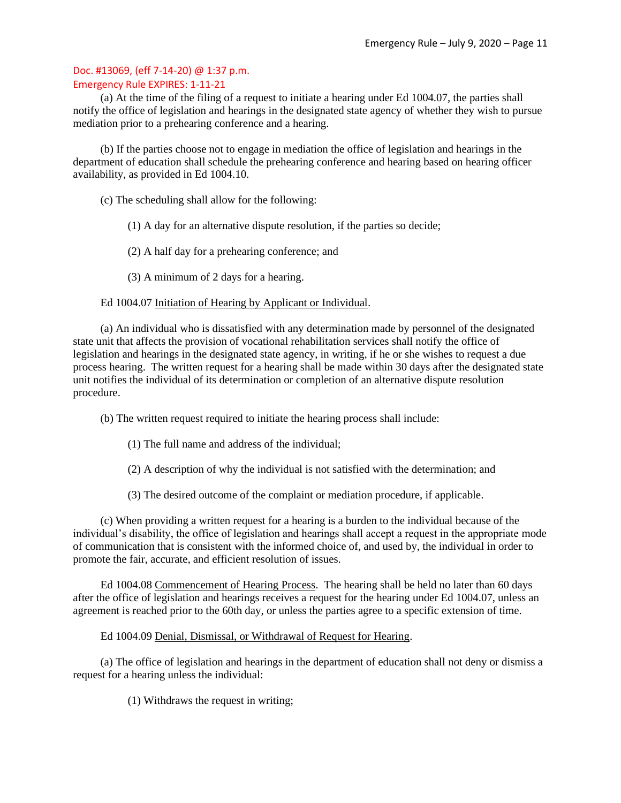## Emergency Rule EXPIRES: 1-11-21

(a) At the time of the filing of a request to initiate a hearing under Ed 1004.07, the parties shall notify the office of legislation and hearings in the designated state agency of whether they wish to pursue mediation prior to a prehearing conference and a hearing.

(b) If the parties choose not to engage in mediation the office of legislation and hearings in the department of education shall schedule the prehearing conference and hearing based on hearing officer availability, as provided in Ed 1004.10.

(c) The scheduling shall allow for the following:

- (1) A day for an alternative dispute resolution, if the parties so decide;
- (2) A half day for a prehearing conference; and
- (3) A minimum of 2 days for a hearing.

Ed 1004.07 Initiation of Hearing by Applicant or Individual.

(a) An individual who is dissatisfied with any determination made by personnel of the designated state unit that affects the provision of vocational rehabilitation services shall notify the office of legislation and hearings in the designated state agency, in writing, if he or she wishes to request a due process hearing. The written request for a hearing shall be made within 30 days after the designated state unit notifies the individual of its determination or completion of an alternative dispute resolution procedure.

(b) The written request required to initiate the hearing process shall include:

- (1) The full name and address of the individual;
- (2) A description of why the individual is not satisfied with the determination; and
- (3) The desired outcome of the complaint or mediation procedure, if applicable.

(c) When providing a written request for a hearing is a burden to the individual because of the individual's disability, the office of legislation and hearings shall accept a request in the appropriate mode of communication that is consistent with the informed choice of, and used by, the individual in order to promote the fair, accurate, and efficient resolution of issues.

Ed 1004.08 Commencement of Hearing Process. The hearing shall be held no later than 60 days after the office of legislation and hearings receives a request for the hearing under Ed 1004.07, unless an agreement is reached prior to the 60th day, or unless the parties agree to a specific extension of time.

Ed 1004.09 Denial, Dismissal, or Withdrawal of Request for Hearing.

(a) The office of legislation and hearings in the department of education shall not deny or dismiss a request for a hearing unless the individual:

(1) Withdraws the request in writing;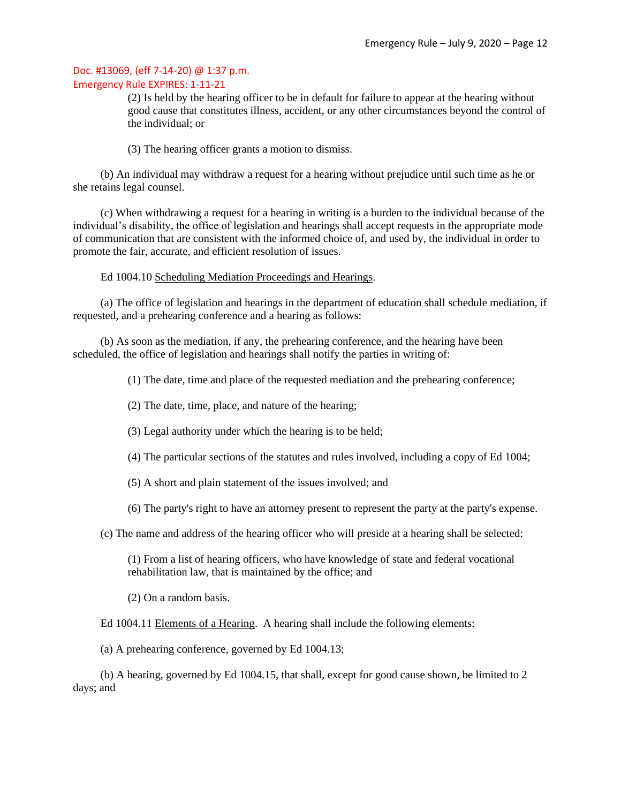(2) Is held by the hearing officer to be in default for failure to appear at the hearing without good cause that constitutes illness, accident, or any other circumstances beyond the control of the individual; or

(3) The hearing officer grants a motion to dismiss.

(b) An individual may withdraw a request for a hearing without prejudice until such time as he or she retains legal counsel.

(c) When withdrawing a request for a hearing in writing is a burden to the individual because of the individual's disability, the office of legislation and hearings shall accept requests in the appropriate mode of communication that are consistent with the informed choice of, and used by, the individual in order to promote the fair, accurate, and efficient resolution of issues.

Ed 1004.10 Scheduling Mediation Proceedings and Hearings.

(a) The office of legislation and hearings in the department of education shall schedule mediation, if requested, and a prehearing conference and a hearing as follows:

(b) As soon as the mediation, if any, the prehearing conference, and the hearing have been scheduled, the office of legislation and hearings shall notify the parties in writing of:

(1) The date, time and place of the requested mediation and the prehearing conference;

(2) The date, time, place, and nature of the hearing;

(3) Legal authority under which the hearing is to be held;

(4) The particular sections of the statutes and rules involved, including a copy of Ed 1004;

(5) A short and plain statement of the issues involved; and

(6) The party's right to have an attorney present to represent the party at the party's expense.

(c) The name and address of the hearing officer who will preside at a hearing shall be selected:

(1) From a list of hearing officers, who have knowledge of state and federal vocational rehabilitation law, that is maintained by the office; and

(2) On a random basis.

Ed 1004.11 Elements of a Hearing. A hearing shall include the following elements:

(a) A prehearing conference, governed by Ed 1004.13;

(b) A hearing, governed by Ed 1004.15, that shall, except for good cause shown, be limited to 2 days; and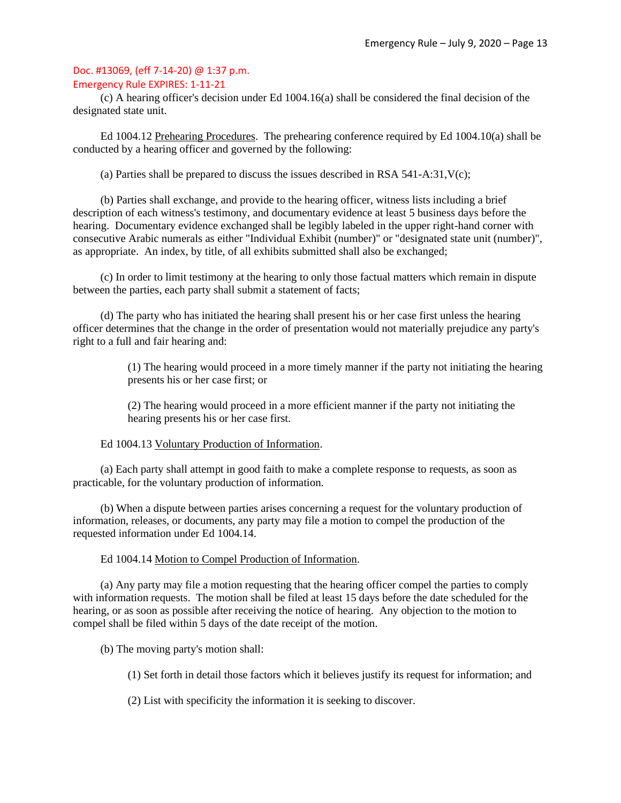## Emergency Rule EXPIRES: 1-11-21

(c) A hearing officer's decision under Ed 1004.16(a) shall be considered the final decision of the designated state unit.

Ed 1004.12 Prehearing Procedures. The prehearing conference required by Ed 1004.10(a) shall be conducted by a hearing officer and governed by the following:

(a) Parties shall be prepared to discuss the issues described in RSA  $541-A:31,V(c)$ ;

(b) Parties shall exchange, and provide to the hearing officer, witness lists including a brief description of each witness's testimony, and documentary evidence at least 5 business days before the hearing. Documentary evidence exchanged shall be legibly labeled in the upper right-hand corner with consecutive Arabic numerals as either "Individual Exhibit (number)" or "designated state unit (number)", as appropriate. An index, by title, of all exhibits submitted shall also be exchanged;

(c) In order to limit testimony at the hearing to only those factual matters which remain in dispute between the parties, each party shall submit a statement of facts;

(d) The party who has initiated the hearing shall present his or her case first unless the hearing officer determines that the change in the order of presentation would not materially prejudice any party's right to a full and fair hearing and:

> (1) The hearing would proceed in a more timely manner if the party not initiating the hearing presents his or her case first; or

(2) The hearing would proceed in a more efficient manner if the party not initiating the hearing presents his or her case first.

Ed 1004.13 Voluntary Production of Information.

(a) Each party shall attempt in good faith to make a complete response to requests, as soon as practicable, for the voluntary production of information.

(b) When a dispute between parties arises concerning a request for the voluntary production of information, releases, or documents, any party may file a motion to compel the production of the requested information under Ed 1004.14.

#### Ed 1004.14 Motion to Compel Production of Information.

(a) Any party may file a motion requesting that the hearing officer compel the parties to comply with information requests. The motion shall be filed at least 15 days before the date scheduled for the hearing, or as soon as possible after receiving the notice of hearing. Any objection to the motion to compel shall be filed within 5 days of the date receipt of the motion.

(b) The moving party's motion shall:

(1) Set forth in detail those factors which it believes justify its request for information; and

(2) List with specificity the information it is seeking to discover.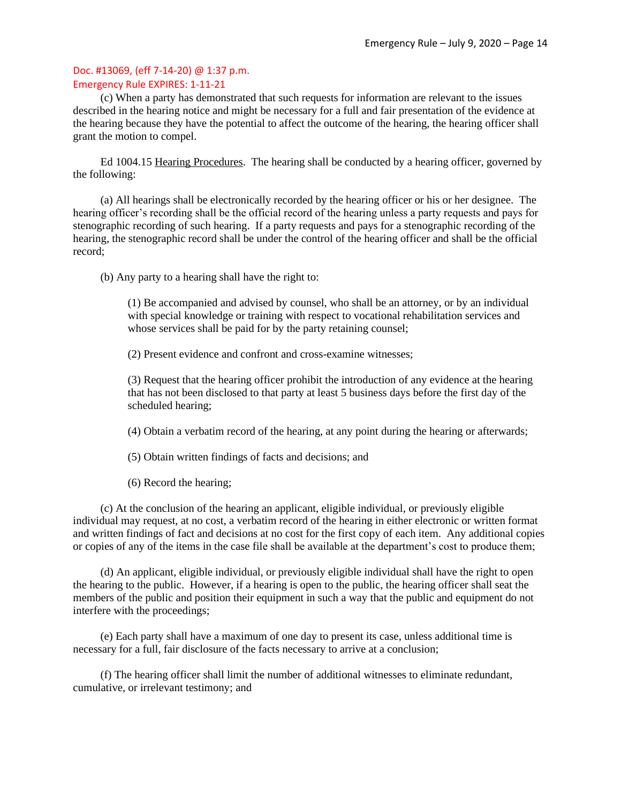## Emergency Rule EXPIRES: 1-11-21

(c) When a party has demonstrated that such requests for information are relevant to the issues described in the hearing notice and might be necessary for a full and fair presentation of the evidence at the hearing because they have the potential to affect the outcome of the hearing, the hearing officer shall grant the motion to compel.

Ed 1004.15 Hearing Procedures. The hearing shall be conducted by a hearing officer, governed by the following:

(a) All hearings shall be electronically recorded by the hearing officer or his or her designee. The hearing officer's recording shall be the official record of the hearing unless a party requests and pays for stenographic recording of such hearing. If a party requests and pays for a stenographic recording of the hearing, the stenographic record shall be under the control of the hearing officer and shall be the official record;

(b) Any party to a hearing shall have the right to:

(1) Be accompanied and advised by counsel, who shall be an attorney, or by an individual with special knowledge or training with respect to vocational rehabilitation services and whose services shall be paid for by the party retaining counsel;

(2) Present evidence and confront and cross-examine witnesses;

(3) Request that the hearing officer prohibit the introduction of any evidence at the hearing that has not been disclosed to that party at least 5 business days before the first day of the scheduled hearing;

(4) Obtain a verbatim record of the hearing, at any point during the hearing or afterwards;

(5) Obtain written findings of facts and decisions; and

(6) Record the hearing;

(c) At the conclusion of the hearing an applicant, eligible individual, or previously eligible individual may request, at no cost, a verbatim record of the hearing in either electronic or written format and written findings of fact and decisions at no cost for the first copy of each item. Any additional copies or copies of any of the items in the case file shall be available at the department's cost to produce them;

(d) An applicant, eligible individual, or previously eligible individual shall have the right to open the hearing to the public. However, if a hearing is open to the public, the hearing officer shall seat the members of the public and position their equipment in such a way that the public and equipment do not interfere with the proceedings;

(e) Each party shall have a maximum of one day to present its case, unless additional time is necessary for a full, fair disclosure of the facts necessary to arrive at a conclusion;

(f) The hearing officer shall limit the number of additional witnesses to eliminate redundant, cumulative, or irrelevant testimony; and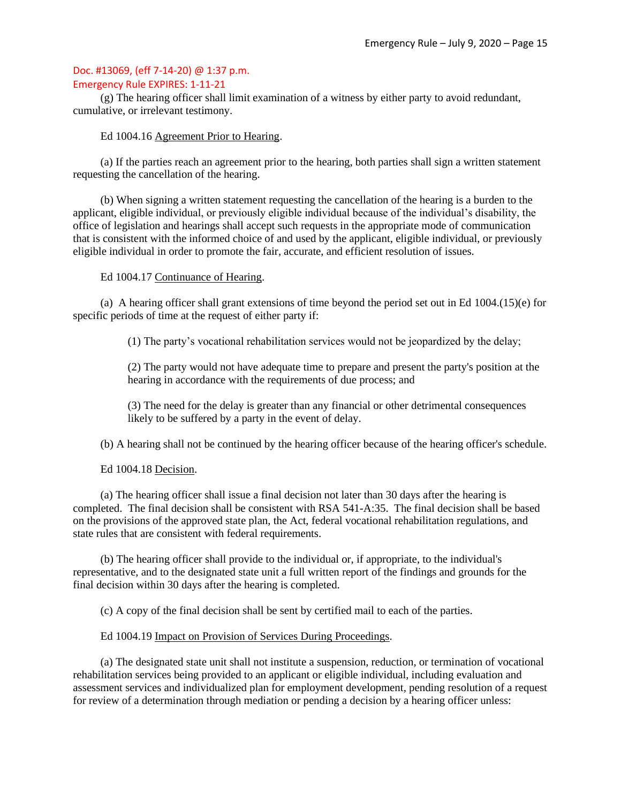(g) The hearing officer shall limit examination of a witness by either party to avoid redundant, cumulative, or irrelevant testimony.

Ed 1004.16 Agreement Prior to Hearing.

(a) If the parties reach an agreement prior to the hearing, both parties shall sign a written statement requesting the cancellation of the hearing.

(b) When signing a written statement requesting the cancellation of the hearing is a burden to the applicant, eligible individual, or previously eligible individual because of the individual's disability, the office of legislation and hearings shall accept such requests in the appropriate mode of communication that is consistent with the informed choice of and used by the applicant, eligible individual, or previously eligible individual in order to promote the fair, accurate, and efficient resolution of issues.

Ed 1004.17 Continuance of Hearing.

(a) A hearing officer shall grant extensions of time beyond the period set out in Ed 1004.(15)(e) for specific periods of time at the request of either party if:

(1) The party's vocational rehabilitation services would not be jeopardized by the delay;

(2) The party would not have adequate time to prepare and present the party's position at the hearing in accordance with the requirements of due process; and

(3) The need for the delay is greater than any financial or other detrimental consequences likely to be suffered by a party in the event of delay.

(b) A hearing shall not be continued by the hearing officer because of the hearing officer's schedule.

Ed 1004.18 Decision.

(a) The hearing officer shall issue a final decision not later than 30 days after the hearing is completed. The final decision shall be consistent with RSA 541-A:35. The final decision shall be based on the provisions of the approved state plan, the Act, federal vocational rehabilitation regulations, and state rules that are consistent with federal requirements.

(b) The hearing officer shall provide to the individual or, if appropriate, to the individual's representative, and to the designated state unit a full written report of the findings and grounds for the final decision within 30 days after the hearing is completed.

(c) A copy of the final decision shall be sent by certified mail to each of the parties.

Ed 1004.19 Impact on Provision of Services During Proceedings.

(a) The designated state unit shall not institute a suspension, reduction, or termination of vocational rehabilitation services being provided to an applicant or eligible individual, including evaluation and assessment services and individualized plan for employment development, pending resolution of a request for review of a determination through mediation or pending a decision by a hearing officer unless: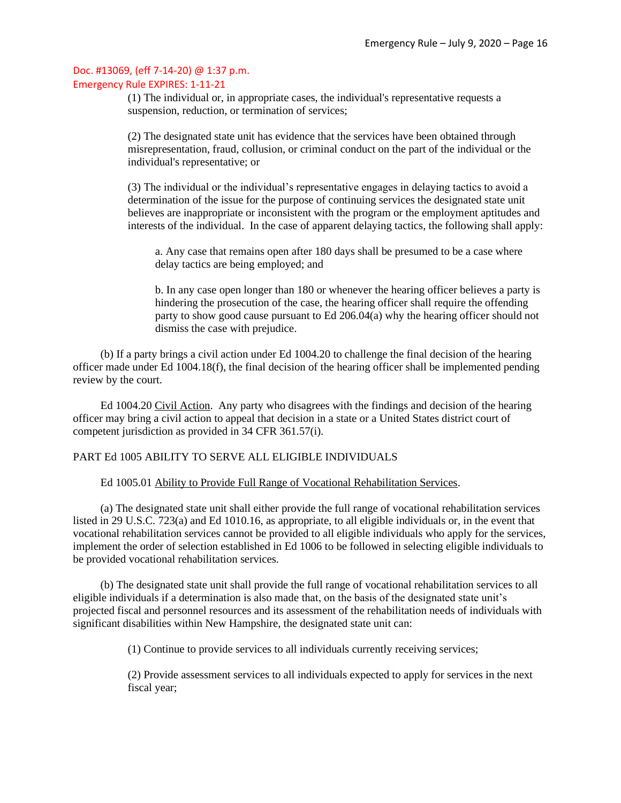(1) The individual or, in appropriate cases, the individual's representative requests a suspension, reduction, or termination of services;

(2) The designated state unit has evidence that the services have been obtained through misrepresentation, fraud, collusion, or criminal conduct on the part of the individual or the individual's representative; or

(3) The individual or the individual's representative engages in delaying tactics to avoid a determination of the issue for the purpose of continuing services the designated state unit believes are inappropriate or inconsistent with the program or the employment aptitudes and interests of the individual. In the case of apparent delaying tactics, the following shall apply:

a. Any case that remains open after 180 days shall be presumed to be a case where delay tactics are being employed; and

b. In any case open longer than 180 or whenever the hearing officer believes a party is hindering the prosecution of the case, the hearing officer shall require the offending party to show good cause pursuant to Ed 206.04(a) why the hearing officer should not dismiss the case with prejudice.

(b) If a party brings a civil action under Ed 1004.20 to challenge the final decision of the hearing officer made under Ed 1004.18(f), the final decision of the hearing officer shall be implemented pending review by the court.

Ed 1004.20 Civil Action. Any party who disagrees with the findings and decision of the hearing officer may bring a civil action to appeal that decision in a state or a United States district court of competent jurisdiction as provided in 34 CFR 361.57(i).

### PART Ed 1005 ABILITY TO SERVE ALL ELIGIBLE INDIVIDUALS

### Ed 1005.01 Ability to Provide Full Range of Vocational Rehabilitation Services.

(a) The designated state unit shall either provide the full range of vocational rehabilitation services listed in 29 U.S.C. 723(a) and Ed 1010.16, as appropriate, to all eligible individuals or, in the event that vocational rehabilitation services cannot be provided to all eligible individuals who apply for the services, implement the order of selection established in Ed 1006 to be followed in selecting eligible individuals to be provided vocational rehabilitation services.

(b) The designated state unit shall provide the full range of vocational rehabilitation services to all eligible individuals if a determination is also made that, on the basis of the designated state unit's projected fiscal and personnel resources and its assessment of the rehabilitation needs of individuals with significant disabilities within New Hampshire, the designated state unit can:

(1) Continue to provide services to all individuals currently receiving services;

(2) Provide assessment services to all individuals expected to apply for services in the next fiscal year;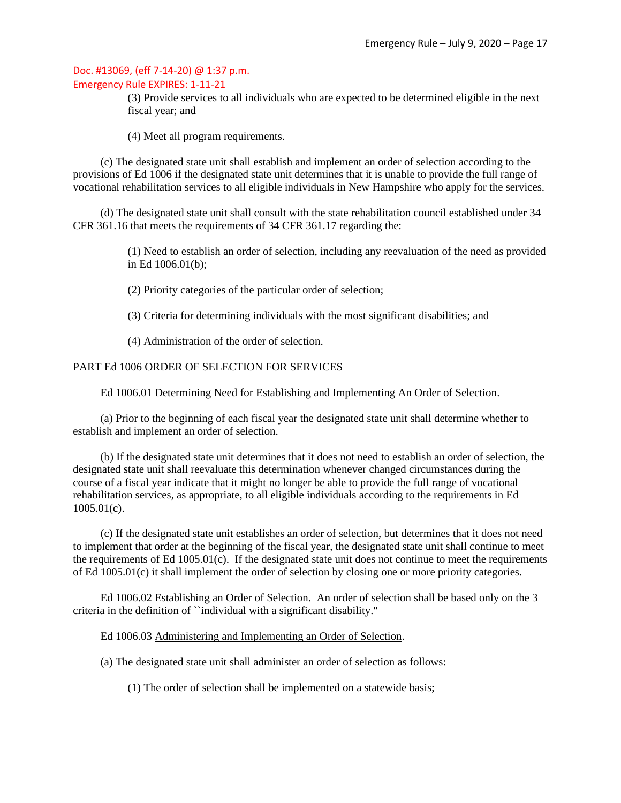(3) Provide services to all individuals who are expected to be determined eligible in the next fiscal year; and

(4) Meet all program requirements.

(c) The designated state unit shall establish and implement an order of selection according to the provisions of Ed 1006 if the designated state unit determines that it is unable to provide the full range of vocational rehabilitation services to all eligible individuals in New Hampshire who apply for the services.

(d) The designated state unit shall consult with the state rehabilitation council established under 34 CFR 361.16 that meets the requirements of 34 CFR 361.17 regarding the:

> (1) Need to establish an order of selection, including any reevaluation of the need as provided in Ed 1006.01(b);

(2) Priority categories of the particular order of selection;

(3) Criteria for determining individuals with the most significant disabilities; and

(4) Administration of the order of selection.

## PART Ed 1006 ORDER OF SELECTION FOR SERVICES

Ed 1006.01 Determining Need for Establishing and Implementing An Order of Selection.

(a) Prior to the beginning of each fiscal year the designated state unit shall determine whether to establish and implement an order of selection.

(b) If the designated state unit determines that it does not need to establish an order of selection, the designated state unit shall reevaluate this determination whenever changed circumstances during the course of a fiscal year indicate that it might no longer be able to provide the full range of vocational rehabilitation services, as appropriate, to all eligible individuals according to the requirements in Ed 1005.01(c).

(c) If the designated state unit establishes an order of selection, but determines that it does not need to implement that order at the beginning of the fiscal year, the designated state unit shall continue to meet the requirements of Ed 1005.01(c). If the designated state unit does not continue to meet the requirements of Ed 1005.01(c) it shall implement the order of selection by closing one or more priority categories.

Ed 1006.02 Establishing an Order of Selection. An order of selection shall be based only on the 3 criteria in the definition of ``individual with a significant disability."

Ed 1006.03 Administering and Implementing an Order of Selection.

(a) The designated state unit shall administer an order of selection as follows:

(1) The order of selection shall be implemented on a statewide basis;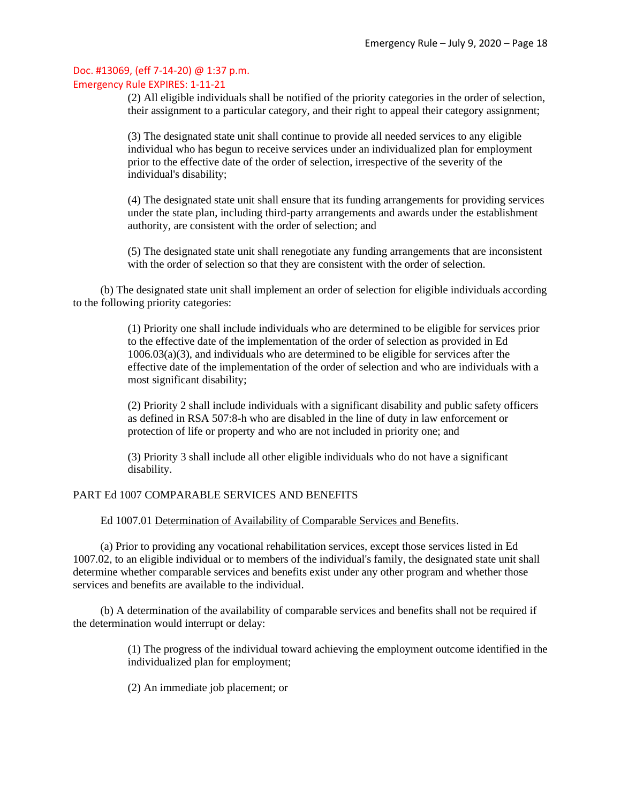(2) All eligible individuals shall be notified of the priority categories in the order of selection, their assignment to a particular category, and their right to appeal their category assignment;

(3) The designated state unit shall continue to provide all needed services to any eligible individual who has begun to receive services under an individualized plan for employment prior to the effective date of the order of selection, irrespective of the severity of the individual's disability;

(4) The designated state unit shall ensure that its funding arrangements for providing services under the state plan, including third-party arrangements and awards under the establishment authority, are consistent with the order of selection; and

(5) The designated state unit shall renegotiate any funding arrangements that are inconsistent with the order of selection so that they are consistent with the order of selection.

(b) The designated state unit shall implement an order of selection for eligible individuals according to the following priority categories:

> (1) Priority one shall include individuals who are determined to be eligible for services prior to the effective date of the implementation of the order of selection as provided in Ed 1006.03(a)(3), and individuals who are determined to be eligible for services after the effective date of the implementation of the order of selection and who are individuals with a most significant disability;

> (2) Priority 2 shall include individuals with a significant disability and public safety officers as defined in RSA 507:8-h who are disabled in the line of duty in law enforcement or protection of life or property and who are not included in priority one; and

(3) Priority 3 shall include all other eligible individuals who do not have a significant disability.

### PART Ed 1007 COMPARABLE SERVICES AND BENEFITS

Ed 1007.01 Determination of Availability of Comparable Services and Benefits.

(a) Prior to providing any vocational rehabilitation services, except those services listed in Ed 1007.02, to an eligible individual or to members of the individual's family, the designated state unit shall determine whether comparable services and benefits exist under any other program and whether those services and benefits are available to the individual.

(b) A determination of the availability of comparable services and benefits shall not be required if the determination would interrupt or delay:

> (1) The progress of the individual toward achieving the employment outcome identified in the individualized plan for employment;

(2) An immediate job placement; or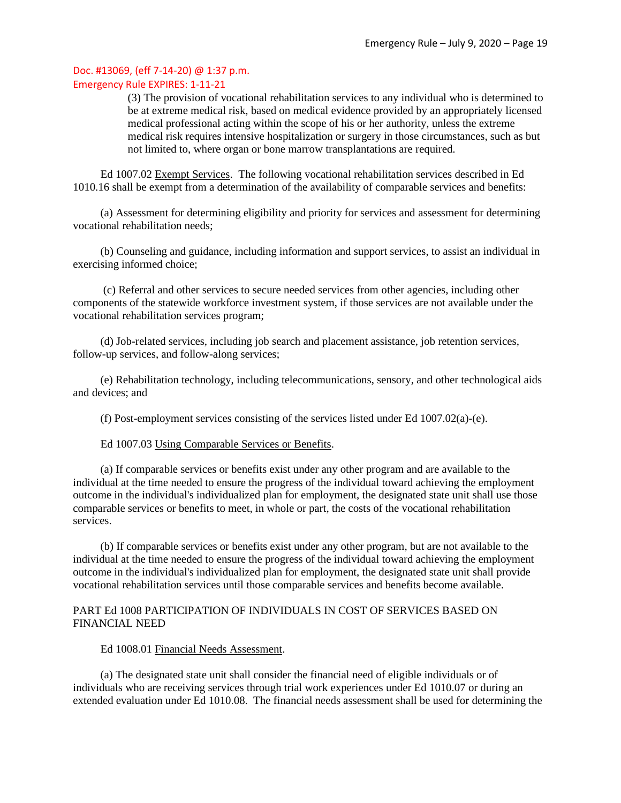(3) The provision of vocational rehabilitation services to any individual who is determined to be at extreme medical risk, based on medical evidence provided by an appropriately licensed medical professional acting within the scope of his or her authority, unless the extreme medical risk requires intensive hospitalization or surgery in those circumstances, such as but not limited to, where organ or bone marrow transplantations are required.

Ed 1007.02 Exempt Services. The following vocational rehabilitation services described in Ed 1010.16 shall be exempt from a determination of the availability of comparable services and benefits:

(a) Assessment for determining eligibility and priority for services and assessment for determining vocational rehabilitation needs;

(b) Counseling and guidance, including information and support services, to assist an individual in exercising informed choice;

(c) Referral and other services to secure needed services from other agencies, including other components of the statewide workforce investment system, if those services are not available under the vocational rehabilitation services program;

(d) Job-related services, including job search and placement assistance, job retention services, follow-up services, and follow-along services;

(e) Rehabilitation technology, including telecommunications, sensory, and other technological aids and devices; and

(f) Post-employment services consisting of the services listed under Ed 1007.02(a)-(e).

Ed 1007.03 Using Comparable Services or Benefits.

(a) If comparable services or benefits exist under any other program and are available to the individual at the time needed to ensure the progress of the individual toward achieving the employment outcome in the individual's individualized plan for employment, the designated state unit shall use those comparable services or benefits to meet, in whole or part, the costs of the vocational rehabilitation services.

(b) If comparable services or benefits exist under any other program, but are not available to the individual at the time needed to ensure the progress of the individual toward achieving the employment outcome in the individual's individualized plan for employment, the designated state unit shall provide vocational rehabilitation services until those comparable services and benefits become available.

## PART Ed 1008 PARTICIPATION OF INDIVIDUALS IN COST OF SERVICES BASED ON FINANCIAL NEED

#### Ed 1008.01 Financial Needs Assessment.

(a) The designated state unit shall consider the financial need of eligible individuals or of individuals who are receiving services through trial work experiences under Ed 1010.07 or during an extended evaluation under Ed 1010.08. The financial needs assessment shall be used for determining the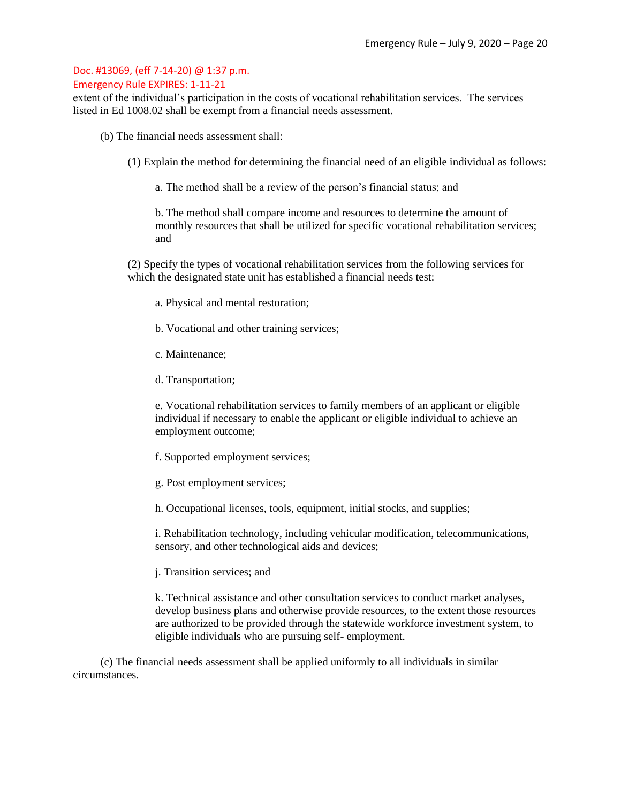## Emergency Rule EXPIRES: 1-11-21

extent of the individual's participation in the costs of vocational rehabilitation services. The services listed in Ed 1008.02 shall be exempt from a financial needs assessment.

- (b) The financial needs assessment shall:
	- (1) Explain the method for determining the financial need of an eligible individual as follows:
		- a. The method shall be a review of the person's financial status; and

b. The method shall compare income and resources to determine the amount of monthly resources that shall be utilized for specific vocational rehabilitation services; and

(2) Specify the types of vocational rehabilitation services from the following services for which the designated state unit has established a financial needs test:

- a. Physical and mental restoration;
- b. Vocational and other training services;
- c. Maintenance;
- d. Transportation;

e. Vocational rehabilitation services to family members of an applicant or eligible individual if necessary to enable the applicant or eligible individual to achieve an employment outcome;

- f. Supported employment services;
- g. Post employment services;
- h. Occupational licenses, tools, equipment, initial stocks, and supplies;

i. Rehabilitation technology, including vehicular modification, telecommunications, sensory, and other technological aids and devices;

j. Transition services; and

k. Technical assistance and other consultation services to conduct market analyses, develop business plans and otherwise provide resources, to the extent those resources are authorized to be provided through the statewide workforce investment system, to eligible individuals who are pursuing self- employment.

(c) The financial needs assessment shall be applied uniformly to all individuals in similar circumstances.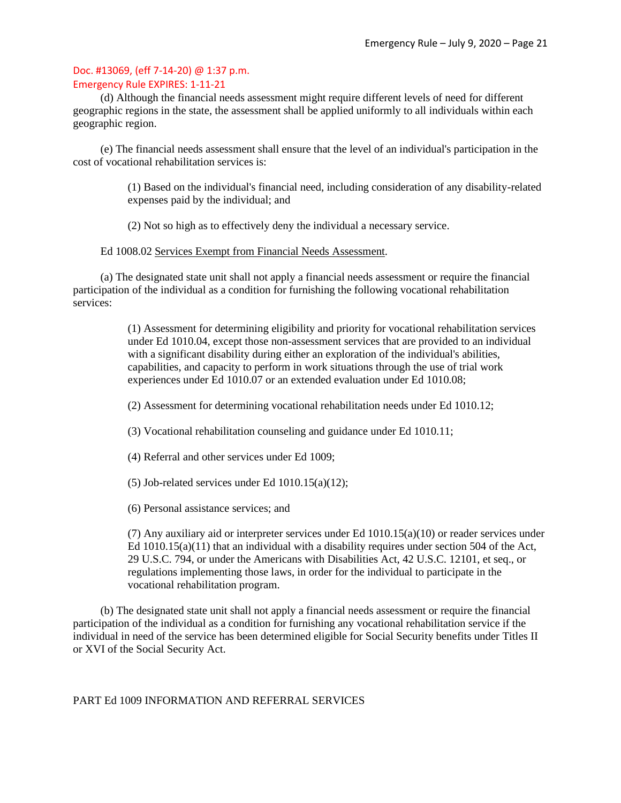(d) Although the financial needs assessment might require different levels of need for different geographic regions in the state, the assessment shall be applied uniformly to all individuals within each geographic region.

(e) The financial needs assessment shall ensure that the level of an individual's participation in the cost of vocational rehabilitation services is:

> (1) Based on the individual's financial need, including consideration of any disability-related expenses paid by the individual; and

(2) Not so high as to effectively deny the individual a necessary service.

### Ed 1008.02 Services Exempt from Financial Needs Assessment.

(a) The designated state unit shall not apply a financial needs assessment or require the financial participation of the individual as a condition for furnishing the following vocational rehabilitation services:

> (1) Assessment for determining eligibility and priority for vocational rehabilitation services under Ed 1010.04, except those non-assessment services that are provided to an individual with a significant disability during either an exploration of the individual's abilities, capabilities, and capacity to perform in work situations through the use of trial work experiences under Ed 1010.07 or an extended evaluation under Ed 1010.08;

(2) Assessment for determining vocational rehabilitation needs under Ed 1010.12;

(3) Vocational rehabilitation counseling and guidance under Ed 1010.11;

- (4) Referral and other services under Ed 1009;
- (5) Job-related services under Ed  $1010.15(a)(12)$ ;

(6) Personal assistance services; and

(7) Any auxiliary aid or interpreter services under Ed 1010.15(a)(10) or reader services under Ed 1010.15(a)(11) that an individual with a disability requires under section 504 of the Act, 29 U.S.C. 794, or under the Americans with Disabilities Act, 42 U.S.C. 12101, et seq., or regulations implementing those laws, in order for the individual to participate in the vocational rehabilitation program.

(b) The designated state unit shall not apply a financial needs assessment or require the financial participation of the individual as a condition for furnishing any vocational rehabilitation service if the individual in need of the service has been determined eligible for Social Security benefits under Titles II or XVI of the Social Security Act.

PART Ed 1009 INFORMATION AND REFERRAL SERVICES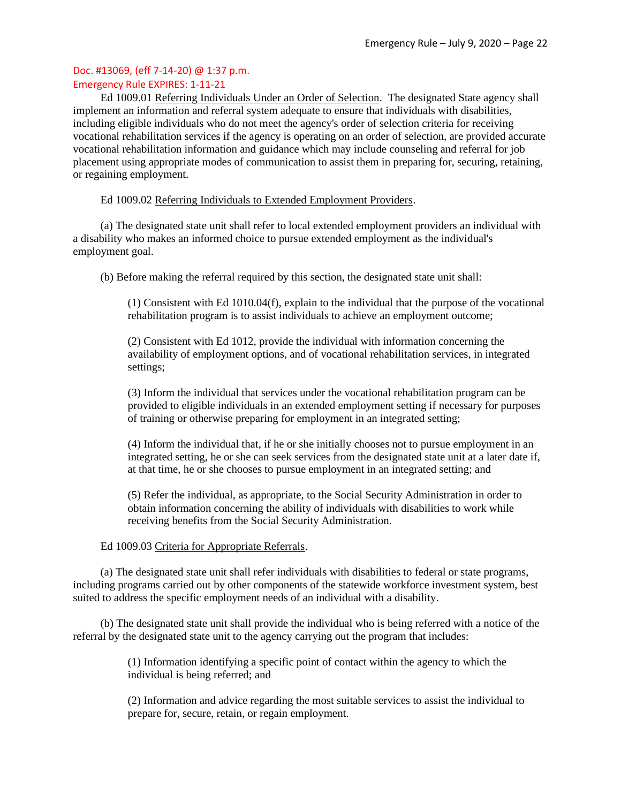Emergency Rule EXPIRES: 1-11-21

Ed 1009.01 Referring Individuals Under an Order of Selection. The designated State agency shall implement an information and referral system adequate to ensure that individuals with disabilities, including eligible individuals who do not meet the agency's order of selection criteria for receiving vocational rehabilitation services if the agency is operating on an order of selection, are provided accurate vocational rehabilitation information and guidance which may include counseling and referral for job placement using appropriate modes of communication to assist them in preparing for, securing, retaining, or regaining employment.

#### Ed 1009.02 Referring Individuals to Extended Employment Providers.

(a) The designated state unit shall refer to local extended employment providers an individual with a disability who makes an informed choice to pursue extended employment as the individual's employment goal.

(b) Before making the referral required by this section, the designated state unit shall:

(1) Consistent with Ed 1010.04(f), explain to the individual that the purpose of the vocational rehabilitation program is to assist individuals to achieve an employment outcome;

(2) Consistent with Ed 1012, provide the individual with information concerning the availability of employment options, and of vocational rehabilitation services, in integrated settings;

(3) Inform the individual that services under the vocational rehabilitation program can be provided to eligible individuals in an extended employment setting if necessary for purposes of training or otherwise preparing for employment in an integrated setting;

(4) Inform the individual that, if he or she initially chooses not to pursue employment in an integrated setting, he or she can seek services from the designated state unit at a later date if, at that time, he or she chooses to pursue employment in an integrated setting; and

(5) Refer the individual, as appropriate, to the Social Security Administration in order to obtain information concerning the ability of individuals with disabilities to work while receiving benefits from the Social Security Administration.

#### Ed 1009.03 Criteria for Appropriate Referrals.

(a) The designated state unit shall refer individuals with disabilities to federal or state programs, including programs carried out by other components of the statewide workforce investment system, best suited to address the specific employment needs of an individual with a disability.

(b) The designated state unit shall provide the individual who is being referred with a notice of the referral by the designated state unit to the agency carrying out the program that includes:

> (1) Information identifying a specific point of contact within the agency to which the individual is being referred; and

(2) Information and advice regarding the most suitable services to assist the individual to prepare for, secure, retain, or regain employment.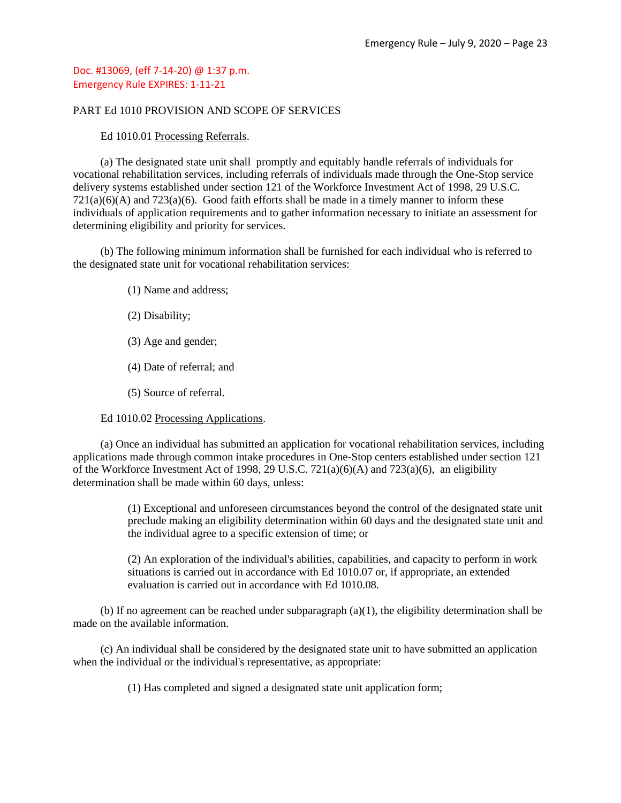#### PART Ed 1010 PROVISION AND SCOPE OF SERVICES

### Ed 1010.01 Processing Referrals.

(a) The designated state unit shall promptly and equitably handle referrals of individuals for vocational rehabilitation services, including referrals of individuals made through the One-Stop service delivery systems established under section 121 of the Workforce Investment Act of 1998, 29 U.S.C.  $721(a)(6)(A)$  and  $723(a)(6)$ . Good faith efforts shall be made in a timely manner to inform these individuals of application requirements and to gather information necessary to initiate an assessment for determining eligibility and priority for services.

(b) The following minimum information shall be furnished for each individual who is referred to the designated state unit for vocational rehabilitation services:

- (1) Name and address;
- (2) Disability;
- (3) Age and gender;
- (4) Date of referral; and
- (5) Source of referral.

Ed 1010.02 Processing Applications.

(a) Once an individual has submitted an application for vocational rehabilitation services, including applications made through common intake procedures in One-Stop centers established under section 121 of the Workforce Investment Act of 1998, 29 U.S.C. 721(a)(6)(A) and 723(a)(6), an eligibility determination shall be made within 60 days, unless:

> (1) Exceptional and unforeseen circumstances beyond the control of the designated state unit preclude making an eligibility determination within 60 days and the designated state unit and the individual agree to a specific extension of time; or

(2) An exploration of the individual's abilities, capabilities, and capacity to perform in work situations is carried out in accordance with Ed 1010.07 or, if appropriate, an extended evaluation is carried out in accordance with Ed 1010.08.

(b) If no agreement can be reached under subparagraph  $(a)(1)$ , the eligibility determination shall be made on the available information.

(c) An individual shall be considered by the designated state unit to have submitted an application when the individual or the individual's representative, as appropriate:

(1) Has completed and signed a designated state unit application form;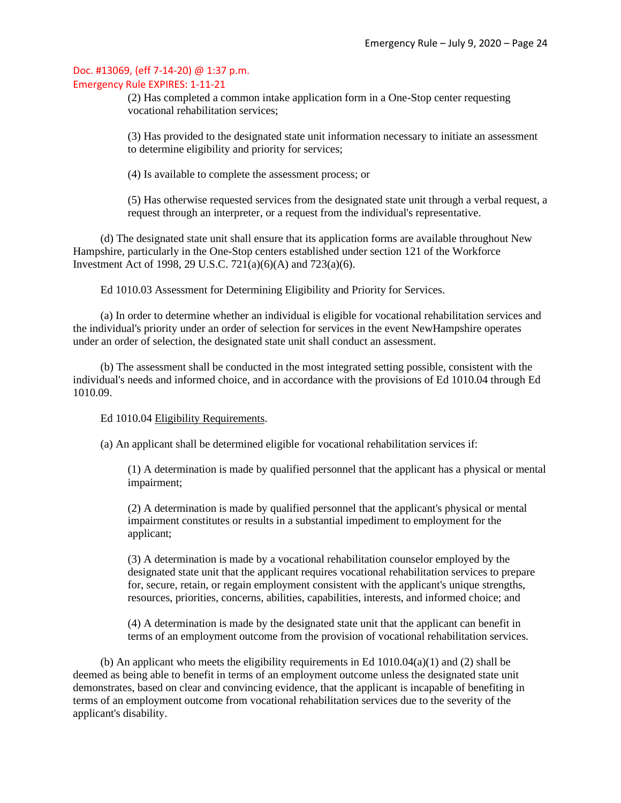(2) Has completed a common intake application form in a One-Stop center requesting vocational rehabilitation services;

(3) Has provided to the designated state unit information necessary to initiate an assessment to determine eligibility and priority for services;

(4) Is available to complete the assessment process; or

(5) Has otherwise requested services from the designated state unit through a verbal request, a request through an interpreter, or a request from the individual's representative.

(d) The designated state unit shall ensure that its application forms are available throughout New Hampshire, particularly in the One-Stop centers established under section 121 of the Workforce Investment Act of 1998, 29 U.S.C. 721(a)(6)(A) and 723(a)(6).

Ed 1010.03 Assessment for Determining Eligibility and Priority for Services.

(a) In order to determine whether an individual is eligible for vocational rehabilitation services and the individual's priority under an order of selection for services in the event NewHampshire operates under an order of selection, the designated state unit shall conduct an assessment.

(b) The assessment shall be conducted in the most integrated setting possible, consistent with the individual's needs and informed choice, and in accordance with the provisions of Ed 1010.04 through Ed 1010.09.

Ed 1010.04 Eligibility Requirements.

(a) An applicant shall be determined eligible for vocational rehabilitation services if:

(1) A determination is made by qualified personnel that the applicant has a physical or mental impairment;

(2) A determination is made by qualified personnel that the applicant's physical or mental impairment constitutes or results in a substantial impediment to employment for the applicant;

(3) A determination is made by a vocational rehabilitation counselor employed by the designated state unit that the applicant requires vocational rehabilitation services to prepare for, secure, retain, or regain employment consistent with the applicant's unique strengths, resources, priorities, concerns, abilities, capabilities, interests, and informed choice; and

(4) A determination is made by the designated state unit that the applicant can benefit in terms of an employment outcome from the provision of vocational rehabilitation services.

(b) An applicant who meets the eligibility requirements in Ed  $1010.04(a)(1)$  and (2) shall be deemed as being able to benefit in terms of an employment outcome unless the designated state unit demonstrates, based on clear and convincing evidence, that the applicant is incapable of benefiting in terms of an employment outcome from vocational rehabilitation services due to the severity of the applicant's disability.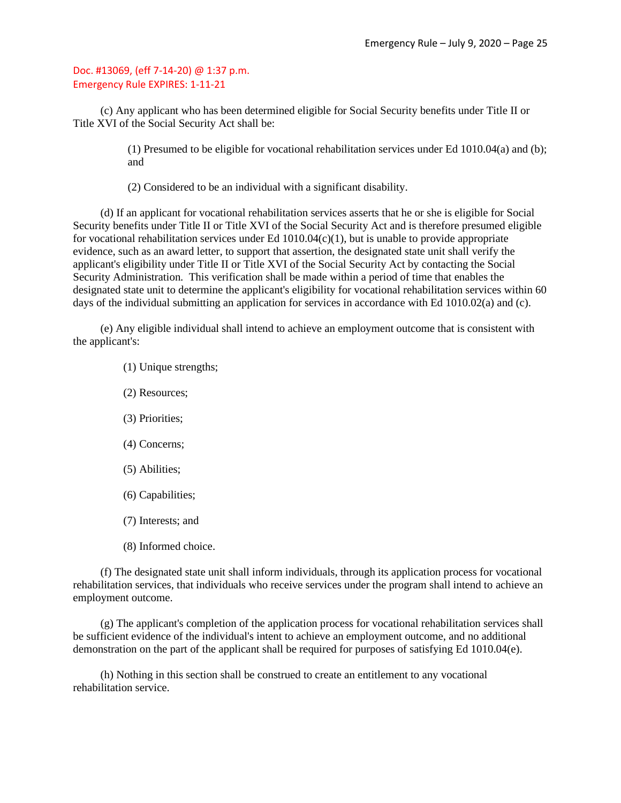(c) Any applicant who has been determined eligible for Social Security benefits under Title II or Title XVI of the Social Security Act shall be:

> (1) Presumed to be eligible for vocational rehabilitation services under Ed 1010.04(a) and (b); and

(2) Considered to be an individual with a significant disability.

(d) If an applicant for vocational rehabilitation services asserts that he or she is eligible for Social Security benefits under Title II or Title XVI of the Social Security Act and is therefore presumed eligible for vocational rehabilitation services under Ed  $1010.04(c)(1)$ , but is unable to provide appropriate evidence, such as an award letter, to support that assertion, the designated state unit shall verify the applicant's eligibility under Title II or Title XVI of the Social Security Act by contacting the Social Security Administration. This verification shall be made within a period of time that enables the designated state unit to determine the applicant's eligibility for vocational rehabilitation services within 60 days of the individual submitting an application for services in accordance with Ed 1010.02(a) and (c).

(e) Any eligible individual shall intend to achieve an employment outcome that is consistent with the applicant's:

(1) Unique strengths;

- (2) Resources;
- (3) Priorities;
- (4) Concerns;
- (5) Abilities;
- (6) Capabilities;
- (7) Interests; and
- (8) Informed choice.

(f) The designated state unit shall inform individuals, through its application process for vocational rehabilitation services, that individuals who receive services under the program shall intend to achieve an employment outcome.

(g) The applicant's completion of the application process for vocational rehabilitation services shall be sufficient evidence of the individual's intent to achieve an employment outcome, and no additional demonstration on the part of the applicant shall be required for purposes of satisfying Ed 1010.04(e).

(h) Nothing in this section shall be construed to create an entitlement to any vocational rehabilitation service.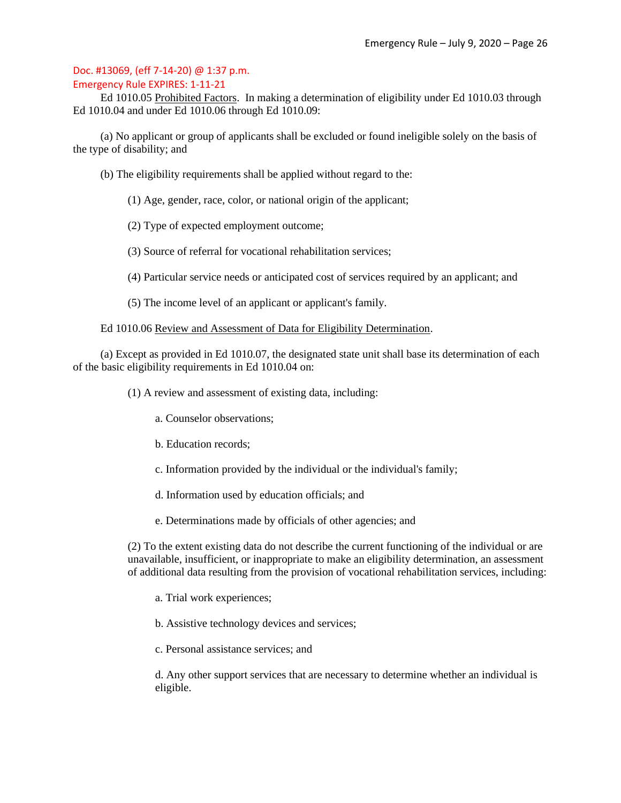## Emergency Rule EXPIRES: 1-11-21

Ed 1010.05 Prohibited Factors. In making a determination of eligibility under Ed 1010.03 through Ed 1010.04 and under Ed 1010.06 through Ed 1010.09:

(a) No applicant or group of applicants shall be excluded or found ineligible solely on the basis of the type of disability; and

(b) The eligibility requirements shall be applied without regard to the:

- (1) Age, gender, race, color, or national origin of the applicant;
- (2) Type of expected employment outcome;
- (3) Source of referral for vocational rehabilitation services;
- (4) Particular service needs or anticipated cost of services required by an applicant; and
- (5) The income level of an applicant or applicant's family.

Ed 1010.06 Review and Assessment of Data for Eligibility Determination.

(a) Except as provided in Ed 1010.07, the designated state unit shall base its determination of each of the basic eligibility requirements in Ed 1010.04 on:

(1) A review and assessment of existing data, including:

- a. Counselor observations;
- b. Education records;
- c. Information provided by the individual or the individual's family;
- d. Information used by education officials; and
- e. Determinations made by officials of other agencies; and

(2) To the extent existing data do not describe the current functioning of the individual or are unavailable, insufficient, or inappropriate to make an eligibility determination, an assessment of additional data resulting from the provision of vocational rehabilitation services, including:

- a. Trial work experiences;
- b. Assistive technology devices and services;
- c. Personal assistance services; and

d. Any other support services that are necessary to determine whether an individual is eligible.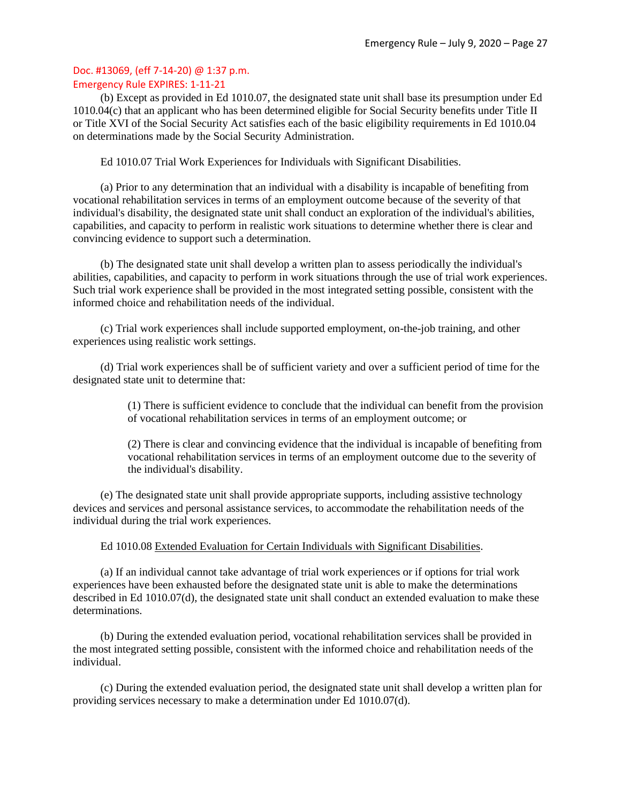(b) Except as provided in Ed 1010.07, the designated state unit shall base its presumption under Ed 1010.04(c) that an applicant who has been determined eligible for Social Security benefits under Title II or Title XVI of the Social Security Act satisfies each of the basic eligibility requirements in Ed 1010.04 on determinations made by the Social Security Administration.

Ed 1010.07 Trial Work Experiences for Individuals with Significant Disabilities.

(a) Prior to any determination that an individual with a disability is incapable of benefiting from vocational rehabilitation services in terms of an employment outcome because of the severity of that individual's disability, the designated state unit shall conduct an exploration of the individual's abilities, capabilities, and capacity to perform in realistic work situations to determine whether there is clear and convincing evidence to support such a determination.

(b) The designated state unit shall develop a written plan to assess periodically the individual's abilities, capabilities, and capacity to perform in work situations through the use of trial work experiences. Such trial work experience shall be provided in the most integrated setting possible, consistent with the informed choice and rehabilitation needs of the individual.

(c) Trial work experiences shall include supported employment, on-the-job training, and other experiences using realistic work settings.

(d) Trial work experiences shall be of sufficient variety and over a sufficient period of time for the designated state unit to determine that:

> (1) There is sufficient evidence to conclude that the individual can benefit from the provision of vocational rehabilitation services in terms of an employment outcome; or

> (2) There is clear and convincing evidence that the individual is incapable of benefiting from vocational rehabilitation services in terms of an employment outcome due to the severity of the individual's disability.

(e) The designated state unit shall provide appropriate supports, including assistive technology devices and services and personal assistance services, to accommodate the rehabilitation needs of the individual during the trial work experiences.

Ed 1010.08 Extended Evaluation for Certain Individuals with Significant Disabilities.

(a) If an individual cannot take advantage of trial work experiences or if options for trial work experiences have been exhausted before the designated state unit is able to make the determinations described in Ed 1010.07(d), the designated state unit shall conduct an extended evaluation to make these determinations.

(b) During the extended evaluation period, vocational rehabilitation services shall be provided in the most integrated setting possible, consistent with the informed choice and rehabilitation needs of the individual.

(c) During the extended evaluation period, the designated state unit shall develop a written plan for providing services necessary to make a determination under Ed 1010.07(d).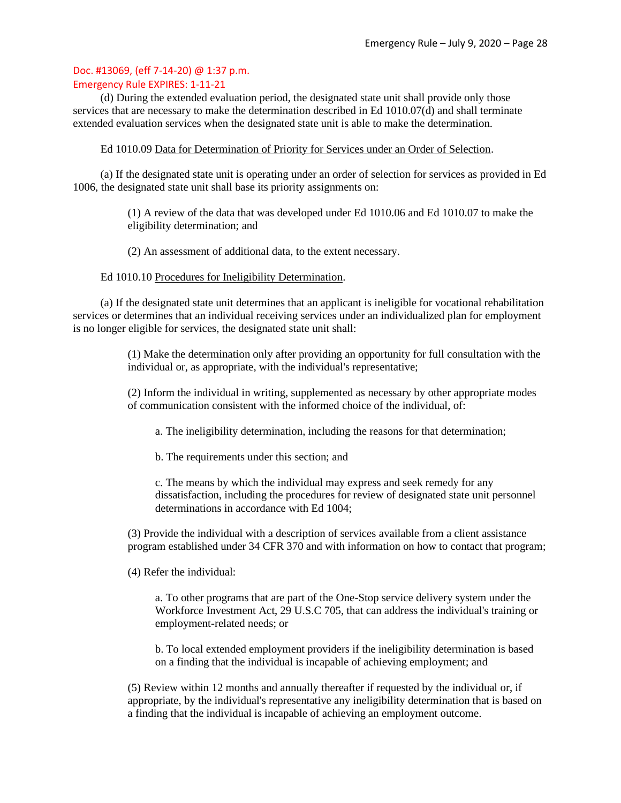Emergency Rule EXPIRES: 1-11-21

(d) During the extended evaluation period, the designated state unit shall provide only those services that are necessary to make the determination described in Ed 1010.07(d) and shall terminate extended evaluation services when the designated state unit is able to make the determination.

Ed 1010.09 Data for Determination of Priority for Services under an Order of Selection.

(a) If the designated state unit is operating under an order of selection for services as provided in Ed 1006, the designated state unit shall base its priority assignments on:

> (1) A review of the data that was developed under Ed 1010.06 and Ed 1010.07 to make the eligibility determination; and

(2) An assessment of additional data, to the extent necessary.

#### Ed 1010.10 Procedures for Ineligibility Determination.

(a) If the designated state unit determines that an applicant is ineligible for vocational rehabilitation services or determines that an individual receiving services under an individualized plan for employment is no longer eligible for services, the designated state unit shall:

> (1) Make the determination only after providing an opportunity for full consultation with the individual or, as appropriate, with the individual's representative;

(2) Inform the individual in writing, supplemented as necessary by other appropriate modes of communication consistent with the informed choice of the individual, of:

a. The ineligibility determination, including the reasons for that determination;

b. The requirements under this section; and

c. The means by which the individual may express and seek remedy for any dissatisfaction, including the procedures for review of designated state unit personnel determinations in accordance with Ed 1004;

(3) Provide the individual with a description of services available from a client assistance program established under 34 CFR 370 and with information on how to contact that program;

(4) Refer the individual:

a. To other programs that are part of the One-Stop service delivery system under the Workforce Investment Act, 29 U.S.C 705, that can address the individual's training or employment-related needs; or

b. To local extended employment providers if the ineligibility determination is based on a finding that the individual is incapable of achieving employment; and

(5) Review within 12 months and annually thereafter if requested by the individual or, if appropriate, by the individual's representative any ineligibility determination that is based on a finding that the individual is incapable of achieving an employment outcome.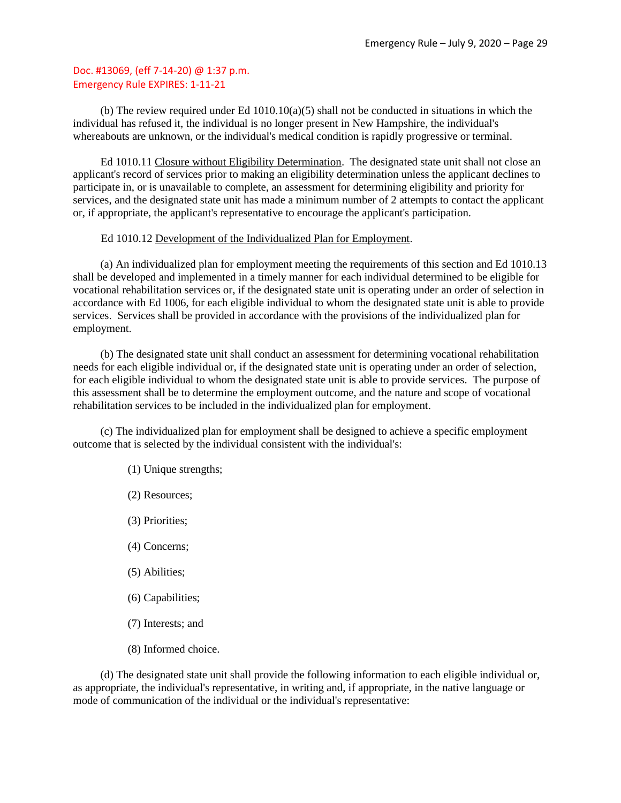(b) The review required under Ed  $1010.10(a)(5)$  shall not be conducted in situations in which the individual has refused it, the individual is no longer present in New Hampshire, the individual's whereabouts are unknown, or the individual's medical condition is rapidly progressive or terminal.

Ed 1010.11 Closure without Eligibility Determination. The designated state unit shall not close an applicant's record of services prior to making an eligibility determination unless the applicant declines to participate in, or is unavailable to complete, an assessment for determining eligibility and priority for services, and the designated state unit has made a minimum number of 2 attempts to contact the applicant or, if appropriate, the applicant's representative to encourage the applicant's participation.

#### Ed 1010.12 Development of the Individualized Plan for Employment.

(a) An individualized plan for employment meeting the requirements of this section and Ed 1010.13 shall be developed and implemented in a timely manner for each individual determined to be eligible for vocational rehabilitation services or, if the designated state unit is operating under an order of selection in accordance with Ed 1006, for each eligible individual to whom the designated state unit is able to provide services. Services shall be provided in accordance with the provisions of the individualized plan for employment.

(b) The designated state unit shall conduct an assessment for determining vocational rehabilitation needs for each eligible individual or, if the designated state unit is operating under an order of selection, for each eligible individual to whom the designated state unit is able to provide services. The purpose of this assessment shall be to determine the employment outcome, and the nature and scope of vocational rehabilitation services to be included in the individualized plan for employment.

(c) The individualized plan for employment shall be designed to achieve a specific employment outcome that is selected by the individual consistent with the individual's:

- (1) Unique strengths;
- (2) Resources;
- (3) Priorities;
- (4) Concerns;
- (5) Abilities;
- (6) Capabilities;
- (7) Interests; and
- (8) Informed choice.

(d) The designated state unit shall provide the following information to each eligible individual or, as appropriate, the individual's representative, in writing and, if appropriate, in the native language or mode of communication of the individual or the individual's representative: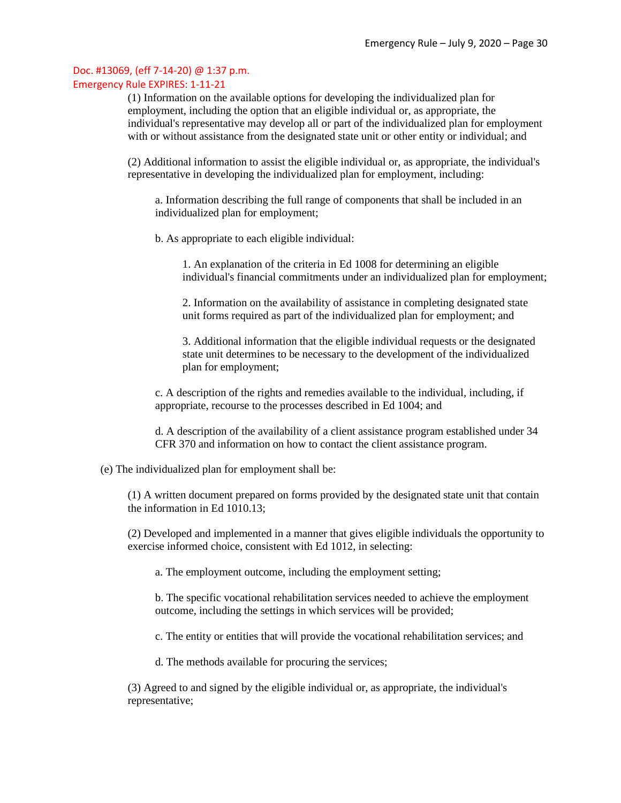(1) Information on the available options for developing the individualized plan for employment, including the option that an eligible individual or, as appropriate, the individual's representative may develop all or part of the individualized plan for employment with or without assistance from the designated state unit or other entity or individual; and

(2) Additional information to assist the eligible individual or, as appropriate, the individual's representative in developing the individualized plan for employment, including:

a. Information describing the full range of components that shall be included in an individualized plan for employment;

b. As appropriate to each eligible individual:

1. An explanation of the criteria in Ed 1008 for determining an eligible individual's financial commitments under an individualized plan for employment;

2. Information on the availability of assistance in completing designated state unit forms required as part of the individualized plan for employment; and

3. Additional information that the eligible individual requests or the designated state unit determines to be necessary to the development of the individualized plan for employment;

c. A description of the rights and remedies available to the individual, including, if appropriate, recourse to the processes described in Ed 1004; and

d. A description of the availability of a client assistance program established under 34 CFR 370 and information on how to contact the client assistance program.

(e) The individualized plan for employment shall be:

(1) A written document prepared on forms provided by the designated state unit that contain the information in Ed 1010.13;

(2) Developed and implemented in a manner that gives eligible individuals the opportunity to exercise informed choice, consistent with Ed 1012, in selecting:

a. The employment outcome, including the employment setting;

b. The specific vocational rehabilitation services needed to achieve the employment outcome, including the settings in which services will be provided;

c. The entity or entities that will provide the vocational rehabilitation services; and

d. The methods available for procuring the services;

(3) Agreed to and signed by the eligible individual or, as appropriate, the individual's representative;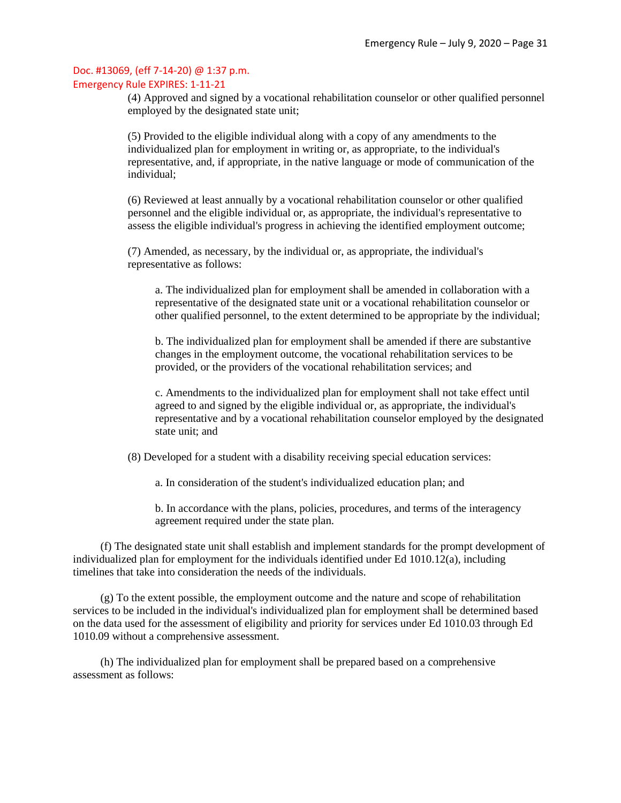(4) Approved and signed by a vocational rehabilitation counselor or other qualified personnel employed by the designated state unit;

(5) Provided to the eligible individual along with a copy of any amendments to the individualized plan for employment in writing or, as appropriate, to the individual's representative, and, if appropriate, in the native language or mode of communication of the individual;

(6) Reviewed at least annually by a vocational rehabilitation counselor or other qualified personnel and the eligible individual or, as appropriate, the individual's representative to assess the eligible individual's progress in achieving the identified employment outcome;

(7) Amended, as necessary, by the individual or, as appropriate, the individual's representative as follows:

a. The individualized plan for employment shall be amended in collaboration with a representative of the designated state unit or a vocational rehabilitation counselor or other qualified personnel, to the extent determined to be appropriate by the individual;

b. The individualized plan for employment shall be amended if there are substantive changes in the employment outcome, the vocational rehabilitation services to be provided, or the providers of the vocational rehabilitation services; and

c. Amendments to the individualized plan for employment shall not take effect until agreed to and signed by the eligible individual or, as appropriate, the individual's representative and by a vocational rehabilitation counselor employed by the designated state unit; and

(8) Developed for a student with a disability receiving special education services:

a. In consideration of the student's individualized education plan; and

b. In accordance with the plans, policies, procedures, and terms of the interagency agreement required under the state plan.

(f) The designated state unit shall establish and implement standards for the prompt development of individualized plan for employment for the individuals identified under Ed 1010.12(a), including timelines that take into consideration the needs of the individuals.

(g) To the extent possible, the employment outcome and the nature and scope of rehabilitation services to be included in the individual's individualized plan for employment shall be determined based on the data used for the assessment of eligibility and priority for services under Ed 1010.03 through Ed 1010.09 without a comprehensive assessment.

(h) The individualized plan for employment shall be prepared based on a comprehensive assessment as follows: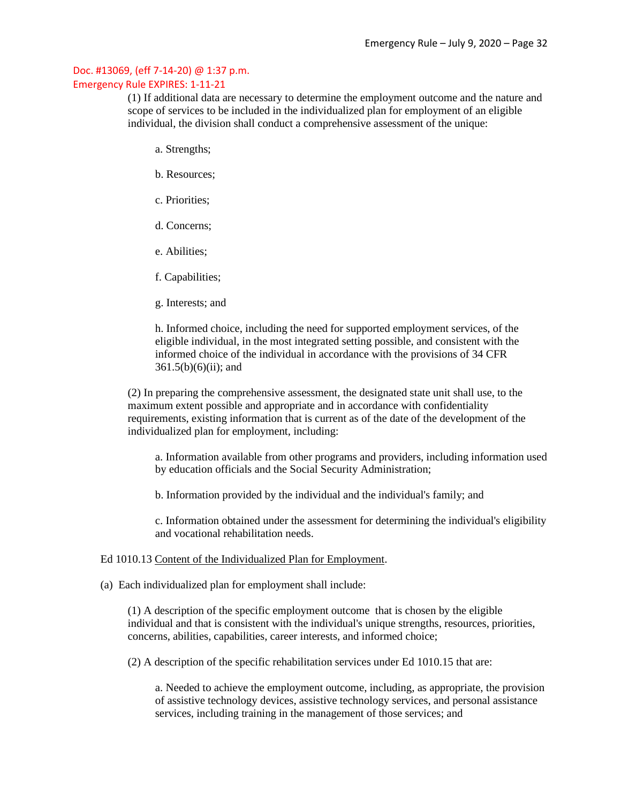(1) If additional data are necessary to determine the employment outcome and the nature and scope of services to be included in the individualized plan for employment of an eligible individual, the division shall conduct a comprehensive assessment of the unique:

- a. Strengths;
- b. Resources;
- c. Priorities;
- d. Concerns;
- e. Abilities;
- f. Capabilities;
- g. Interests; and

h. Informed choice, including the need for supported employment services, of the eligible individual, in the most integrated setting possible, and consistent with the informed choice of the individual in accordance with the provisions of 34 CFR  $361.5(b)(6)(ii)$ ; and

(2) In preparing the comprehensive assessment, the designated state unit shall use, to the maximum extent possible and appropriate and in accordance with confidentiality requirements, existing information that is current as of the date of the development of the individualized plan for employment, including:

a. Information available from other programs and providers, including information used by education officials and the Social Security Administration;

b. Information provided by the individual and the individual's family; and

c. Information obtained under the assessment for determining the individual's eligibility and vocational rehabilitation needs.

Ed 1010.13 Content of the Individualized Plan for Employment.

(a) Each individualized plan for employment shall include:

(1) A description of the specific employment outcome that is chosen by the eligible individual and that is consistent with the individual's unique strengths, resources, priorities, concerns, abilities, capabilities, career interests, and informed choice;

(2) A description of the specific rehabilitation services under Ed 1010.15 that are:

a. Needed to achieve the employment outcome, including, as appropriate, the provision of assistive technology devices, assistive technology services, and personal assistance services, including training in the management of those services; and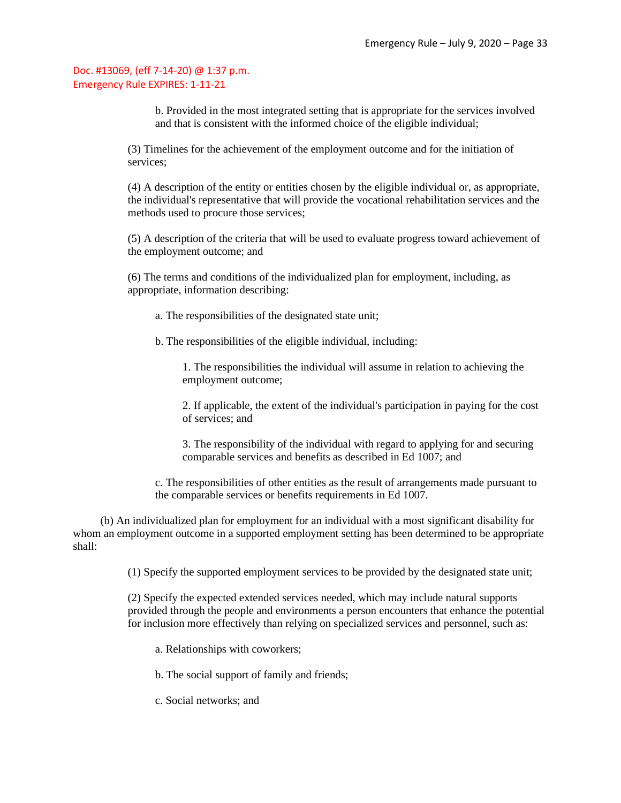> b. Provided in the most integrated setting that is appropriate for the services involved and that is consistent with the informed choice of the eligible individual;

(3) Timelines for the achievement of the employment outcome and for the initiation of services;

(4) A description of the entity or entities chosen by the eligible individual or, as appropriate, the individual's representative that will provide the vocational rehabilitation services and the methods used to procure those services;

(5) A description of the criteria that will be used to evaluate progress toward achievement of the employment outcome; and

(6) The terms and conditions of the individualized plan for employment, including, as appropriate, information describing:

a. The responsibilities of the designated state unit;

b. The responsibilities of the eligible individual, including:

1. The responsibilities the individual will assume in relation to achieving the employment outcome;

2. If applicable, the extent of the individual's participation in paying for the cost of services; and

3. The responsibility of the individual with regard to applying for and securing comparable services and benefits as described in Ed 1007; and

c. The responsibilities of other entities as the result of arrangements made pursuant to the comparable services or benefits requirements in Ed 1007.

(b) An individualized plan for employment for an individual with a most significant disability for whom an employment outcome in a supported employment setting has been determined to be appropriate shall:

(1) Specify the supported employment services to be provided by the designated state unit;

(2) Specify the expected extended services needed, which may include natural supports provided through the people and environments a person encounters that enhance the potential for inclusion more effectively than relying on specialized services and personnel, such as:

a. Relationships with coworkers;

b. The social support of family and friends;

c. Social networks; and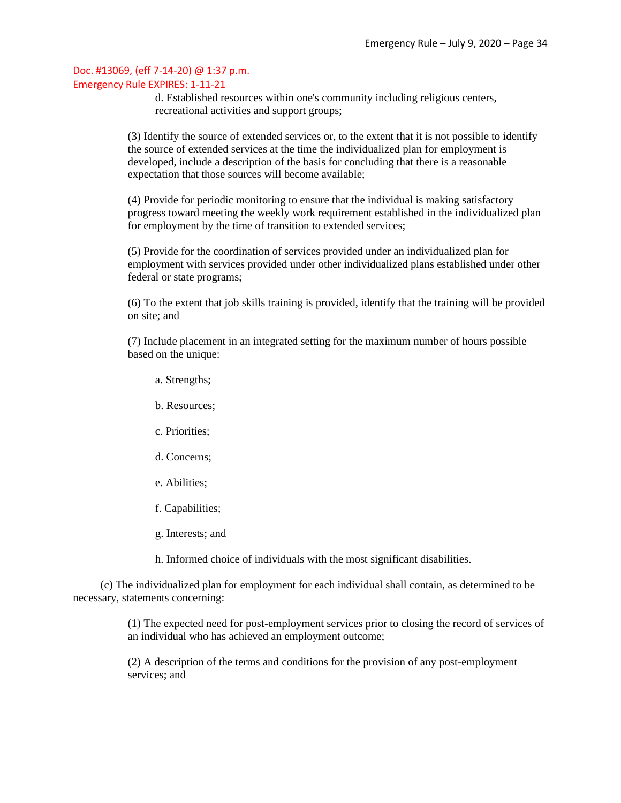d. Established resources within one's community including religious centers, recreational activities and support groups;

(3) Identify the source of extended services or, to the extent that it is not possible to identify the source of extended services at the time the individualized plan for employment is developed, include a description of the basis for concluding that there is a reasonable expectation that those sources will become available;

(4) Provide for periodic monitoring to ensure that the individual is making satisfactory progress toward meeting the weekly work requirement established in the individualized plan for employment by the time of transition to extended services;

(5) Provide for the coordination of services provided under an individualized plan for employment with services provided under other individualized plans established under other federal or state programs;

(6) To the extent that job skills training is provided, identify that the training will be provided on site; and

(7) Include placement in an integrated setting for the maximum number of hours possible based on the unique:

- a. Strengths;
- b. Resources;
- c. Priorities;
- d. Concerns;
- e. Abilities;
- f. Capabilities;
- g. Interests; and
- h. Informed choice of individuals with the most significant disabilities.

(c) The individualized plan for employment for each individual shall contain, as determined to be necessary, statements concerning:

> (1) The expected need for post-employment services prior to closing the record of services of an individual who has achieved an employment outcome;

(2) A description of the terms and conditions for the provision of any post-employment services; and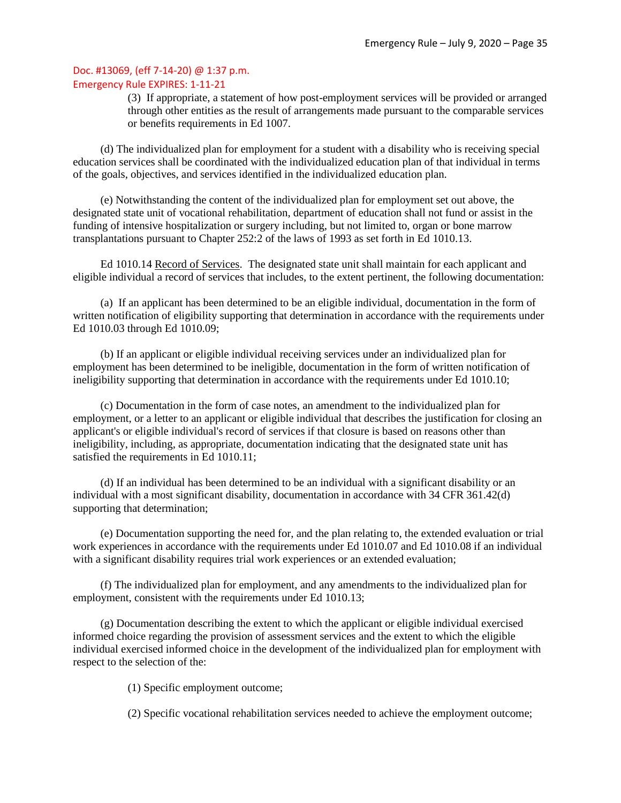(3) If appropriate, a statement of how post-employment services will be provided or arranged through other entities as the result of arrangements made pursuant to the comparable services or benefits requirements in Ed 1007.

(d) The individualized plan for employment for a student with a disability who is receiving special education services shall be coordinated with the individualized education plan of that individual in terms of the goals, objectives, and services identified in the individualized education plan.

(e) Notwithstanding the content of the individualized plan for employment set out above, the designated state unit of vocational rehabilitation, department of education shall not fund or assist in the funding of intensive hospitalization or surgery including, but not limited to, organ or bone marrow transplantations pursuant to Chapter 252:2 of the laws of 1993 as set forth in Ed 1010.13.

Ed 1010.14 Record of Services. The designated state unit shall maintain for each applicant and eligible individual a record of services that includes, to the extent pertinent, the following documentation:

(a) If an applicant has been determined to be an eligible individual, documentation in the form of written notification of eligibility supporting that determination in accordance with the requirements under Ed 1010.03 through Ed 1010.09;

(b) If an applicant or eligible individual receiving services under an individualized plan for employment has been determined to be ineligible, documentation in the form of written notification of ineligibility supporting that determination in accordance with the requirements under Ed 1010.10;

(c) Documentation in the form of case notes, an amendment to the individualized plan for employment, or a letter to an applicant or eligible individual that describes the justification for closing an applicant's or eligible individual's record of services if that closure is based on reasons other than ineligibility, including, as appropriate, documentation indicating that the designated state unit has satisfied the requirements in Ed 1010.11;

(d) If an individual has been determined to be an individual with a significant disability or an individual with a most significant disability, documentation in accordance with 34 CFR 361.42(d) supporting that determination;

(e) Documentation supporting the need for, and the plan relating to, the extended evaluation or trial work experiences in accordance with the requirements under Ed 1010.07 and Ed 1010.08 if an individual with a significant disability requires trial work experiences or an extended evaluation;

(f) The individualized plan for employment, and any amendments to the individualized plan for employment, consistent with the requirements under Ed 1010.13;

(g) Documentation describing the extent to which the applicant or eligible individual exercised informed choice regarding the provision of assessment services and the extent to which the eligible individual exercised informed choice in the development of the individualized plan for employment with respect to the selection of the:

(1) Specific employment outcome;

(2) Specific vocational rehabilitation services needed to achieve the employment outcome;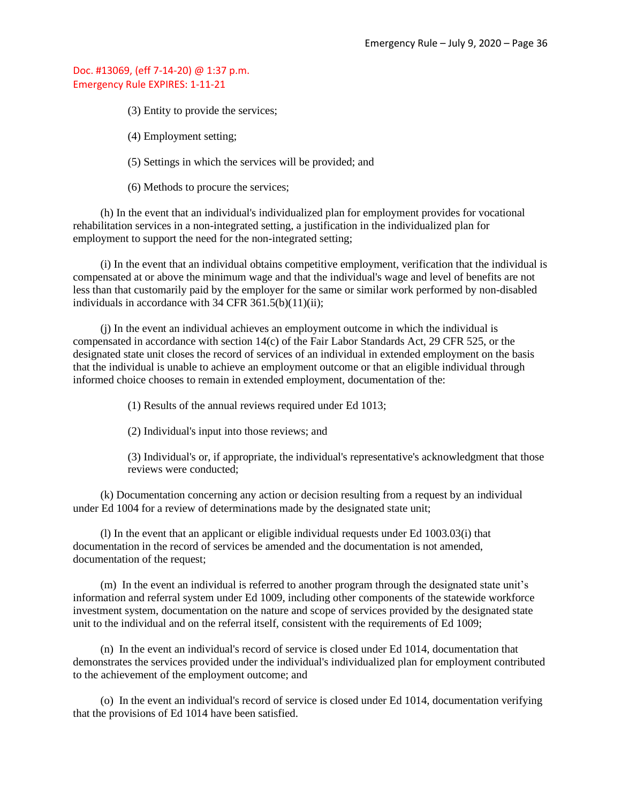(3) Entity to provide the services;

(4) Employment setting;

(5) Settings in which the services will be provided; and

(6) Methods to procure the services;

(h) In the event that an individual's individualized plan for employment provides for vocational rehabilitation services in a non-integrated setting, a justification in the individualized plan for employment to support the need for the non-integrated setting;

(i) In the event that an individual obtains competitive employment, verification that the individual is compensated at or above the minimum wage and that the individual's wage and level of benefits are not less than that customarily paid by the employer for the same or similar work performed by non-disabled individuals in accordance with 34 CFR 361.5(b)(11)(ii);

(j) In the event an individual achieves an employment outcome in which the individual is compensated in accordance with section 14(c) of the Fair Labor Standards Act, 29 CFR 525, or the designated state unit closes the record of services of an individual in extended employment on the basis that the individual is unable to achieve an employment outcome or that an eligible individual through informed choice chooses to remain in extended employment, documentation of the:

(1) Results of the annual reviews required under Ed 1013;

(2) Individual's input into those reviews; and

(3) Individual's or, if appropriate, the individual's representative's acknowledgment that those reviews were conducted;

(k) Documentation concerning any action or decision resulting from a request by an individual under Ed 1004 for a review of determinations made by the designated state unit;

(l) In the event that an applicant or eligible individual requests under Ed 1003.03(i) that documentation in the record of services be amended and the documentation is not amended, documentation of the request;

(m) In the event an individual is referred to another program through the designated state unit's information and referral system under Ed 1009, including other components of the statewide workforce investment system, documentation on the nature and scope of services provided by the designated state unit to the individual and on the referral itself, consistent with the requirements of Ed 1009;

(n) In the event an individual's record of service is closed under Ed 1014, documentation that demonstrates the services provided under the individual's individualized plan for employment contributed to the achievement of the employment outcome; and

(o) In the event an individual's record of service is closed under Ed 1014, documentation verifying that the provisions of Ed 1014 have been satisfied.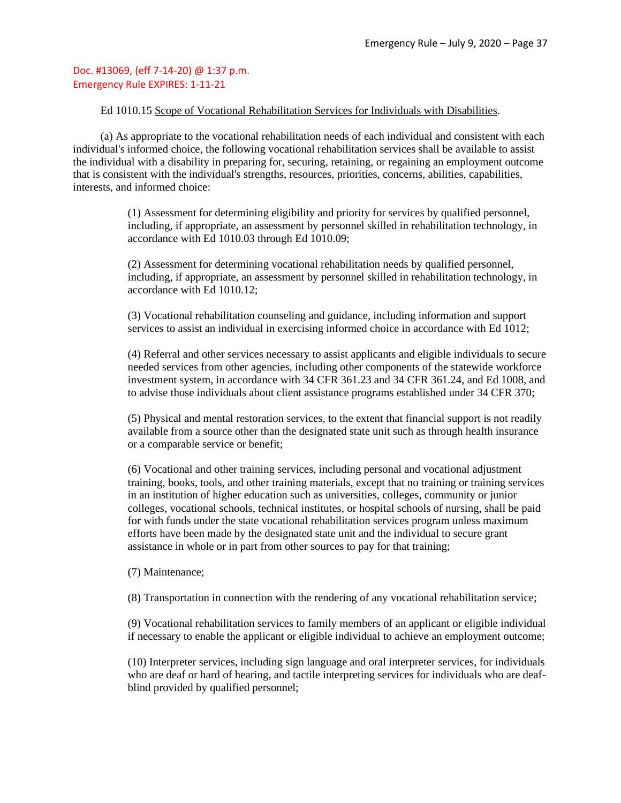#### Ed 1010.15 Scope of Vocational Rehabilitation Services for Individuals with Disabilities.

(a) As appropriate to the vocational rehabilitation needs of each individual and consistent with each individual's informed choice, the following vocational rehabilitation services shall be available to assist the individual with a disability in preparing for, securing, retaining, or regaining an employment outcome that is consistent with the individual's strengths, resources, priorities, concerns, abilities, capabilities, interests, and informed choice:

> (1) Assessment for determining eligibility and priority for services by qualified personnel, including, if appropriate, an assessment by personnel skilled in rehabilitation technology, in accordance with Ed 1010.03 through Ed 1010.09;

> (2) Assessment for determining vocational rehabilitation needs by qualified personnel, including, if appropriate, an assessment by personnel skilled in rehabilitation technology, in accordance with Ed 1010.12;

(3) Vocational rehabilitation counseling and guidance, including information and support services to assist an individual in exercising informed choice in accordance with Ed 1012;

(4) Referral and other services necessary to assist applicants and eligible individuals to secure needed services from other agencies, including other components of the statewide workforce investment system, in accordance with 34 CFR 361.23 and 34 CFR 361.24, and Ed 1008, and to advise those individuals about client assistance programs established under 34 CFR 370;

(5) Physical and mental restoration services, to the extent that financial support is not readily available from a source other than the designated state unit such as through health insurance or a comparable service or benefit;

(6) Vocational and other training services, including personal and vocational adjustment training, books, tools, and other training materials, except that no training or training services in an institution of higher education such as universities, colleges, community or junior colleges, vocational schools, technical institutes, or hospital schools of nursing, shall be paid for with funds under the state vocational rehabilitation services program unless maximum efforts have been made by the designated state unit and the individual to secure grant assistance in whole or in part from other sources to pay for that training;

(7) Maintenance;

(8) Transportation in connection with the rendering of any vocational rehabilitation service;

(9) Vocational rehabilitation services to family members of an applicant or eligible individual if necessary to enable the applicant or eligible individual to achieve an employment outcome;

(10) Interpreter services, including sign language and oral interpreter services, for individuals who are deaf or hard of hearing, and tactile interpreting services for individuals who are deafblind provided by qualified personnel;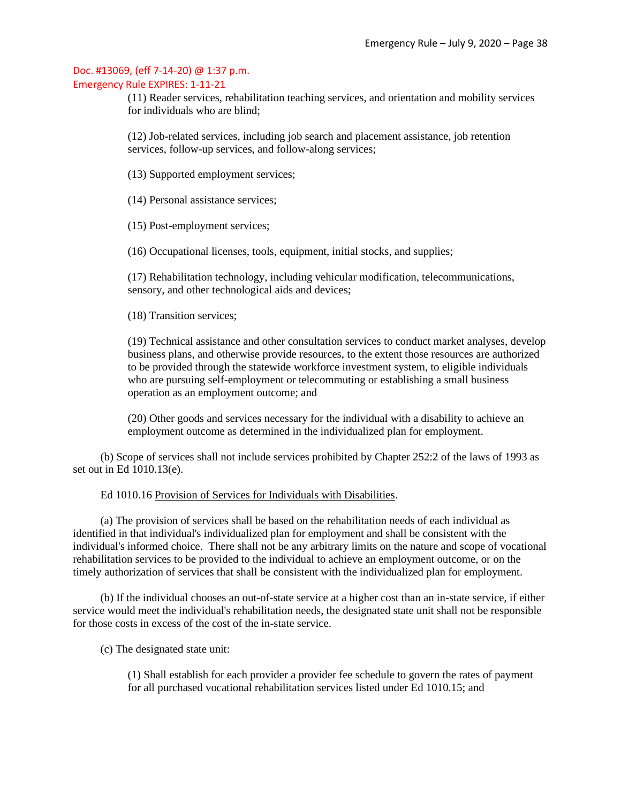(11) Reader services, rehabilitation teaching services, and orientation and mobility services for individuals who are blind;

(12) Job-related services, including job search and placement assistance, job retention services, follow-up services, and follow-along services;

(13) Supported employment services;

(14) Personal assistance services;

(15) Post-employment services;

(16) Occupational licenses, tools, equipment, initial stocks, and supplies;

(17) Rehabilitation technology, including vehicular modification, telecommunications, sensory, and other technological aids and devices;

(18) Transition services;

(19) Technical assistance and other consultation services to conduct market analyses, develop business plans, and otherwise provide resources, to the extent those resources are authorized to be provided through the statewide workforce investment system, to eligible individuals who are pursuing self-employment or telecommuting or establishing a small business operation as an employment outcome; and

(20) Other goods and services necessary for the individual with a disability to achieve an employment outcome as determined in the individualized plan for employment.

(b) Scope of services shall not include services prohibited by Chapter 252:2 of the laws of 1993 as set out in Ed 1010.13(e).

### Ed 1010.16 Provision of Services for Individuals with Disabilities.

(a) The provision of services shall be based on the rehabilitation needs of each individual as identified in that individual's individualized plan for employment and shall be consistent with the individual's informed choice. There shall not be any arbitrary limits on the nature and scope of vocational rehabilitation services to be provided to the individual to achieve an employment outcome, or on the timely authorization of services that shall be consistent with the individualized plan for employment.

(b) If the individual chooses an out-of-state service at a higher cost than an in-state service, if either service would meet the individual's rehabilitation needs, the designated state unit shall not be responsible for those costs in excess of the cost of the in-state service.

(c) The designated state unit:

(1) Shall establish for each provider a provider fee schedule to govern the rates of payment for all purchased vocational rehabilitation services listed under Ed 1010.15; and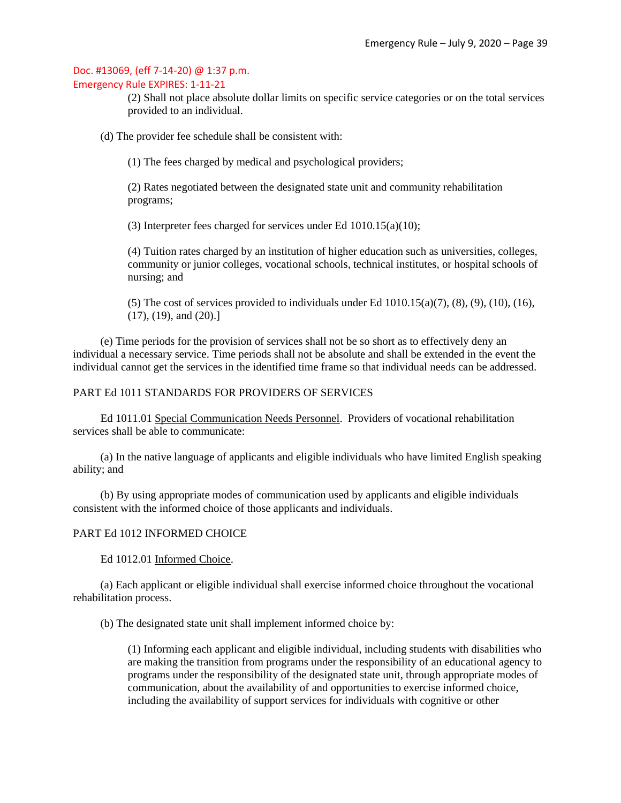Emergency Rule EXPIRES: 1-11-21

(2) Shall not place absolute dollar limits on specific service categories or on the total services provided to an individual.

(d) The provider fee schedule shall be consistent with:

(1) The fees charged by medical and psychological providers;

(2) Rates negotiated between the designated state unit and community rehabilitation programs;

(3) Interpreter fees charged for services under Ed 1010.15(a)(10);

(4) Tuition rates charged by an institution of higher education such as universities, colleges, community or junior colleges, vocational schools, technical institutes, or hospital schools of nursing; and

(5) The cost of services provided to individuals under Ed  $1010.15(a)(7)$ ,  $(8)$ ,  $(9)$ ,  $(10)$ ,  $(16)$ , (17), (19), and (20).]

(e) Time periods for the provision of services shall not be so short as to effectively deny an individual a necessary service. Time periods shall not be absolute and shall be extended in the event the individual cannot get the services in the identified time frame so that individual needs can be addressed.

### PART Ed 1011 STANDARDS FOR PROVIDERS OF SERVICES

Ed 1011.01 Special Communication Needs Personnel. Providers of vocational rehabilitation services shall be able to communicate:

(a) In the native language of applicants and eligible individuals who have limited English speaking ability; and

(b) By using appropriate modes of communication used by applicants and eligible individuals consistent with the informed choice of those applicants and individuals.

#### PART Ed 1012 INFORMED CHOICE

Ed 1012.01 Informed Choice.

(a) Each applicant or eligible individual shall exercise informed choice throughout the vocational rehabilitation process.

(b) The designated state unit shall implement informed choice by:

(1) Informing each applicant and eligible individual, including students with disabilities who are making the transition from programs under the responsibility of an educational agency to programs under the responsibility of the designated state unit, through appropriate modes of communication, about the availability of and opportunities to exercise informed choice, including the availability of support services for individuals with cognitive or other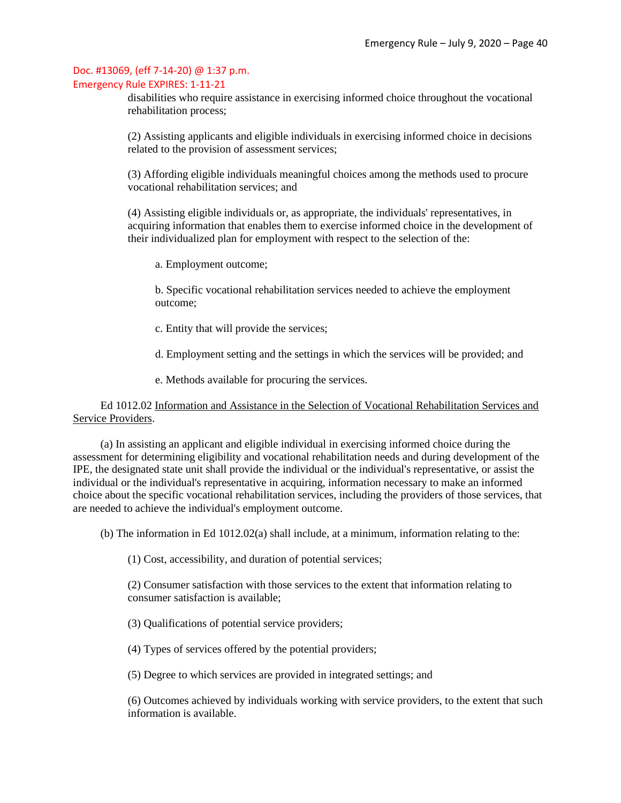### Emergency Rule EXPIRES: 1-11-21

disabilities who require assistance in exercising informed choice throughout the vocational rehabilitation process;

(2) Assisting applicants and eligible individuals in exercising informed choice in decisions related to the provision of assessment services;

(3) Affording eligible individuals meaningful choices among the methods used to procure vocational rehabilitation services; and

(4) Assisting eligible individuals or, as appropriate, the individuals' representatives, in acquiring information that enables them to exercise informed choice in the development of their individualized plan for employment with respect to the selection of the:

a. Employment outcome;

b. Specific vocational rehabilitation services needed to achieve the employment outcome;

c. Entity that will provide the services;

d. Employment setting and the settings in which the services will be provided; and

e. Methods available for procuring the services.

Ed 1012.02 Information and Assistance in the Selection of Vocational Rehabilitation Services and Service Providers.

(a) In assisting an applicant and eligible individual in exercising informed choice during the assessment for determining eligibility and vocational rehabilitation needs and during development of the IPE, the designated state unit shall provide the individual or the individual's representative, or assist the individual or the individual's representative in acquiring, information necessary to make an informed choice about the specific vocational rehabilitation services, including the providers of those services, that are needed to achieve the individual's employment outcome.

(b) The information in Ed 1012.02(a) shall include, at a minimum, information relating to the:

(1) Cost, accessibility, and duration of potential services;

(2) Consumer satisfaction with those services to the extent that information relating to consumer satisfaction is available;

(3) Qualifications of potential service providers;

(4) Types of services offered by the potential providers;

(5) Degree to which services are provided in integrated settings; and

(6) Outcomes achieved by individuals working with service providers, to the extent that such information is available.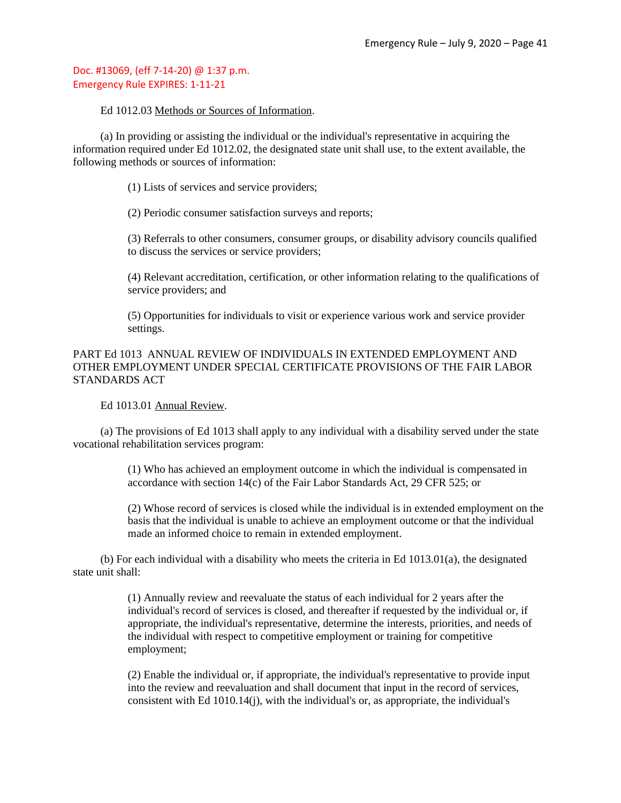### Ed 1012.03 Methods or Sources of Information.

(a) In providing or assisting the individual or the individual's representative in acquiring the information required under Ed 1012.02, the designated state unit shall use, to the extent available, the following methods or sources of information:

(1) Lists of services and service providers;

(2) Periodic consumer satisfaction surveys and reports;

(3) Referrals to other consumers, consumer groups, or disability advisory councils qualified to discuss the services or service providers;

(4) Relevant accreditation, certification, or other information relating to the qualifications of service providers; and

(5) Opportunities for individuals to visit or experience various work and service provider settings.

### PART Ed 1013 ANNUAL REVIEW OF INDIVIDUALS IN EXTENDED EMPLOYMENT AND OTHER EMPLOYMENT UNDER SPECIAL CERTIFICATE PROVISIONS OF THE FAIR LABOR STANDARDS ACT

Ed 1013.01 Annual Review.

(a) The provisions of Ed 1013 shall apply to any individual with a disability served under the state vocational rehabilitation services program:

> (1) Who has achieved an employment outcome in which the individual is compensated in accordance with section 14(c) of the Fair Labor Standards Act, 29 CFR 525; or

(2) Whose record of services is closed while the individual is in extended employment on the basis that the individual is unable to achieve an employment outcome or that the individual made an informed choice to remain in extended employment.

(b) For each individual with a disability who meets the criteria in Ed 1013.01(a), the designated state unit shall:

> (1) Annually review and reevaluate the status of each individual for 2 years after the individual's record of services is closed, and thereafter if requested by the individual or, if appropriate, the individual's representative, determine the interests, priorities, and needs of the individual with respect to competitive employment or training for competitive employment;

> (2) Enable the individual or, if appropriate, the individual's representative to provide input into the review and reevaluation and shall document that input in the record of services, consistent with Ed 1010.14(j), with the individual's or, as appropriate, the individual's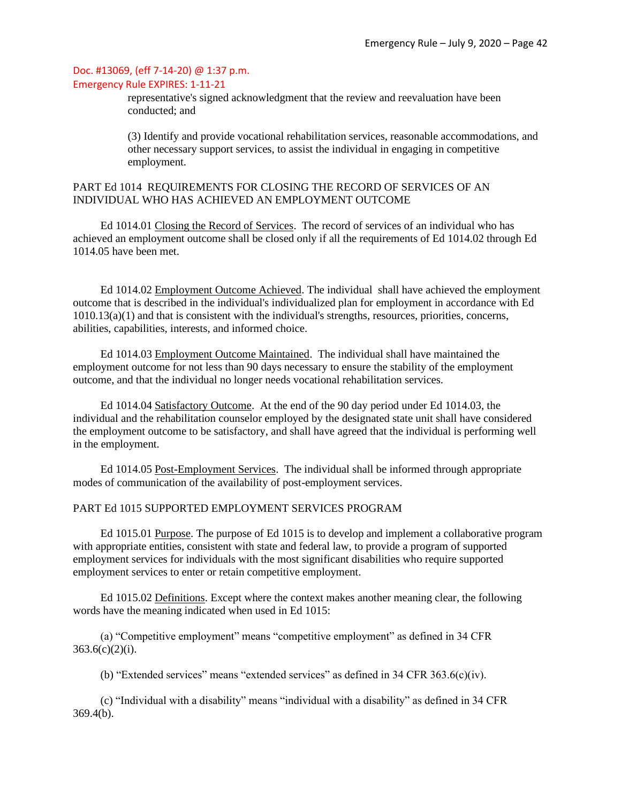representative's signed acknowledgment that the review and reevaluation have been conducted; and

(3) Identify and provide vocational rehabilitation services, reasonable accommodations, and other necessary support services, to assist the individual in engaging in competitive employment.

### PART Ed 1014 REQUIREMENTS FOR CLOSING THE RECORD OF SERVICES OF AN INDIVIDUAL WHO HAS ACHIEVED AN EMPLOYMENT OUTCOME

Ed 1014.01 Closing the Record of Services. The record of services of an individual who has achieved an employment outcome shall be closed only if all the requirements of Ed 1014.02 through Ed 1014.05 have been met.

Ed 1014.02 Employment Outcome Achieved. The individual shall have achieved the employment outcome that is described in the individual's individualized plan for employment in accordance with Ed 1010.13(a)(1) and that is consistent with the individual's strengths, resources, priorities, concerns, abilities, capabilities, interests, and informed choice.

Ed 1014.03 Employment Outcome Maintained. The individual shall have maintained the employment outcome for not less than 90 days necessary to ensure the stability of the employment outcome, and that the individual no longer needs vocational rehabilitation services.

Ed 1014.04 Satisfactory Outcome. At the end of the 90 day period under Ed 1014.03, the individual and the rehabilitation counselor employed by the designated state unit shall have considered the employment outcome to be satisfactory, and shall have agreed that the individual is performing well in the employment.

Ed 1014.05 Post-Employment Services. The individual shall be informed through appropriate modes of communication of the availability of post-employment services.

### PART Ed 1015 SUPPORTED EMPLOYMENT SERVICES PROGRAM

Ed 1015.01 Purpose. The purpose of Ed 1015 is to develop and implement a collaborative program with appropriate entities, consistent with state and federal law, to provide a program of supported employment services for individuals with the most significant disabilities who require supported employment services to enter or retain competitive employment.

Ed 1015.02 Definitions. Except where the context makes another meaning clear, the following words have the meaning indicated when used in Ed 1015:

(a) "Competitive employment" means "competitive employment" as defined in 34 CFR  $363.6(c)(2)(i)$ .

(b) "Extended services" means "extended services" as defined in 34 CFR 363.6(c)(iv).

(c) "Individual with a disability" means "individual with a disability" as defined in 34 CFR 369.4(b).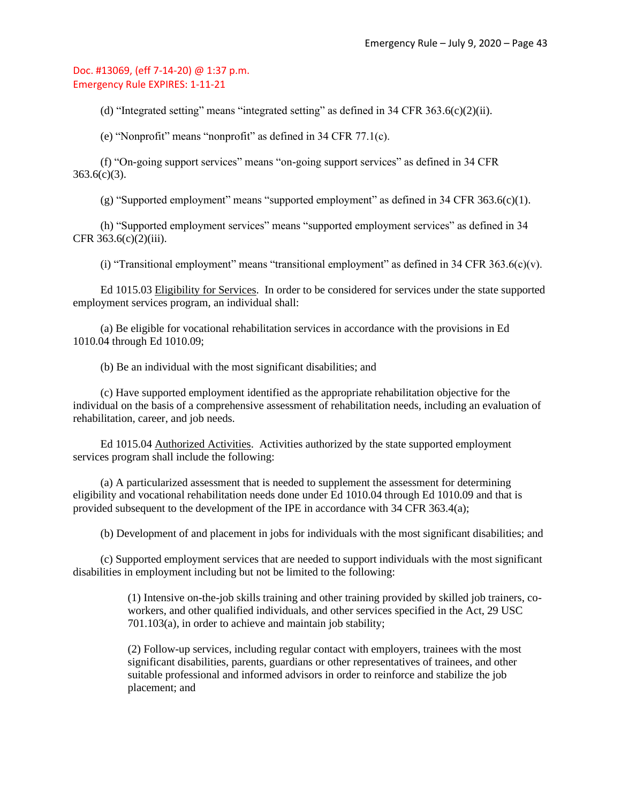(d) "Integrated setting" means "integrated setting" as defined in 34 CFR  $363.6(c)(2)(ii)$ .

(e) "Nonprofit" means "nonprofit" as defined in 34 CFR 77.1(c).

(f) "On-going support services" means "on-going support services" as defined in 34 CFR  $363.6(c)(3)$ .

(g) "Supported employment" means "supported employment" as defined in 34 CFR 363.6(c)(1).

(h) "Supported employment services" means "supported employment services" as defined in 34 CFR 363.6(c)(2)(iii).

(i) "Transitional employment" means "transitional employment" as defined in 34 CFR  $363.6(c)(v)$ .

Ed 1015.03 Eligibility for Services. In order to be considered for services under the state supported employment services program, an individual shall:

(a) Be eligible for vocational rehabilitation services in accordance with the provisions in Ed 1010.04 through Ed 1010.09;

(b) Be an individual with the most significant disabilities; and

(c) Have supported employment identified as the appropriate rehabilitation objective for the individual on the basis of a comprehensive assessment of rehabilitation needs, including an evaluation of rehabilitation, career, and job needs.

Ed 1015.04 Authorized Activities. Activities authorized by the state supported employment services program shall include the following:

(a) A particularized assessment that is needed to supplement the assessment for determining eligibility and vocational rehabilitation needs done under Ed 1010.04 through Ed 1010.09 and that is provided subsequent to the development of the IPE in accordance with 34 CFR 363.4(a);

(b) Development of and placement in jobs for individuals with the most significant disabilities; and

(c) Supported employment services that are needed to support individuals with the most significant disabilities in employment including but not be limited to the following:

> (1) Intensive on-the-job skills training and other training provided by skilled job trainers, coworkers, and other qualified individuals, and other services specified in the Act, 29 USC 701.103(a), in order to achieve and maintain job stability;

(2) Follow-up services, including regular contact with employers, trainees with the most significant disabilities, parents, guardians or other representatives of trainees, and other suitable professional and informed advisors in order to reinforce and stabilize the job placement; and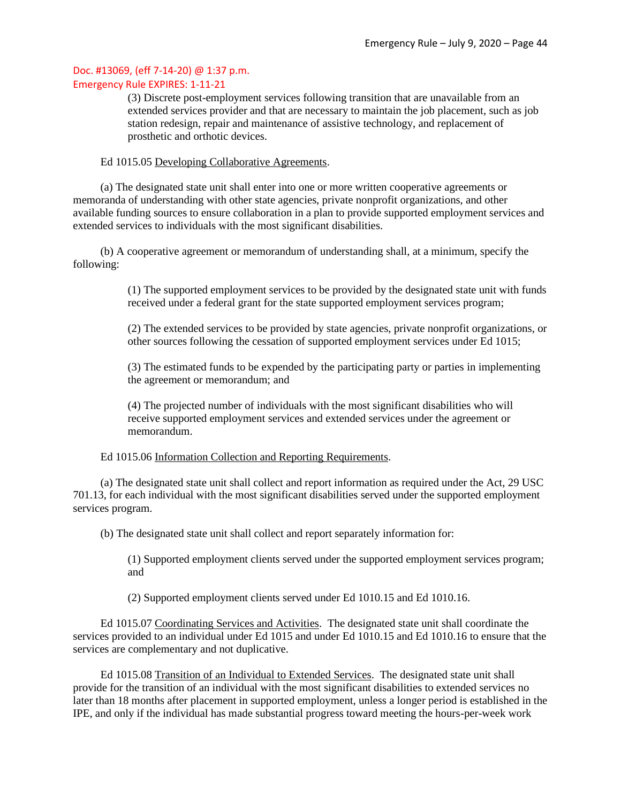(3) Discrete post-employment services following transition that are unavailable from an extended services provider and that are necessary to maintain the job placement, such as job station redesign, repair and maintenance of assistive technology, and replacement of prosthetic and orthotic devices.

Ed 1015.05 Developing Collaborative Agreements.

(a) The designated state unit shall enter into one or more written cooperative agreements or memoranda of understanding with other state agencies, private nonprofit organizations, and other available funding sources to ensure collaboration in a plan to provide supported employment services and extended services to individuals with the most significant disabilities.

(b) A cooperative agreement or memorandum of understanding shall, at a minimum, specify the following:

> (1) The supported employment services to be provided by the designated state unit with funds received under a federal grant for the state supported employment services program;

> (2) The extended services to be provided by state agencies, private nonprofit organizations, or other sources following the cessation of supported employment services under Ed 1015;

(3) The estimated funds to be expended by the participating party or parties in implementing the agreement or memorandum; and

(4) The projected number of individuals with the most significant disabilities who will receive supported employment services and extended services under the agreement or memorandum.

Ed 1015.06 Information Collection and Reporting Requirements.

(a) The designated state unit shall collect and report information as required under the Act, 29 USC 701.13, for each individual with the most significant disabilities served under the supported employment services program.

(b) The designated state unit shall collect and report separately information for:

(1) Supported employment clients served under the supported employment services program; and

(2) Supported employment clients served under Ed 1010.15 and Ed 1010.16.

Ed 1015.07 Coordinating Services and Activities. The designated state unit shall coordinate the services provided to an individual under Ed 1015 and under Ed 1010.15 and Ed 1010.16 to ensure that the services are complementary and not duplicative.

Ed 1015.08 Transition of an Individual to Extended Services. The designated state unit shall provide for the transition of an individual with the most significant disabilities to extended services no later than 18 months after placement in supported employment, unless a longer period is established in the IPE, and only if the individual has made substantial progress toward meeting the hours-per-week work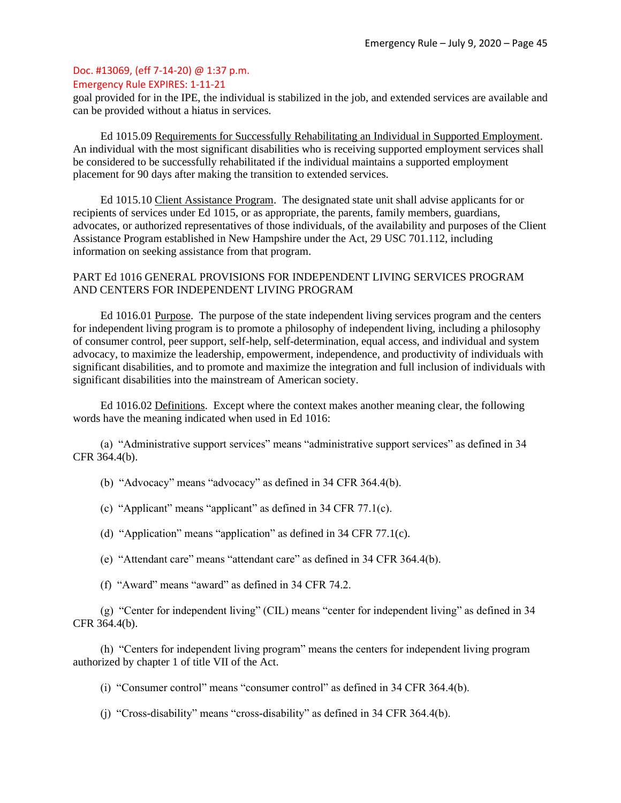### Emergency Rule EXPIRES: 1-11-21

goal provided for in the IPE, the individual is stabilized in the job, and extended services are available and can be provided without a hiatus in services.

Ed 1015.09 Requirements for Successfully Rehabilitating an Individual in Supported Employment. An individual with the most significant disabilities who is receiving supported employment services shall be considered to be successfully rehabilitated if the individual maintains a supported employment placement for 90 days after making the transition to extended services.

Ed 1015.10 Client Assistance Program. The designated state unit shall advise applicants for or recipients of services under Ed 1015, or as appropriate, the parents, family members, guardians, advocates, or authorized representatives of those individuals, of the availability and purposes of the Client Assistance Program established in New Hampshire under the Act, 29 USC 701.112, including information on seeking assistance from that program.

### PART Ed 1016 GENERAL PROVISIONS FOR INDEPENDENT LIVING SERVICES PROGRAM AND CENTERS FOR INDEPENDENT LIVING PROGRAM

Ed 1016.01 Purpose. The purpose of the state independent living services program and the centers for independent living program is to promote a philosophy of independent living, including a philosophy of consumer control, peer support, self-help, self-determination, equal access, and individual and system advocacy, to maximize the leadership, empowerment, independence, and productivity of individuals with significant disabilities, and to promote and maximize the integration and full inclusion of individuals with significant disabilities into the mainstream of American society.

Ed 1016.02 Definitions. Except where the context makes another meaning clear, the following words have the meaning indicated when used in Ed 1016:

(a) "Administrative support services" means "administrative support services" as defined in 34 CFR 364.4(b).

(b) "Advocacy" means "advocacy" as defined in 34 CFR 364.4(b).

(c) "Applicant" means "applicant" as defined in 34 CFR 77.1(c).

(d) "Application" means "application" as defined in 34 CFR 77.1(c).

(e) "Attendant care" means "attendant care" as defined in 34 CFR 364.4(b).

(f) "Award" means "award" as defined in 34 CFR 74.2.

(g) "Center for independent living" (CIL) means "center for independent living" as defined in 34 CFR 364.4(b).

(h) "Centers for independent living program" means the centers for independent living program authorized by chapter 1 of title VII of the Act.

(i) "Consumer control" means "consumer control" as defined in 34 CFR 364.4(b).

(j) "Cross-disability" means "cross-disability" as defined in 34 CFR 364.4(b).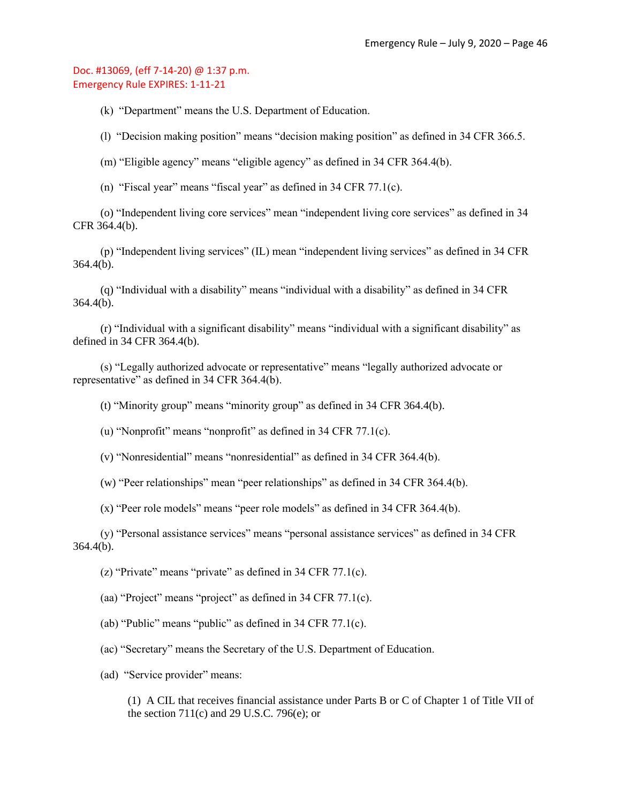(k) "Department" means the U.S. Department of Education.

(l) "Decision making position" means "decision making position" as defined in 34 CFR 366.5.

(m) "Eligible agency" means "eligible agency" as defined in 34 CFR 364.4(b).

(n) "Fiscal year" means "fiscal year" as defined in 34 CFR 77.1(c).

(o) "Independent living core services" mean "independent living core services" as defined in 34 CFR 364.4(b).

(p) "Independent living services" (IL) mean "independent living services" as defined in 34 CFR 364.4(b).

(q) "Individual with a disability" means "individual with a disability" as defined in 34 CFR 364.4(b).

(r) "Individual with a significant disability" means "individual with a significant disability" as defined in 34 CFR 364.4(b).

(s) "Legally authorized advocate or representative" means "legally authorized advocate or representative" as defined in 34 CFR 364.4(b).

(t) "Minority group" means "minority group" as defined in 34 CFR 364.4(b).

(u) "Nonprofit" means "nonprofit" as defined in 34 CFR 77.1(c).

(v) "Nonresidential" means "nonresidential" as defined in 34 CFR 364.4(b).

(w) "Peer relationships" mean "peer relationships" as defined in 34 CFR 364.4(b).

(x) "Peer role models" means "peer role models" as defined in 34 CFR 364.4(b).

(y) "Personal assistance services" means "personal assistance services" as defined in 34 CFR 364.4(b).

(z) "Private" means "private" as defined in 34 CFR 77.1(c).

(aa) "Project" means "project" as defined in 34 CFR 77.1(c).

(ab) "Public" means "public" as defined in 34 CFR 77.1(c).

(ac) "Secretary" means the Secretary of the U.S. Department of Education.

(ad) "Service provider" means:

(1) A CIL that receives financial assistance under Parts B or C of Chapter 1 of Title VII of the section  $711(c)$  and 29 U.S.C. 796(e); or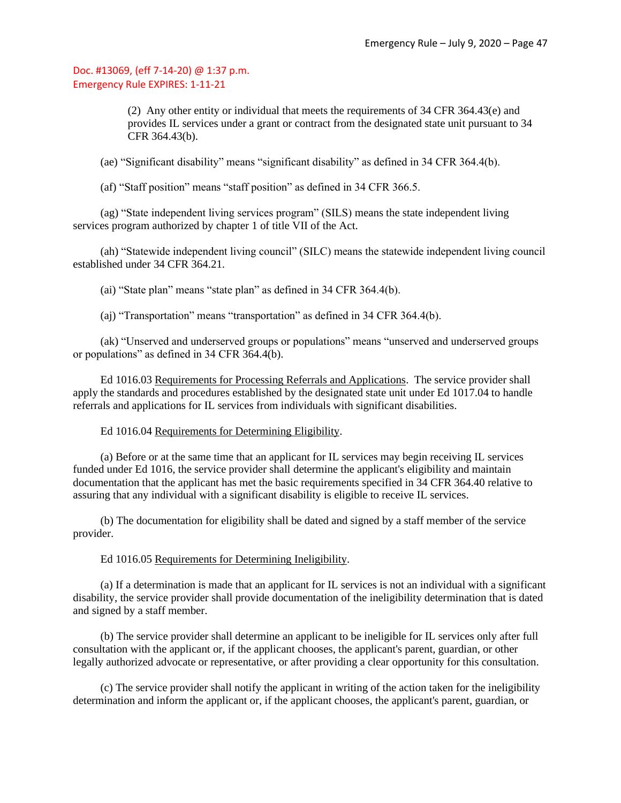> (2) Any other entity or individual that meets the requirements of 34 CFR 364.43(e) and provides IL services under a grant or contract from the designated state unit pursuant to 34 CFR 364.43(b).

(ae) "Significant disability" means "significant disability" as defined in 34 CFR 364.4(b).

(af) "Staff position" means "staff position" as defined in 34 CFR 366.5.

(ag) "State independent living services program" (SILS) means the state independent living services program authorized by chapter 1 of title VII of the Act.

(ah) "Statewide independent living council" (SILC) means the statewide independent living council established under 34 CFR 364.21.

(ai) "State plan" means "state plan" as defined in 34 CFR 364.4(b).

(aj) "Transportation" means "transportation" as defined in 34 CFR 364.4(b).

(ak) "Unserved and underserved groups or populations" means "unserved and underserved groups or populations" as defined in 34 CFR 364.4(b).

Ed 1016.03 Requirements for Processing Referrals and Applications. The service provider shall apply the standards and procedures established by the designated state unit under Ed 1017.04 to handle referrals and applications for IL services from individuals with significant disabilities.

Ed 1016.04 Requirements for Determining Eligibility.

(a) Before or at the same time that an applicant for IL services may begin receiving IL services funded under Ed 1016, the service provider shall determine the applicant's eligibility and maintain documentation that the applicant has met the basic requirements specified in 34 CFR 364.40 relative to assuring that any individual with a significant disability is eligible to receive IL services.

(b) The documentation for eligibility shall be dated and signed by a staff member of the service provider.

#### Ed 1016.05 Requirements for Determining Ineligibility.

(a) If a determination is made that an applicant for IL services is not an individual with a significant disability, the service provider shall provide documentation of the ineligibility determination that is dated and signed by a staff member.

(b) The service provider shall determine an applicant to be ineligible for IL services only after full consultation with the applicant or, if the applicant chooses, the applicant's parent, guardian, or other legally authorized advocate or representative, or after providing a clear opportunity for this consultation.

(c) The service provider shall notify the applicant in writing of the action taken for the ineligibility determination and inform the applicant or, if the applicant chooses, the applicant's parent, guardian, or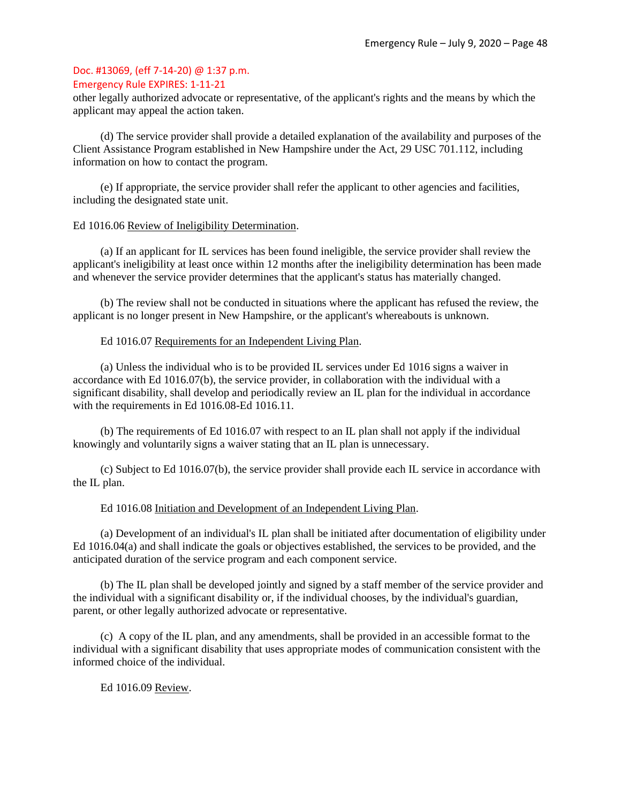### Emergency Rule EXPIRES: 1-11-21

other legally authorized advocate or representative, of the applicant's rights and the means by which the applicant may appeal the action taken.

(d) The service provider shall provide a detailed explanation of the availability and purposes of the Client Assistance Program established in New Hampshire under the Act, 29 USC 701.112, including information on how to contact the program.

(e) If appropriate, the service provider shall refer the applicant to other agencies and facilities, including the designated state unit.

### Ed 1016.06 Review of Ineligibility Determination.

(a) If an applicant for IL services has been found ineligible, the service provider shall review the applicant's ineligibility at least once within 12 months after the ineligibility determination has been made and whenever the service provider determines that the applicant's status has materially changed.

(b) The review shall not be conducted in situations where the applicant has refused the review, the applicant is no longer present in New Hampshire, or the applicant's whereabouts is unknown.

### Ed 1016.07 Requirements for an Independent Living Plan.

(a) Unless the individual who is to be provided IL services under Ed 1016 signs a waiver in accordance with Ed 1016.07(b), the service provider, in collaboration with the individual with a significant disability, shall develop and periodically review an IL plan for the individual in accordance with the requirements in Ed 1016.08-Ed 1016.11.

(b) The requirements of Ed 1016.07 with respect to an IL plan shall not apply if the individual knowingly and voluntarily signs a waiver stating that an IL plan is unnecessary.

(c) Subject to Ed 1016.07(b), the service provider shall provide each IL service in accordance with the IL plan.

### Ed 1016.08 Initiation and Development of an Independent Living Plan.

(a) Development of an individual's IL plan shall be initiated after documentation of eligibility under Ed 1016.04(a) and shall indicate the goals or objectives established, the services to be provided, and the anticipated duration of the service program and each component service.

(b) The IL plan shall be developed jointly and signed by a staff member of the service provider and the individual with a significant disability or, if the individual chooses, by the individual's guardian, parent, or other legally authorized advocate or representative.

(c) A copy of the IL plan, and any amendments, shall be provided in an accessible format to the individual with a significant disability that uses appropriate modes of communication consistent with the informed choice of the individual.

Ed 1016.09 Review.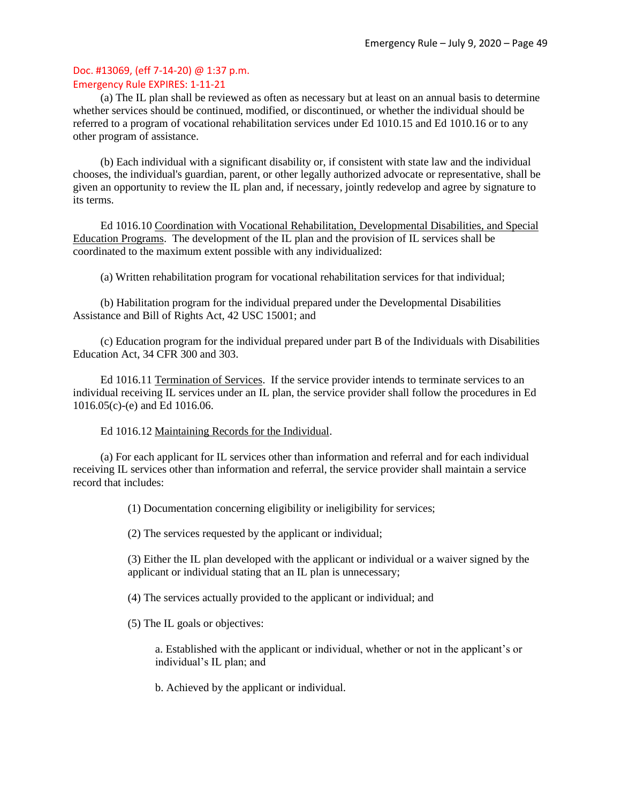(a) The IL plan shall be reviewed as often as necessary but at least on an annual basis to determine whether services should be continued, modified, or discontinued, or whether the individual should be referred to a program of vocational rehabilitation services under Ed 1010.15 and Ed 1010.16 or to any other program of assistance.

(b) Each individual with a significant disability or, if consistent with state law and the individual chooses, the individual's guardian, parent, or other legally authorized advocate or representative, shall be given an opportunity to review the IL plan and, if necessary, jointly redevelop and agree by signature to its terms.

Ed 1016.10 Coordination with Vocational Rehabilitation, Developmental Disabilities, and Special Education Programs. The development of the IL plan and the provision of IL services shall be coordinated to the maximum extent possible with any individualized:

(a) Written rehabilitation program for vocational rehabilitation services for that individual;

(b) Habilitation program for the individual prepared under the Developmental Disabilities Assistance and Bill of Rights Act, 42 USC 15001; and

(c) Education program for the individual prepared under part B of the Individuals with Disabilities Education Act, 34 CFR 300 and 303.

Ed 1016.11 Termination of Services. If the service provider intends to terminate services to an individual receiving IL services under an IL plan, the service provider shall follow the procedures in Ed 1016.05(c)-(e) and Ed 1016.06.

### Ed 1016.12 Maintaining Records for the Individual.

(a) For each applicant for IL services other than information and referral and for each individual receiving IL services other than information and referral, the service provider shall maintain a service record that includes:

(1) Documentation concerning eligibility or ineligibility for services;

(2) The services requested by the applicant or individual;

(3) Either the IL plan developed with the applicant or individual or a waiver signed by the applicant or individual stating that an IL plan is unnecessary;

(4) The services actually provided to the applicant or individual; and

(5) The IL goals or objectives:

a. Established with the applicant or individual, whether or not in the applicant's or individual's IL plan; and

b. Achieved by the applicant or individual.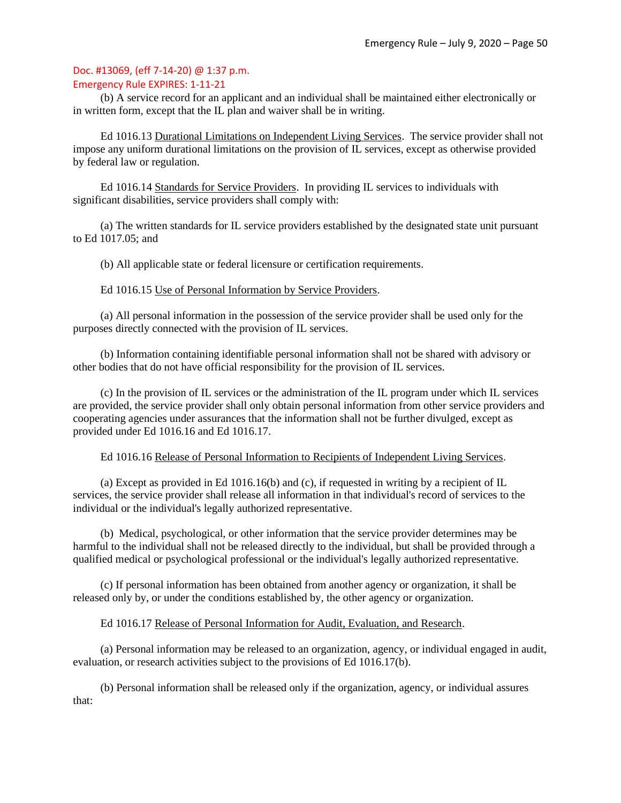### Emergency Rule EXPIRES: 1-11-21

(b) A service record for an applicant and an individual shall be maintained either electronically or in written form, except that the IL plan and waiver shall be in writing.

Ed 1016.13 Durational Limitations on Independent Living Services. The service provider shall not impose any uniform durational limitations on the provision of IL services, except as otherwise provided by federal law or regulation.

Ed 1016.14 Standards for Service Providers. In providing IL services to individuals with significant disabilities, service providers shall comply with:

(a) The written standards for IL service providers established by the designated state unit pursuant to Ed 1017.05; and

(b) All applicable state or federal licensure or certification requirements.

Ed 1016.15 Use of Personal Information by Service Providers.

(a) All personal information in the possession of the service provider shall be used only for the purposes directly connected with the provision of IL services.

(b) Information containing identifiable personal information shall not be shared with advisory or other bodies that do not have official responsibility for the provision of IL services.

(c) In the provision of IL services or the administration of the IL program under which IL services are provided, the service provider shall only obtain personal information from other service providers and cooperating agencies under assurances that the information shall not be further divulged, except as provided under Ed 1016.16 and Ed 1016.17.

### Ed 1016.16 Release of Personal Information to Recipients of Independent Living Services.

(a) Except as provided in Ed 1016.16(b) and (c), if requested in writing by a recipient of IL services, the service provider shall release all information in that individual's record of services to the individual or the individual's legally authorized representative.

(b) Medical, psychological, or other information that the service provider determines may be harmful to the individual shall not be released directly to the individual, but shall be provided through a qualified medical or psychological professional or the individual's legally authorized representative.

(c) If personal information has been obtained from another agency or organization, it shall be released only by, or under the conditions established by, the other agency or organization.

#### Ed 1016.17 Release of Personal Information for Audit, Evaluation, and Research.

(a) Personal information may be released to an organization, agency, or individual engaged in audit, evaluation, or research activities subject to the provisions of Ed 1016.17(b).

(b) Personal information shall be released only if the organization, agency, or individual assures that: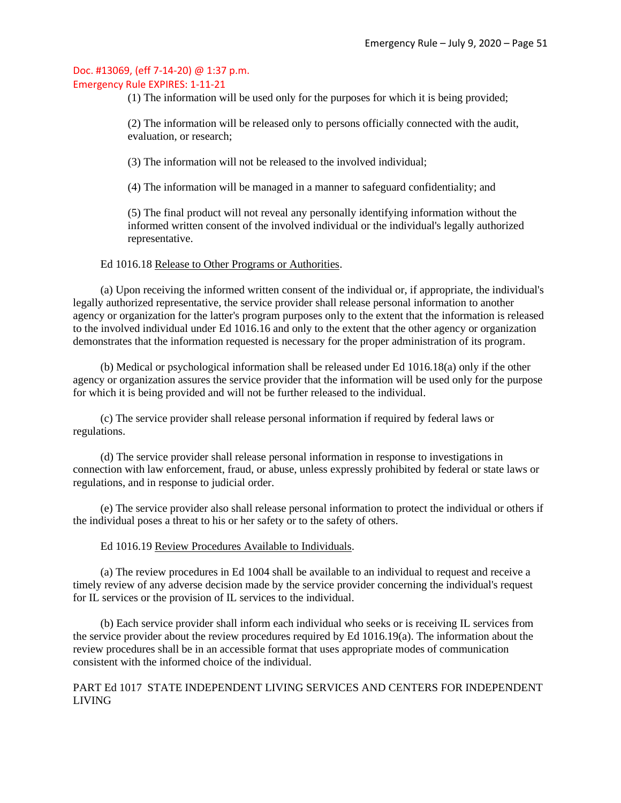Emergency Rule EXPIRES: 1-11-21

(1) The information will be used only for the purposes for which it is being provided;

(2) The information will be released only to persons officially connected with the audit, evaluation, or research;

(3) The information will not be released to the involved individual;

(4) The information will be managed in a manner to safeguard confidentiality; and

(5) The final product will not reveal any personally identifying information without the informed written consent of the involved individual or the individual's legally authorized representative.

### Ed 1016.18 Release to Other Programs or Authorities.

(a) Upon receiving the informed written consent of the individual or, if appropriate, the individual's legally authorized representative, the service provider shall release personal information to another agency or organization for the latter's program purposes only to the extent that the information is released to the involved individual under Ed 1016.16 and only to the extent that the other agency or organization demonstrates that the information requested is necessary for the proper administration of its program.

(b) Medical or psychological information shall be released under Ed 1016.18(a) only if the other agency or organization assures the service provider that the information will be used only for the purpose for which it is being provided and will not be further released to the individual.

(c) The service provider shall release personal information if required by federal laws or regulations.

(d) The service provider shall release personal information in response to investigations in connection with law enforcement, fraud, or abuse, unless expressly prohibited by federal or state laws or regulations, and in response to judicial order.

(e) The service provider also shall release personal information to protect the individual or others if the individual poses a threat to his or her safety or to the safety of others.

#### Ed 1016.19 Review Procedures Available to Individuals.

(a) The review procedures in Ed 1004 shall be available to an individual to request and receive a timely review of any adverse decision made by the service provider concerning the individual's request for IL services or the provision of IL services to the individual.

(b) Each service provider shall inform each individual who seeks or is receiving IL services from the service provider about the review procedures required by Ed 1016.19(a). The information about the review procedures shall be in an accessible format that uses appropriate modes of communication consistent with the informed choice of the individual.

### PART Ed 1017 STATE INDEPENDENT LIVING SERVICES AND CENTERS FOR INDEPENDENT LIVING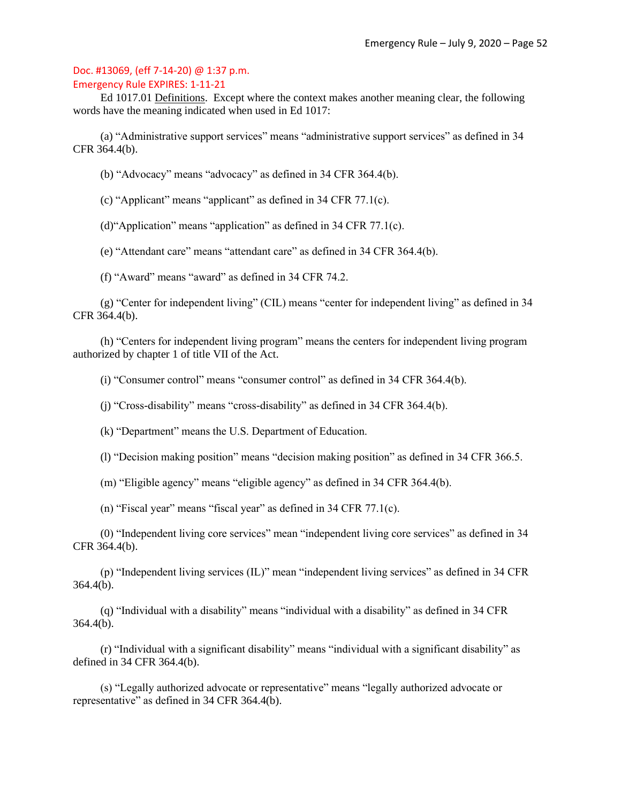### Emergency Rule EXPIRES: 1-11-21

Ed 1017.01 Definitions. Except where the context makes another meaning clear, the following words have the meaning indicated when used in Ed 1017:

(a) "Administrative support services" means "administrative support services" as defined in 34 CFR 364.4(b).

(b) "Advocacy" means "advocacy" as defined in 34 CFR 364.4(b).

(c) "Applicant" means "applicant" as defined in 34 CFR 77.1(c).

(d)"Application" means "application" as defined in 34 CFR 77.1(c).

(e) "Attendant care" means "attendant care" as defined in 34 CFR 364.4(b).

(f) "Award" means "award" as defined in 34 CFR 74.2.

(g) "Center for independent living" (CIL) means "center for independent living" as defined in 34 CFR 364.4(b).

(h) "Centers for independent living program" means the centers for independent living program authorized by chapter 1 of title VII of the Act.

(i) "Consumer control" means "consumer control" as defined in 34 CFR 364.4(b).

(j) "Cross-disability" means "cross-disability" as defined in 34 CFR 364.4(b).

(k) "Department" means the U.S. Department of Education.

(l) "Decision making position" means "decision making position" as defined in 34 CFR 366.5.

(m) "Eligible agency" means "eligible agency" as defined in 34 CFR 364.4(b).

(n) "Fiscal year" means "fiscal year" as defined in 34 CFR 77.1(c).

(0) "Independent living core services" mean "independent living core services" as defined in 34 CFR 364.4(b).

(p) "Independent living services (IL)" mean "independent living services" as defined in 34 CFR 364.4(b).

(q) "Individual with a disability" means "individual with a disability" as defined in 34 CFR 364.4(b).

(r) "Individual with a significant disability" means "individual with a significant disability" as defined in 34 CFR 364.4(b).

(s) "Legally authorized advocate or representative" means "legally authorized advocate or representative" as defined in 34 CFR 364.4(b).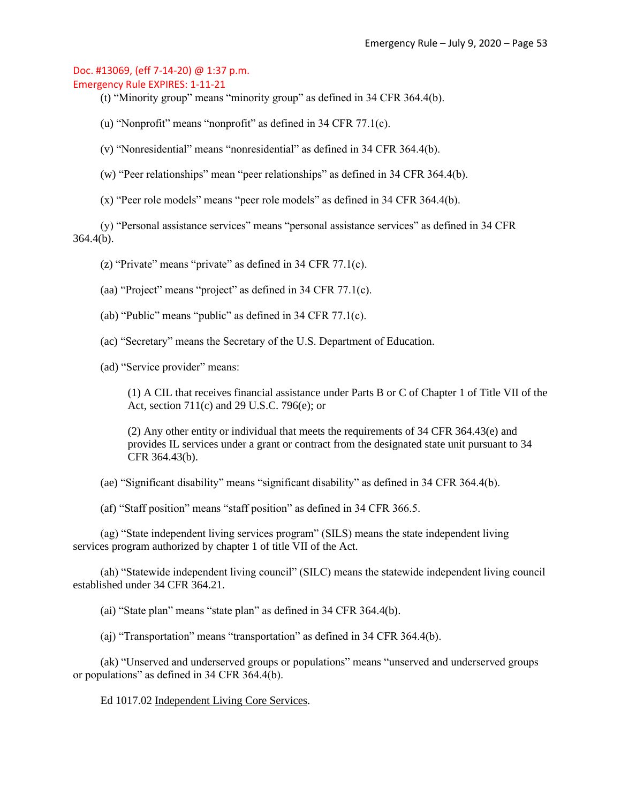Emergency Rule EXPIRES: 1-11-21

(t) "Minority group" means "minority group" as defined in 34 CFR 364.4(b).

(u) "Nonprofit" means "nonprofit" as defined in 34 CFR 77.1(c).

(v) "Nonresidential" means "nonresidential" as defined in 34 CFR 364.4(b).

(w) "Peer relationships" mean "peer relationships" as defined in 34 CFR 364.4(b).

(x) "Peer role models" means "peer role models" as defined in 34 CFR 364.4(b).

(y) "Personal assistance services" means "personal assistance services" as defined in 34 CFR 364.4(b).

(z) "Private" means "private" as defined in 34 CFR 77.1(c).

(aa) "Project" means "project" as defined in 34 CFR 77.1(c).

(ab) "Public" means "public" as defined in 34 CFR 77.1(c).

(ac) "Secretary" means the Secretary of the U.S. Department of Education.

(ad) "Service provider" means:

(1) A CIL that receives financial assistance under Parts B or C of Chapter 1 of Title VII of the Act, section 711(c) and 29 U.S.C. 796(e); or

(2) Any other entity or individual that meets the requirements of 34 CFR 364.43(e) and provides IL services under a grant or contract from the designated state unit pursuant to 34 CFR 364.43(b).

(ae) "Significant disability" means "significant disability" as defined in 34 CFR 364.4(b).

(af) "Staff position" means "staff position" as defined in 34 CFR 366.5.

(ag) "State independent living services program" (SILS) means the state independent living services program authorized by chapter 1 of title VII of the Act.

(ah) "Statewide independent living council" (SILC) means the statewide independent living council established under 34 CFR 364.21.

(ai) "State plan" means "state plan" as defined in 34 CFR 364.4(b).

(aj) "Transportation" means "transportation" as defined in 34 CFR 364.4(b).

(ak) "Unserved and underserved groups or populations" means "unserved and underserved groups or populations" as defined in 34 CFR 364.4(b).

Ed 1017.02 Independent Living Core Services.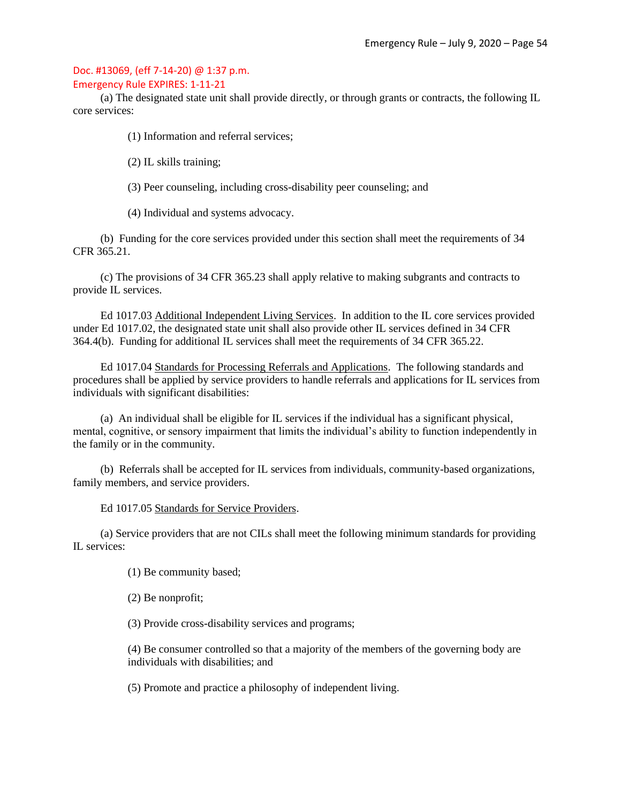(a) The designated state unit shall provide directly, or through grants or contracts, the following IL core services:

(1) Information and referral services;

(2) IL skills training;

(3) Peer counseling, including cross-disability peer counseling; and

(4) Individual and systems advocacy.

(b) Funding for the core services provided under this section shall meet the requirements of 34 CFR 365.21.

(c) The provisions of 34 CFR 365.23 shall apply relative to making subgrants and contracts to provide IL services.

Ed 1017.03 Additional Independent Living Services. In addition to the IL core services provided under Ed 1017.02, the designated state unit shall also provide other IL services defined in 34 CFR 364.4(b). Funding for additional IL services shall meet the requirements of 34 CFR 365.22.

Ed 1017.04 Standards for Processing Referrals and Applications. The following standards and procedures shall be applied by service providers to handle referrals and applications for IL services from individuals with significant disabilities:

(a) An individual shall be eligible for IL services if the individual has a significant physical, mental, cognitive, or sensory impairment that limits the individual's ability to function independently in the family or in the community.

(b) Referrals shall be accepted for IL services from individuals, community-based organizations, family members, and service providers.

Ed 1017.05 Standards for Service Providers.

(a) Service providers that are not CILs shall meet the following minimum standards for providing IL services:

(1) Be community based;

(2) Be nonprofit;

(3) Provide cross-disability services and programs;

(4) Be consumer controlled so that a majority of the members of the governing body are individuals with disabilities; and

(5) Promote and practice a philosophy of independent living.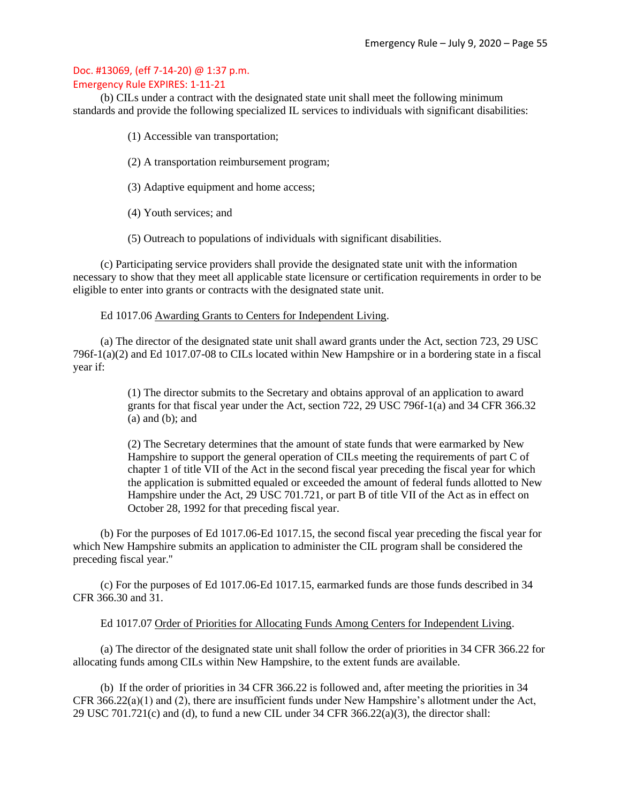(b) CILs under a contract with the designated state unit shall meet the following minimum standards and provide the following specialized IL services to individuals with significant disabilities:

(1) Accessible van transportation;

- (2) A transportation reimbursement program;
- (3) Adaptive equipment and home access;
- (4) Youth services; and
- (5) Outreach to populations of individuals with significant disabilities.

(c) Participating service providers shall provide the designated state unit with the information necessary to show that they meet all applicable state licensure or certification requirements in order to be eligible to enter into grants or contracts with the designated state unit.

### Ed 1017.06 Awarding Grants to Centers for Independent Living.

(a) The director of the designated state unit shall award grants under the Act, section 723, 29 USC 796f-1(a)(2) and Ed 1017.07-08 to CILs located within New Hampshire or in a bordering state in a fiscal year if:

> (1) The director submits to the Secretary and obtains approval of an application to award grants for that fiscal year under the Act, section 722, 29 USC 796f-1(a) and 34 CFR 366.32  $(a)$  and  $(b)$ ; and

(2) The Secretary determines that the amount of state funds that were earmarked by New Hampshire to support the general operation of CILs meeting the requirements of part C of chapter 1 of title VII of the Act in the second fiscal year preceding the fiscal year for which the application is submitted equaled or exceeded the amount of federal funds allotted to New Hampshire under the Act, 29 USC 701.721, or part B of title VII of the Act as in effect on October 28, 1992 for that preceding fiscal year.

(b) For the purposes of Ed 1017.06-Ed 1017.15, the second fiscal year preceding the fiscal year for which New Hampshire submits an application to administer the CIL program shall be considered the preceding fiscal year.''

(c) For the purposes of Ed 1017.06-Ed 1017.15, earmarked funds are those funds described in 34 CFR 366.30 and 31.

#### Ed 1017.07 Order of Priorities for Allocating Funds Among Centers for Independent Living.

(a) The director of the designated state unit shall follow the order of priorities in 34 CFR 366.22 for allocating funds among CILs within New Hampshire, to the extent funds are available.

(b) If the order of priorities in 34 CFR 366.22 is followed and, after meeting the priorities in 34 CFR  $366.22(a)(1)$  and  $(2)$ , there are insufficient funds under New Hampshire's allotment under the Act, 29 USC 701.721(c) and (d), to fund a new CIL under 34 CFR 366.22(a)(3), the director shall: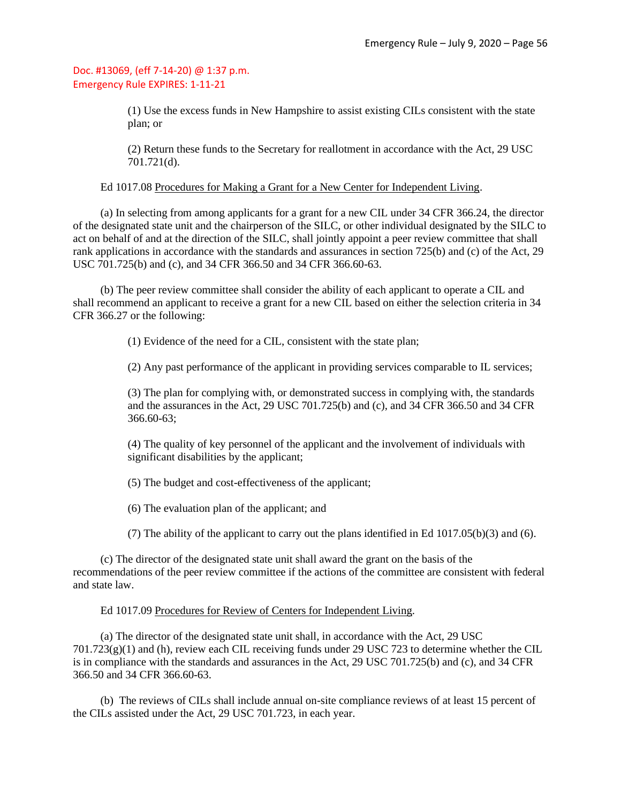> (1) Use the excess funds in New Hampshire to assist existing CILs consistent with the state plan; or

> (2) Return these funds to the Secretary for reallotment in accordance with the Act, 29 USC 701.721(d).

Ed 1017.08 Procedures for Making a Grant for a New Center for Independent Living.

(a) In selecting from among applicants for a grant for a new CIL under 34 CFR 366.24, the director of the designated state unit and the chairperson of the SILC, or other individual designated by the SILC to act on behalf of and at the direction of the SILC, shall jointly appoint a peer review committee that shall rank applications in accordance with the standards and assurances in section 725(b) and (c) of the Act, 29 USC 701.725(b) and (c), and 34 CFR 366.50 and 34 CFR 366.60-63.

(b) The peer review committee shall consider the ability of each applicant to operate a CIL and shall recommend an applicant to receive a grant for a new CIL based on either the selection criteria in 34 CFR 366.27 or the following:

(1) Evidence of the need for a CIL, consistent with the state plan;

(2) Any past performance of the applicant in providing services comparable to IL services;

(3) The plan for complying with, or demonstrated success in complying with, the standards and the assurances in the Act, 29 USC 701.725(b) and (c), and 34 CFR 366.50 and 34 CFR 366.60-63;

(4) The quality of key personnel of the applicant and the involvement of individuals with significant disabilities by the applicant;

(5) The budget and cost-effectiveness of the applicant;

(6) The evaluation plan of the applicant; and

(7) The ability of the applicant to carry out the plans identified in Ed  $1017.05(b)(3)$  and (6).

(c) The director of the designated state unit shall award the grant on the basis of the recommendations of the peer review committee if the actions of the committee are consistent with federal and state law.

Ed 1017.09 Procedures for Review of Centers for Independent Living.

(a) The director of the designated state unit shall, in accordance with the Act, 29 USC 701.723(g)(1) and (h), review each CIL receiving funds under 29 USC 723 to determine whether the CIL is in compliance with the standards and assurances in the Act, 29 USC 701.725(b) and (c), and 34 CFR 366.50 and 34 CFR 366.60-63.

(b) The reviews of CILs shall include annual on-site compliance reviews of at least 15 percent of the CILs assisted under the Act, 29 USC 701.723, in each year.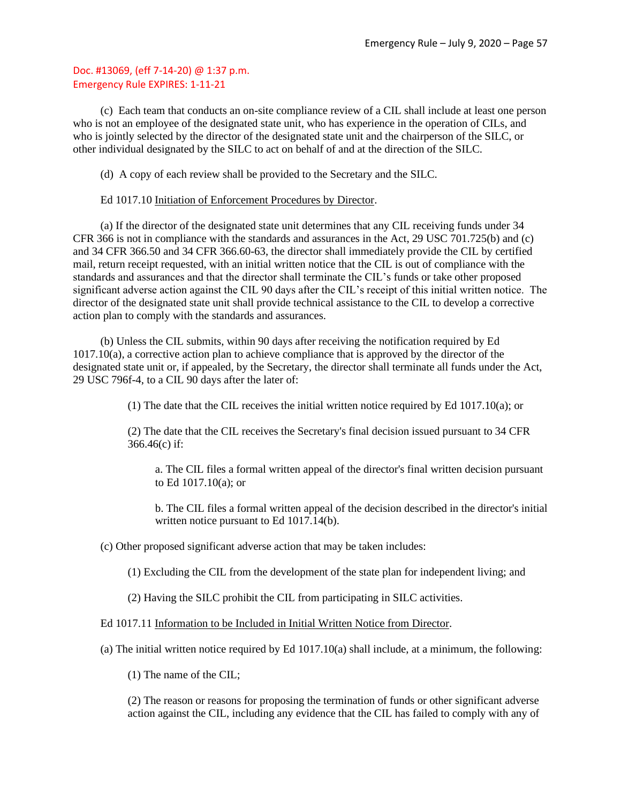(c) Each team that conducts an on-site compliance review of a CIL shall include at least one person who is not an employee of the designated state unit, who has experience in the operation of CILs, and who is jointly selected by the director of the designated state unit and the chairperson of the SILC, or other individual designated by the SILC to act on behalf of and at the direction of the SILC.

(d) A copy of each review shall be provided to the Secretary and the SILC.

### Ed 1017.10 Initiation of Enforcement Procedures by Director.

(a) If the director of the designated state unit determines that any CIL receiving funds under 34 CFR 366 is not in compliance with the standards and assurances in the Act, 29 USC 701.725(b) and (c) and 34 CFR 366.50 and 34 CFR 366.60-63, the director shall immediately provide the CIL by certified mail, return receipt requested, with an initial written notice that the CIL is out of compliance with the standards and assurances and that the director shall terminate the CIL's funds or take other proposed significant adverse action against the CIL 90 days after the CIL's receipt of this initial written notice. The director of the designated state unit shall provide technical assistance to the CIL to develop a corrective action plan to comply with the standards and assurances.

(b) Unless the CIL submits, within 90 days after receiving the notification required by Ed 1017.10(a), a corrective action plan to achieve compliance that is approved by the director of the designated state unit or, if appealed, by the Secretary, the director shall terminate all funds under the Act, 29 USC 796f-4, to a CIL 90 days after the later of:

(1) The date that the CIL receives the initial written notice required by Ed 1017.10(a); or

(2) The date that the CIL receives the Secretary's final decision issued pursuant to 34 CFR 366.46(c) if:

a. The CIL files a formal written appeal of the director's final written decision pursuant to Ed 1017.10(a); or

b. The CIL files a formal written appeal of the decision described in the director's initial written notice pursuant to Ed 1017.14(b).

(c) Other proposed significant adverse action that may be taken includes:

(1) Excluding the CIL from the development of the state plan for independent living; and

(2) Having the SILC prohibit the CIL from participating in SILC activities.

#### Ed 1017.11 Information to be Included in Initial Written Notice from Director.

- (a) The initial written notice required by Ed  $1017.10(a)$  shall include, at a minimum, the following:
	- (1) The name of the CIL;

(2) The reason or reasons for proposing the termination of funds or other significant adverse action against the CIL, including any evidence that the CIL has failed to comply with any of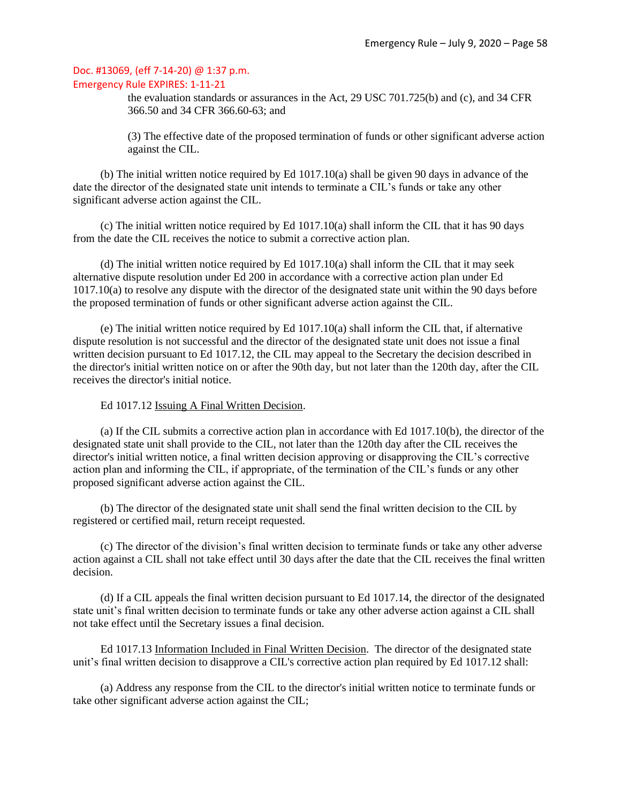the evaluation standards or assurances in the Act, 29 USC 701.725(b) and (c), and 34 CFR 366.50 and 34 CFR 366.60-63; and

(3) The effective date of the proposed termination of funds or other significant adverse action against the CIL.

(b) The initial written notice required by Ed 1017.10(a) shall be given 90 days in advance of the date the director of the designated state unit intends to terminate a CIL's funds or take any other significant adverse action against the CIL.

(c) The initial written notice required by Ed 1017.10(a) shall inform the CIL that it has 90 days from the date the CIL receives the notice to submit a corrective action plan.

(d) The initial written notice required by Ed  $1017.10(a)$  shall inform the CIL that it may seek alternative dispute resolution under Ed 200 in accordance with a corrective action plan under Ed 1017.10(a) to resolve any dispute with the director of the designated state unit within the 90 days before the proposed termination of funds or other significant adverse action against the CIL.

(e) The initial written notice required by Ed 1017.10(a) shall inform the CIL that, if alternative dispute resolution is not successful and the director of the designated state unit does not issue a final written decision pursuant to Ed 1017.12, the CIL may appeal to the Secretary the decision described in the director's initial written notice on or after the 90th day, but not later than the 120th day, after the CIL receives the director's initial notice.

#### Ed 1017.12 Issuing A Final Written Decision.

(a) If the CIL submits a corrective action plan in accordance with Ed 1017.10(b), the director of the designated state unit shall provide to the CIL, not later than the 120th day after the CIL receives the director's initial written notice, a final written decision approving or disapproving the CIL's corrective action plan and informing the CIL, if appropriate, of the termination of the CIL's funds or any other proposed significant adverse action against the CIL.

(b) The director of the designated state unit shall send the final written decision to the CIL by registered or certified mail, return receipt requested.

(c) The director of the division's final written decision to terminate funds or take any other adverse action against a CIL shall not take effect until 30 days after the date that the CIL receives the final written decision.

(d) If a CIL appeals the final written decision pursuant to Ed 1017.14, the director of the designated state unit's final written decision to terminate funds or take any other adverse action against a CIL shall not take effect until the Secretary issues a final decision.

Ed 1017.13 Information Included in Final Written Decision. The director of the designated state unit's final written decision to disapprove a CIL's corrective action plan required by Ed 1017.12 shall:

(a) Address any response from the CIL to the director's initial written notice to terminate funds or take other significant adverse action against the CIL;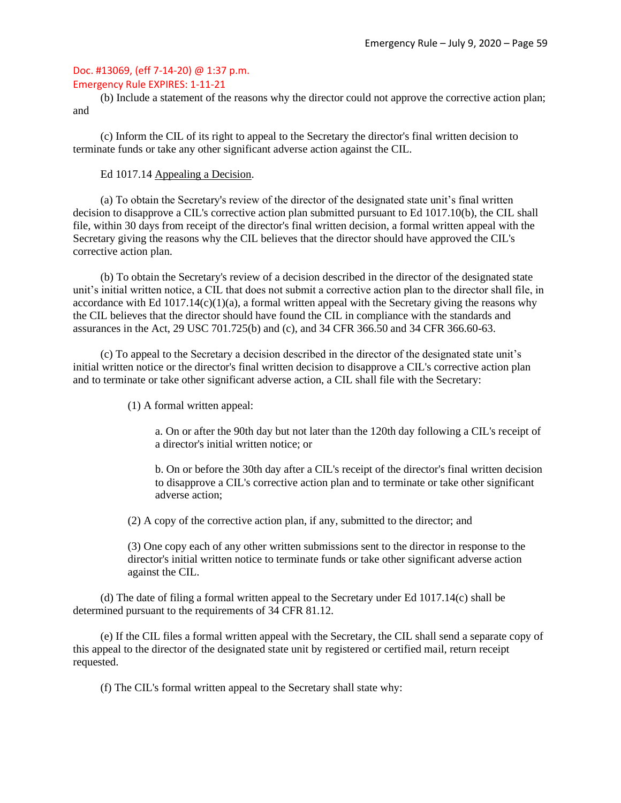### Emergency Rule EXPIRES: 1-11-21

(b) Include a statement of the reasons why the director could not approve the corrective action plan; and

(c) Inform the CIL of its right to appeal to the Secretary the director's final written decision to terminate funds or take any other significant adverse action against the CIL.

### Ed 1017.14 Appealing a Decision.

(a) To obtain the Secretary's review of the director of the designated state unit's final written decision to disapprove a CIL's corrective action plan submitted pursuant to Ed 1017.10(b), the CIL shall file, within 30 days from receipt of the director's final written decision, a formal written appeal with the Secretary giving the reasons why the CIL believes that the director should have approved the CIL's corrective action plan.

(b) To obtain the Secretary's review of a decision described in the director of the designated state unit's initial written notice, a CIL that does not submit a corrective action plan to the director shall file, in accordance with Ed 1017.14(c)(1)(a), a formal written appeal with the Secretary giving the reasons why the CIL believes that the director should have found the CIL in compliance with the standards and assurances in the Act, 29 USC 701.725(b) and (c), and 34 CFR 366.50 and 34 CFR 366.60-63.

(c) To appeal to the Secretary a decision described in the director of the designated state unit's initial written notice or the director's final written decision to disapprove a CIL's corrective action plan and to terminate or take other significant adverse action, a CIL shall file with the Secretary:

(1) A formal written appeal:

a. On or after the 90th day but not later than the 120th day following a CIL's receipt of a director's initial written notice; or

b. On or before the 30th day after a CIL's receipt of the director's final written decision to disapprove a CIL's corrective action plan and to terminate or take other significant adverse action;

(2) A copy of the corrective action plan, if any, submitted to the director; and

(3) One copy each of any other written submissions sent to the director in response to the director's initial written notice to terminate funds or take other significant adverse action against the CIL.

(d) The date of filing a formal written appeal to the Secretary under Ed 1017.14(c) shall be determined pursuant to the requirements of 34 CFR 81.12.

(e) If the CIL files a formal written appeal with the Secretary, the CIL shall send a separate copy of this appeal to the director of the designated state unit by registered or certified mail, return receipt requested.

(f) The CIL's formal written appeal to the Secretary shall state why: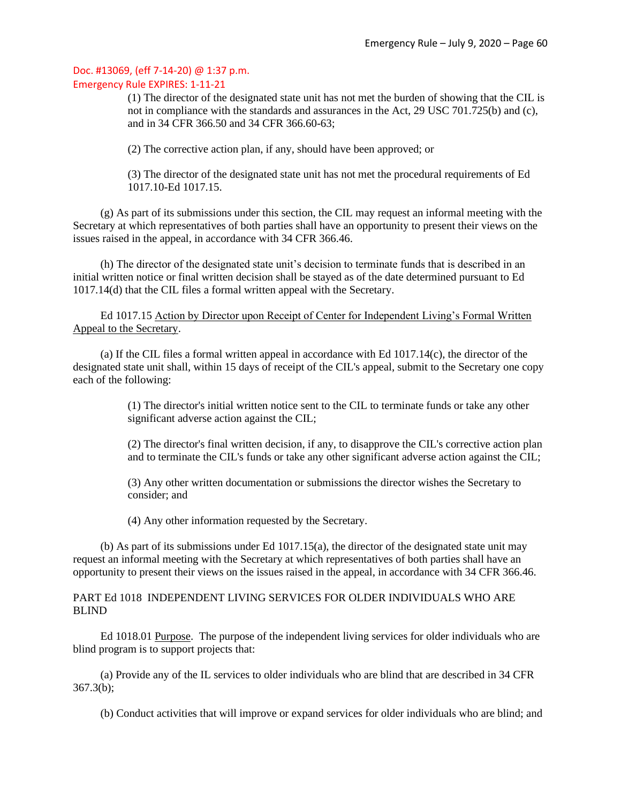(1) The director of the designated state unit has not met the burden of showing that the CIL is not in compliance with the standards and assurances in the Act, 29 USC 701.725(b) and (c), and in 34 CFR 366.50 and 34 CFR 366.60-63;

(2) The corrective action plan, if any, should have been approved; or

(3) The director of the designated state unit has not met the procedural requirements of Ed 1017.10-Ed 1017.15.

(g) As part of its submissions under this section, the CIL may request an informal meeting with the Secretary at which representatives of both parties shall have an opportunity to present their views on the issues raised in the appeal, in accordance with 34 CFR 366.46.

(h) The director of the designated state unit's decision to terminate funds that is described in an initial written notice or final written decision shall be stayed as of the date determined pursuant to Ed 1017.14(d) that the CIL files a formal written appeal with the Secretary.

Ed 1017.15 Action by Director upon Receipt of Center for Independent Living's Formal Written Appeal to the Secretary.

(a) If the CIL files a formal written appeal in accordance with Ed 1017.14(c), the director of the designated state unit shall, within 15 days of receipt of the CIL's appeal, submit to the Secretary one copy each of the following:

> (1) The director's initial written notice sent to the CIL to terminate funds or take any other significant adverse action against the CIL;

(2) The director's final written decision, if any, to disapprove the CIL's corrective action plan and to terminate the CIL's funds or take any other significant adverse action against the CIL;

(3) Any other written documentation or submissions the director wishes the Secretary to consider; and

(4) Any other information requested by the Secretary.

(b) As part of its submissions under Ed 1017.15(a), the director of the designated state unit may request an informal meeting with the Secretary at which representatives of both parties shall have an opportunity to present their views on the issues raised in the appeal, in accordance with 34 CFR 366.46.

### PART Ed 1018 INDEPENDENT LIVING SERVICES FOR OLDER INDIVIDUALS WHO ARE BLIND

Ed 1018.01 Purpose. The purpose of the independent living services for older individuals who are blind program is to support projects that:

(a) Provide any of the IL services to older individuals who are blind that are described in 34 CFR 367.3(b);

(b) Conduct activities that will improve or expand services for older individuals who are blind; and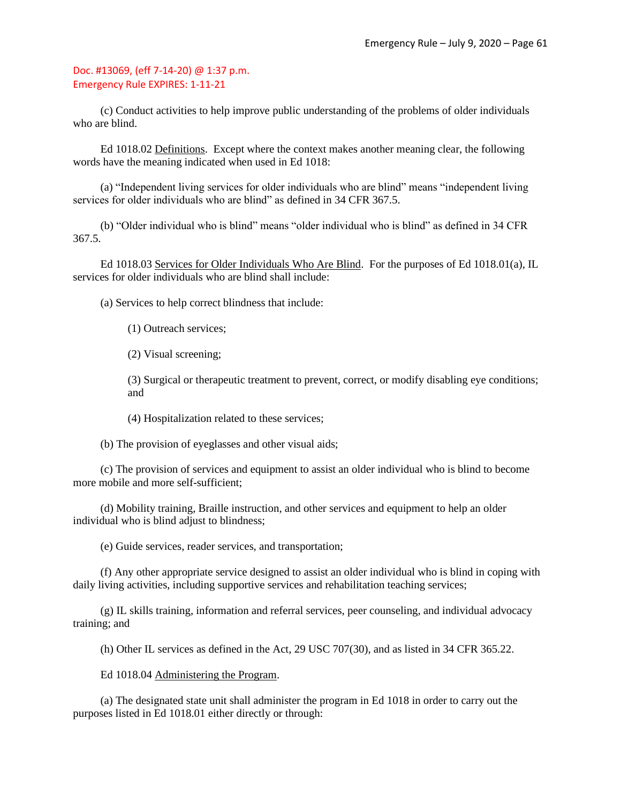(c) Conduct activities to help improve public understanding of the problems of older individuals who are blind.

Ed 1018.02 Definitions. Except where the context makes another meaning clear, the following words have the meaning indicated when used in Ed 1018:

(a) "Independent living services for older individuals who are blind" means "independent living services for older individuals who are blind" as defined in 34 CFR 367.5.

(b) "Older individual who is blind" means "older individual who is blind" as defined in 34 CFR 367.5.

Ed 1018.03 Services for Older Individuals Who Are Blind. For the purposes of Ed 1018.01(a), IL services for older individuals who are blind shall include:

(a) Services to help correct blindness that include:

(1) Outreach services;

(2) Visual screening;

(3) Surgical or therapeutic treatment to prevent, correct, or modify disabling eye conditions; and

(4) Hospitalization related to these services;

(b) The provision of eyeglasses and other visual aids;

(c) The provision of services and equipment to assist an older individual who is blind to become more mobile and more self-sufficient;

(d) Mobility training, Braille instruction, and other services and equipment to help an older individual who is blind adjust to blindness;

(e) Guide services, reader services, and transportation;

(f) Any other appropriate service designed to assist an older individual who is blind in coping with daily living activities, including supportive services and rehabilitation teaching services;

(g) IL skills training, information and referral services, peer counseling, and individual advocacy training; and

(h) Other IL services as defined in the Act, 29 USC 707(30), and as listed in 34 CFR 365.22.

Ed 1018.04 Administering the Program.

(a) The designated state unit shall administer the program in Ed 1018 in order to carry out the purposes listed in Ed 1018.01 either directly or through: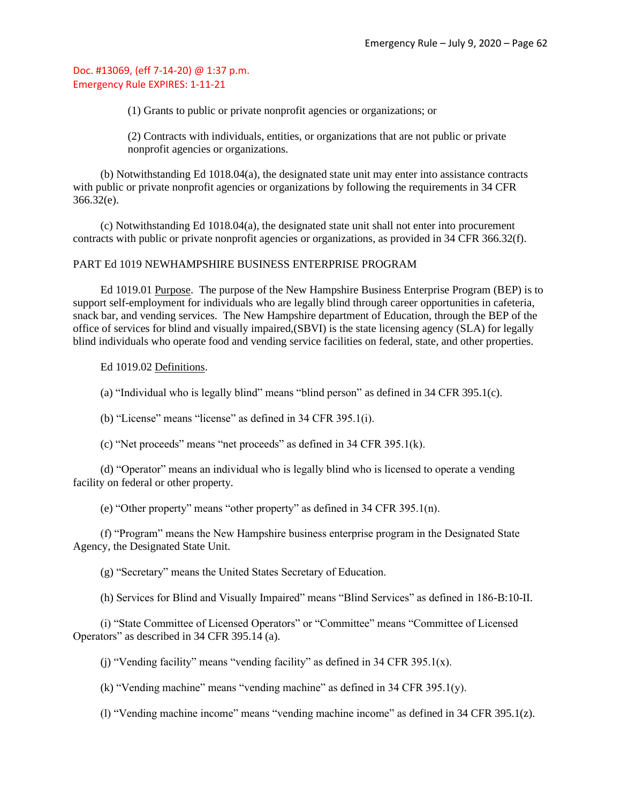(1) Grants to public or private nonprofit agencies or organizations; or

(2) Contracts with individuals, entities, or organizations that are not public or private nonprofit agencies or organizations.

(b) Notwithstanding Ed 1018.04(a), the designated state unit may enter into assistance contracts with public or private nonprofit agencies or organizations by following the requirements in 34 CFR 366.32(e).

(c) Notwithstanding Ed 1018.04(a), the designated state unit shall not enter into procurement contracts with public or private nonprofit agencies or organizations, as provided in 34 CFR 366.32(f).

#### PART Ed 1019 NEWHAMPSHIRE BUSINESS ENTERPRISE PROGRAM

Ed 1019.01 Purpose. The purpose of the New Hampshire Business Enterprise Program (BEP) is to support self-employment for individuals who are legally blind through career opportunities in cafeteria, snack bar, and vending services. The New Hampshire department of Education, through the BEP of the office of services for blind and visually impaired,(SBVI) is the state licensing agency (SLA) for legally blind individuals who operate food and vending service facilities on federal, state, and other properties.

#### Ed 1019.02 Definitions.

(a) "Individual who is legally blind" means "blind person" as defined in 34 CFR 395.1(c).

(b) "License" means "license" as defined in 34 CFR 395.1(i).

(c) "Net proceeds" means "net proceeds" as defined in 34 CFR 395.1(k).

(d) "Operator" means an individual who is legally blind who is licensed to operate a vending facility on federal or other property.

(e) "Other property" means "other property" as defined in 34 CFR 395.1(n).

(f) "Program" means the New Hampshire business enterprise program in the Designated State Agency, the Designated State Unit.

(g) "Secretary" means the United States Secretary of Education.

(h) Services for Blind and Visually Impaired" means "Blind Services" as defined in 186-B:10-II.

(i) "State Committee of Licensed Operators" or "Committee" means "Committee of Licensed Operators" as described in 34 CFR 395.14 (a).

(j) "Vending facility" means "vending facility" as defined in 34 CFR 395.1(x).

(k) "Vending machine" means "vending machine" as defined in 34 CFR 395.1(y).

(l) "Vending machine income" means "vending machine income" as defined in 34 CFR 395.1(z).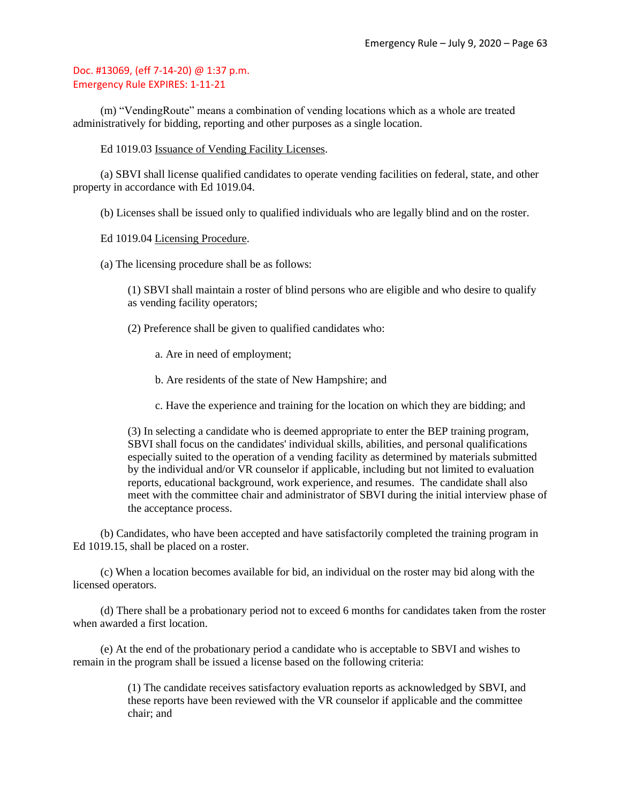(m) "VendingRoute" means a combination of vending locations which as a whole are treated administratively for bidding, reporting and other purposes as a single location.

Ed 1019.03 Issuance of Vending Facility Licenses.

(a) SBVI shall license qualified candidates to operate vending facilities on federal, state, and other property in accordance with Ed 1019.04.

(b) Licenses shall be issued only to qualified individuals who are legally blind and on the roster.

### Ed 1019.04 Licensing Procedure.

(a) The licensing procedure shall be as follows:

(1) SBVI shall maintain a roster of blind persons who are eligible and who desire to qualify as vending facility operators;

(2) Preference shall be given to qualified candidates who:

a. Are in need of employment;

b. Are residents of the state of New Hampshire; and

c. Have the experience and training for the location on which they are bidding; and

(3) In selecting a candidate who is deemed appropriate to enter the BEP training program, SBVI shall focus on the candidates' individual skills, abilities, and personal qualifications especially suited to the operation of a vending facility as determined by materials submitted by the individual and/or VR counselor if applicable, including but not limited to evaluation reports, educational background, work experience, and resumes. The candidate shall also meet with the committee chair and administrator of SBVI during the initial interview phase of the acceptance process.

(b) Candidates, who have been accepted and have satisfactorily completed the training program in Ed 1019.15, shall be placed on a roster.

(c) When a location becomes available for bid, an individual on the roster may bid along with the licensed operators.

(d) There shall be a probationary period not to exceed 6 months for candidates taken from the roster when awarded a first location.

(e) At the end of the probationary period a candidate who is acceptable to SBVI and wishes to remain in the program shall be issued a license based on the following criteria:

> (1) The candidate receives satisfactory evaluation reports as acknowledged by SBVI, and these reports have been reviewed with the VR counselor if applicable and the committee chair; and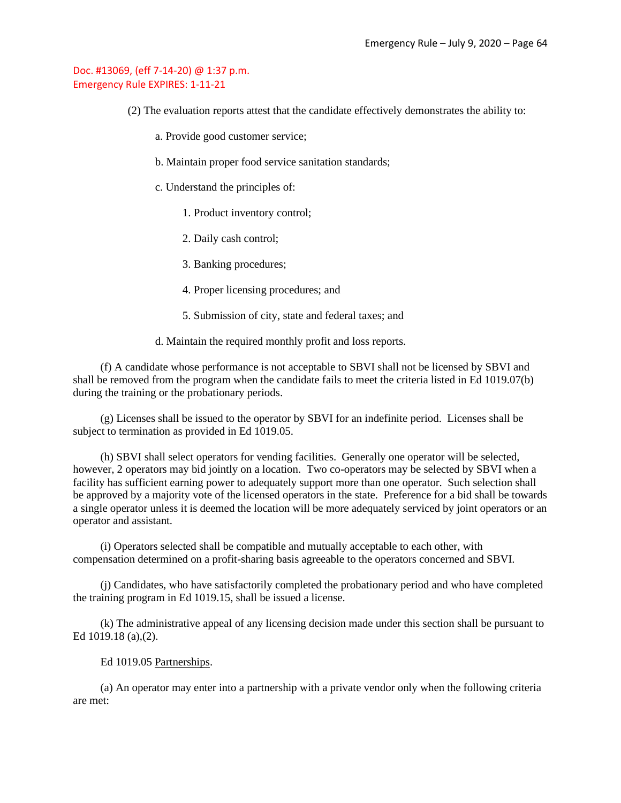- (2) The evaluation reports attest that the candidate effectively demonstrates the ability to:
	- a. Provide good customer service;
	- b. Maintain proper food service sanitation standards;
	- c. Understand the principles of:
		- 1. Product inventory control;
		- 2. Daily cash control;
		- 3. Banking procedures;
		- 4. Proper licensing procedures; and
		- 5. Submission of city, state and federal taxes; and
	- d. Maintain the required monthly profit and loss reports.

(f) A candidate whose performance is not acceptable to SBVI shall not be licensed by SBVI and shall be removed from the program when the candidate fails to meet the criteria listed in Ed 1019.07(b) during the training or the probationary periods.

(g) Licenses shall be issued to the operator by SBVI for an indefinite period. Licenses shall be subject to termination as provided in Ed 1019.05.

(h) SBVI shall select operators for vending facilities. Generally one operator will be selected, however, 2 operators may bid jointly on a location. Two co-operators may be selected by SBVI when a facility has sufficient earning power to adequately support more than one operator. Such selection shall be approved by a majority vote of the licensed operators in the state. Preference for a bid shall be towards a single operator unless it is deemed the location will be more adequately serviced by joint operators or an operator and assistant.

(i) Operators selected shall be compatible and mutually acceptable to each other, with compensation determined on a profit-sharing basis agreeable to the operators concerned and SBVI.

(j) Candidates, who have satisfactorily completed the probationary period and who have completed the training program in Ed 1019.15, shall be issued a license.

(k) The administrative appeal of any licensing decision made under this section shall be pursuant to Ed 1019.18 (a),(2).

### Ed 1019.05 Partnerships.

(a) An operator may enter into a partnership with a private vendor only when the following criteria are met: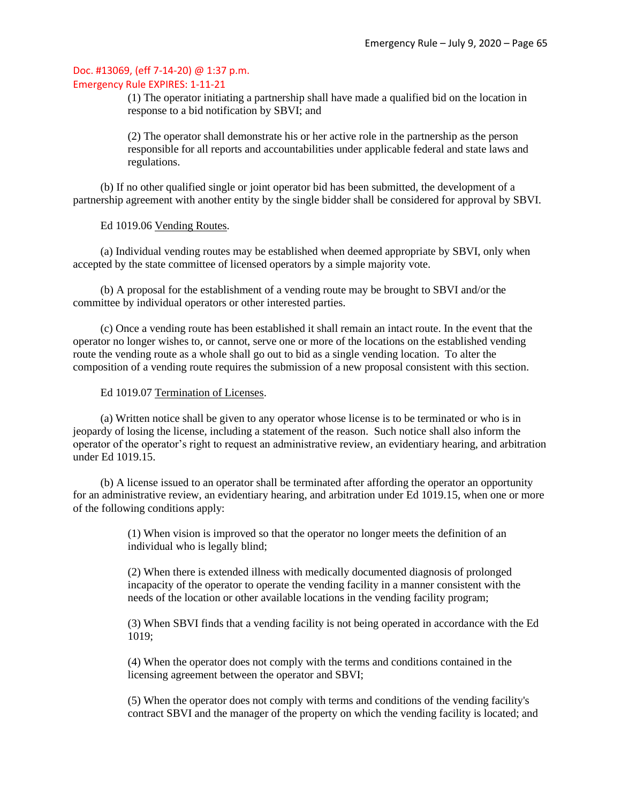(1) The operator initiating a partnership shall have made a qualified bid on the location in response to a bid notification by SBVI; and

(2) The operator shall demonstrate his or her active role in the partnership as the person responsible for all reports and accountabilities under applicable federal and state laws and regulations.

(b) If no other qualified single or joint operator bid has been submitted, the development of a partnership agreement with another entity by the single bidder shall be considered for approval by SBVI.

Ed 1019.06 Vending Routes.

(a) Individual vending routes may be established when deemed appropriate by SBVI, only when accepted by the state committee of licensed operators by a simple majority vote.

(b) A proposal for the establishment of a vending route may be brought to SBVI and/or the committee by individual operators or other interested parties.

(c) Once a vending route has been established it shall remain an intact route. In the event that the operator no longer wishes to, or cannot, serve one or more of the locations on the established vending route the vending route as a whole shall go out to bid as a single vending location. To alter the composition of a vending route requires the submission of a new proposal consistent with this section.

#### Ed 1019.07 Termination of Licenses.

(a) Written notice shall be given to any operator whose license is to be terminated or who is in jeopardy of losing the license, including a statement of the reason. Such notice shall also inform the operator of the operator's right to request an administrative review, an evidentiary hearing, and arbitration under Ed 1019.15.

(b) A license issued to an operator shall be terminated after affording the operator an opportunity for an administrative review, an evidentiary hearing, and arbitration under Ed 1019.15, when one or more of the following conditions apply:

> (1) When vision is improved so that the operator no longer meets the definition of an individual who is legally blind;

(2) When there is extended illness with medically documented diagnosis of prolonged incapacity of the operator to operate the vending facility in a manner consistent with the needs of the location or other available locations in the vending facility program;

(3) When SBVI finds that a vending facility is not being operated in accordance with the Ed 1019;

(4) When the operator does not comply with the terms and conditions contained in the licensing agreement between the operator and SBVI;

(5) When the operator does not comply with terms and conditions of the vending facility's contract SBVI and the manager of the property on which the vending facility is located; and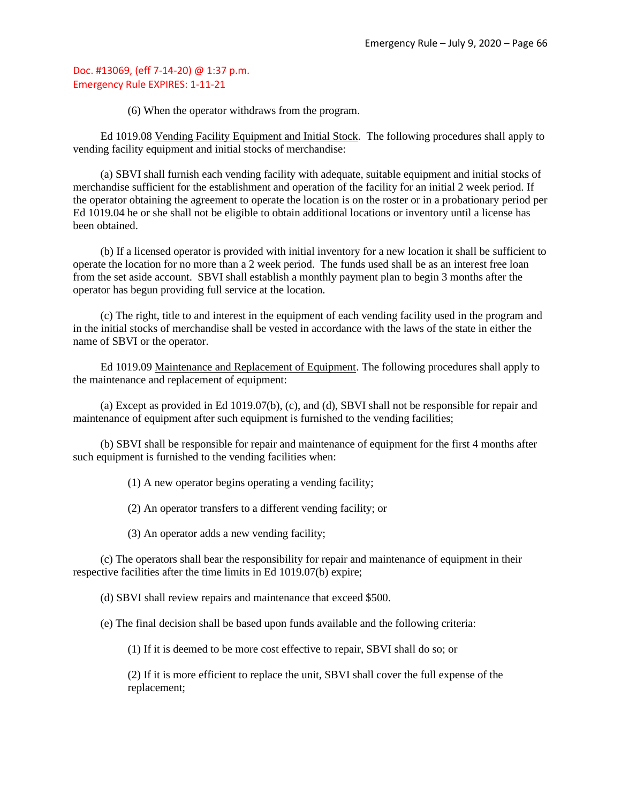(6) When the operator withdraws from the program.

Ed 1019.08 Vending Facility Equipment and Initial Stock. The following procedures shall apply to vending facility equipment and initial stocks of merchandise:

(a) SBVI shall furnish each vending facility with adequate, suitable equipment and initial stocks of merchandise sufficient for the establishment and operation of the facility for an initial 2 week period. If the operator obtaining the agreement to operate the location is on the roster or in a probationary period per Ed 1019.04 he or she shall not be eligible to obtain additional locations or inventory until a license has been obtained.

(b) If a licensed operator is provided with initial inventory for a new location it shall be sufficient to operate the location for no more than a 2 week period. The funds used shall be as an interest free loan from the set aside account. SBVI shall establish a monthly payment plan to begin 3 months after the operator has begun providing full service at the location.

(c) The right, title to and interest in the equipment of each vending facility used in the program and in the initial stocks of merchandise shall be vested in accordance with the laws of the state in either the name of SBVI or the operator.

Ed 1019.09 Maintenance and Replacement of Equipment. The following procedures shall apply to the maintenance and replacement of equipment:

(a) Except as provided in Ed 1019.07(b), (c), and (d), SBVI shall not be responsible for repair and maintenance of equipment after such equipment is furnished to the vending facilities;

(b) SBVI shall be responsible for repair and maintenance of equipment for the first 4 months after such equipment is furnished to the vending facilities when:

(1) A new operator begins operating a vending facility;

(2) An operator transfers to a different vending facility; or

(3) An operator adds a new vending facility;

(c) The operators shall bear the responsibility for repair and maintenance of equipment in their respective facilities after the time limits in Ed 1019.07(b) expire;

(d) SBVI shall review repairs and maintenance that exceed \$500.

(e) The final decision shall be based upon funds available and the following criteria:

(1) If it is deemed to be more cost effective to repair, SBVI shall do so; or

(2) If it is more efficient to replace the unit, SBVI shall cover the full expense of the replacement;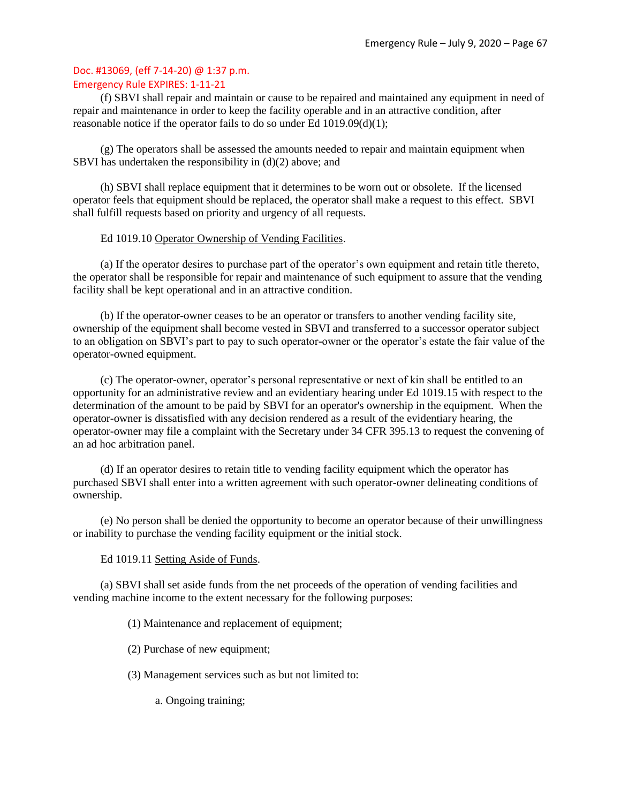### Emergency Rule EXPIRES: 1-11-21

(f) SBVI shall repair and maintain or cause to be repaired and maintained any equipment in need of repair and maintenance in order to keep the facility operable and in an attractive condition, after reasonable notice if the operator fails to do so under Ed 1019.09(d)(1);

(g) The operators shall be assessed the amounts needed to repair and maintain equipment when SBVI has undertaken the responsibility in (d)(2) above; and

(h) SBVI shall replace equipment that it determines to be worn out or obsolete. If the licensed operator feels that equipment should be replaced, the operator shall make a request to this effect. SBVI shall fulfill requests based on priority and urgency of all requests.

#### Ed 1019.10 Operator Ownership of Vending Facilities.

(a) If the operator desires to purchase part of the operator's own equipment and retain title thereto, the operator shall be responsible for repair and maintenance of such equipment to assure that the vending facility shall be kept operational and in an attractive condition.

(b) If the operator-owner ceases to be an operator or transfers to another vending facility site, ownership of the equipment shall become vested in SBVI and transferred to a successor operator subject to an obligation on SBVI's part to pay to such operator-owner or the operator's estate the fair value of the operator-owned equipment.

(c) The operator-owner, operator's personal representative or next of kin shall be entitled to an opportunity for an administrative review and an evidentiary hearing under Ed 1019.15 with respect to the determination of the amount to be paid by SBVI for an operator's ownership in the equipment. When the operator-owner is dissatisfied with any decision rendered as a result of the evidentiary hearing, the operator-owner may file a complaint with the Secretary under 34 CFR 395.13 to request the convening of an ad hoc arbitration panel.

(d) If an operator desires to retain title to vending facility equipment which the operator has purchased SBVI shall enter into a written agreement with such operator-owner delineating conditions of ownership.

(e) No person shall be denied the opportunity to become an operator because of their unwillingness or inability to purchase the vending facility equipment or the initial stock.

#### Ed 1019.11 Setting Aside of Funds.

(a) SBVI shall set aside funds from the net proceeds of the operation of vending facilities and vending machine income to the extent necessary for the following purposes:

(1) Maintenance and replacement of equipment;

(2) Purchase of new equipment;

(3) Management services such as but not limited to:

a. Ongoing training;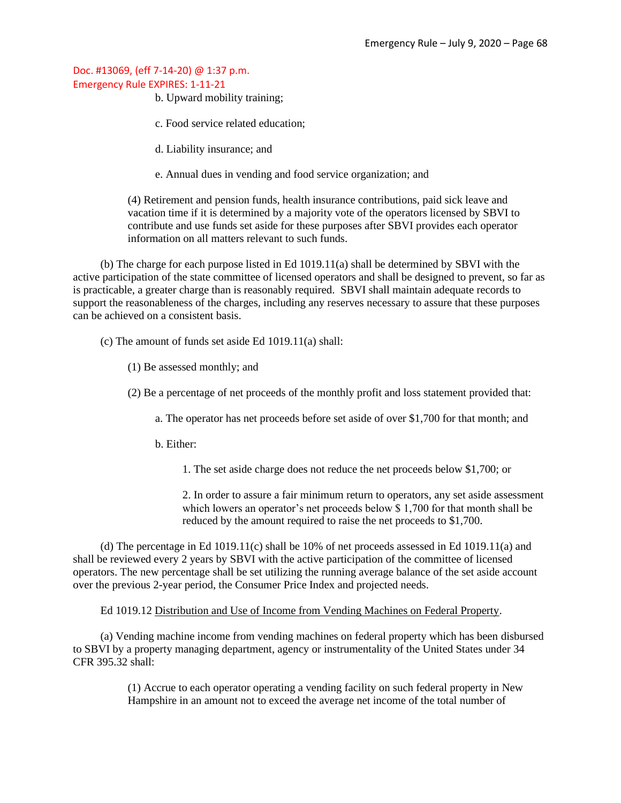b. Upward mobility training;

c. Food service related education;

d. Liability insurance; and

e. Annual dues in vending and food service organization; and

(4) Retirement and pension funds, health insurance contributions, paid sick leave and vacation time if it is determined by a majority vote of the operators licensed by SBVI to contribute and use funds set aside for these purposes after SBVI provides each operator information on all matters relevant to such funds.

(b) The charge for each purpose listed in Ed 1019.11(a) shall be determined by SBVI with the active participation of the state committee of licensed operators and shall be designed to prevent, so far as is practicable, a greater charge than is reasonably required. SBVI shall maintain adequate records to support the reasonableness of the charges, including any reserves necessary to assure that these purposes can be achieved on a consistent basis.

(c) The amount of funds set aside Ed 1019.11(a) shall:

(1) Be assessed monthly; and

(2) Be a percentage of net proceeds of the monthly profit and loss statement provided that:

a. The operator has net proceeds before set aside of over \$1,700 for that month; and

b. Either:

1. The set aside charge does not reduce the net proceeds below \$1,700; or

2. In order to assure a fair minimum return to operators, any set aside assessment which lowers an operator's net proceeds below \$1,700 for that month shall be reduced by the amount required to raise the net proceeds to \$1,700.

(d) The percentage in Ed 1019.11(c) shall be 10% of net proceeds assessed in Ed 1019.11(a) and shall be reviewed every 2 years by SBVI with the active participation of the committee of licensed operators. The new percentage shall be set utilizing the running average balance of the set aside account over the previous 2-year period, the Consumer Price Index and projected needs.

Ed 1019.12 Distribution and Use of Income from Vending Machines on Federal Property.

(a) Vending machine income from vending machines on federal property which has been disbursed to SBVI by a property managing department, agency or instrumentality of the United States under 34 CFR 395.32 shall:

> (1) Accrue to each operator operating a vending facility on such federal property in New Hampshire in an amount not to exceed the average net income of the total number of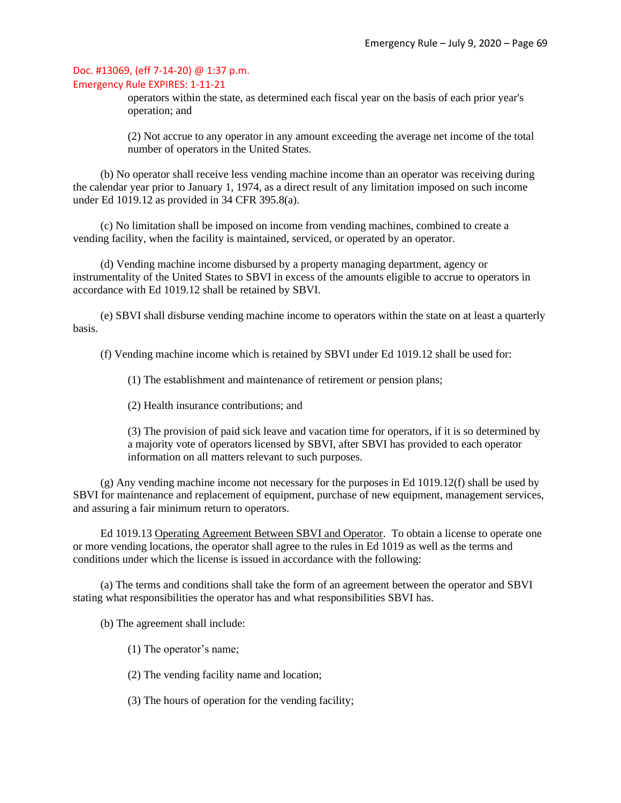operators within the state, as determined each fiscal year on the basis of each prior year's operation; and

(2) Not accrue to any operator in any amount exceeding the average net income of the total number of operators in the United States.

(b) No operator shall receive less vending machine income than an operator was receiving during the calendar year prior to January 1, 1974, as a direct result of any limitation imposed on such income under Ed 1019.12 as provided in 34 CFR 395.8(a).

(c) No limitation shall be imposed on income from vending machines, combined to create a vending facility, when the facility is maintained, serviced, or operated by an operator.

(d) Vending machine income disbursed by a property managing department, agency or instrumentality of the United States to SBVI in excess of the amounts eligible to accrue to operators in accordance with Ed 1019.12 shall be retained by SBVI.

(e) SBVI shall disburse vending machine income to operators within the state on at least a quarterly basis.

(f) Vending machine income which is retained by SBVI under Ed 1019.12 shall be used for:

(1) The establishment and maintenance of retirement or pension plans;

(2) Health insurance contributions; and

(3) The provision of paid sick leave and vacation time for operators, if it is so determined by a majority vote of operators licensed by SBVI, after SBVI has provided to each operator information on all matters relevant to such purposes.

(g) Any vending machine income not necessary for the purposes in Ed 1019.12(f) shall be used by SBVI for maintenance and replacement of equipment, purchase of new equipment, management services, and assuring a fair minimum return to operators.

Ed 1019.13 Operating Agreement Between SBVI and Operator. To obtain a license to operate one or more vending locations, the operator shall agree to the rules in Ed 1019 as well as the terms and conditions under which the license is issued in accordance with the following:

(a) The terms and conditions shall take the form of an agreement between the operator and SBVI stating what responsibilities the operator has and what responsibilities SBVI has.

(b) The agreement shall include:

- (1) The operator's name;
- (2) The vending facility name and location;
- (3) The hours of operation for the vending facility;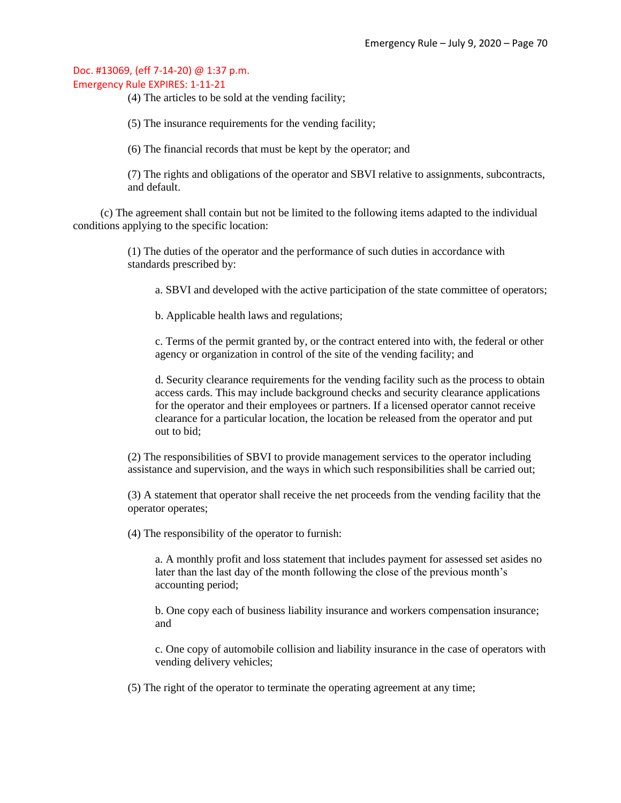Emergency Rule EXPIRES: 1-11-21

(4) The articles to be sold at the vending facility;

(5) The insurance requirements for the vending facility;

(6) The financial records that must be kept by the operator; and

(7) The rights and obligations of the operator and SBVI relative to assignments, subcontracts, and default.

(c) The agreement shall contain but not be limited to the following items adapted to the individual conditions applying to the specific location:

> (1) The duties of the operator and the performance of such duties in accordance with standards prescribed by:

a. SBVI and developed with the active participation of the state committee of operators;

b. Applicable health laws and regulations;

c. Terms of the permit granted by, or the contract entered into with, the federal or other agency or organization in control of the site of the vending facility; and

d. Security clearance requirements for the vending facility such as the process to obtain access cards. This may include background checks and security clearance applications for the operator and their employees or partners. If a licensed operator cannot receive clearance for a particular location, the location be released from the operator and put out to bid;

(2) The responsibilities of SBVI to provide management services to the operator including assistance and supervision, and the ways in which such responsibilities shall be carried out;

(3) A statement that operator shall receive the net proceeds from the vending facility that the operator operates;

(4) The responsibility of the operator to furnish:

a. A monthly profit and loss statement that includes payment for assessed set asides no later than the last day of the month following the close of the previous month's accounting period;

b. One copy each of business liability insurance and workers compensation insurance; and

c. One copy of automobile collision and liability insurance in the case of operators with vending delivery vehicles;

(5) The right of the operator to terminate the operating agreement at any time;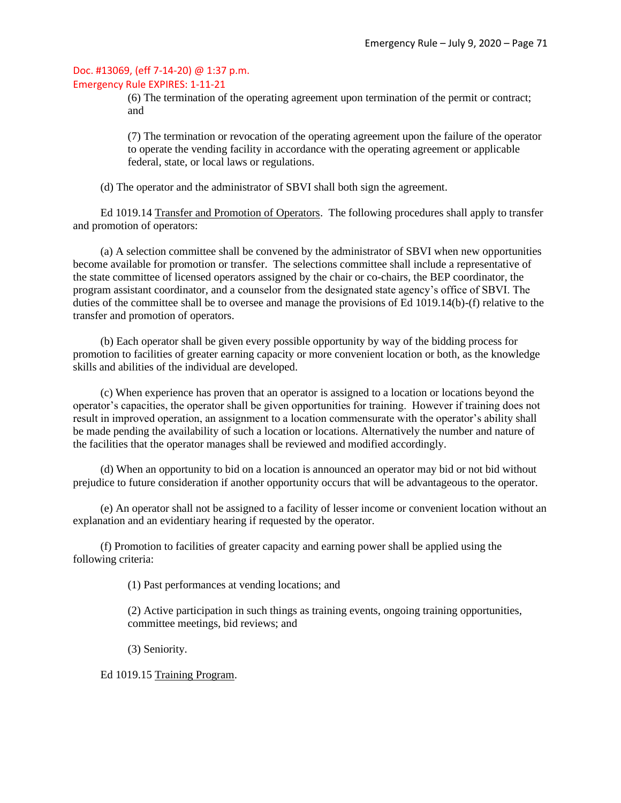(6) The termination of the operating agreement upon termination of the permit or contract; and

(7) The termination or revocation of the operating agreement upon the failure of the operator to operate the vending facility in accordance with the operating agreement or applicable federal, state, or local laws or regulations.

(d) The operator and the administrator of SBVI shall both sign the agreement.

Ed 1019.14 Transfer and Promotion of Operators. The following procedures shall apply to transfer and promotion of operators:

(a) A selection committee shall be convened by the administrator of SBVI when new opportunities become available for promotion or transfer. The selections committee shall include a representative of the state committee of licensed operators assigned by the chair or co-chairs, the BEP coordinator, the program assistant coordinator, and a counselor from the designated state agency's office of SBVI. The duties of the committee shall be to oversee and manage the provisions of Ed 1019.14(b)-(f) relative to the transfer and promotion of operators.

(b) Each operator shall be given every possible opportunity by way of the bidding process for promotion to facilities of greater earning capacity or more convenient location or both, as the knowledge skills and abilities of the individual are developed.

(c) When experience has proven that an operator is assigned to a location or locations beyond the operator's capacities, the operator shall be given opportunities for training. However if training does not result in improved operation, an assignment to a location commensurate with the operator's ability shall be made pending the availability of such a location or locations. Alternatively the number and nature of the facilities that the operator manages shall be reviewed and modified accordingly.

(d) When an opportunity to bid on a location is announced an operator may bid or not bid without prejudice to future consideration if another opportunity occurs that will be advantageous to the operator.

(e) An operator shall not be assigned to a facility of lesser income or convenient location without an explanation and an evidentiary hearing if requested by the operator.

(f) Promotion to facilities of greater capacity and earning power shall be applied using the following criteria:

(1) Past performances at vending locations; and

(2) Active participation in such things as training events, ongoing training opportunities, committee meetings, bid reviews; and

(3) Seniority.

Ed 1019.15 Training Program.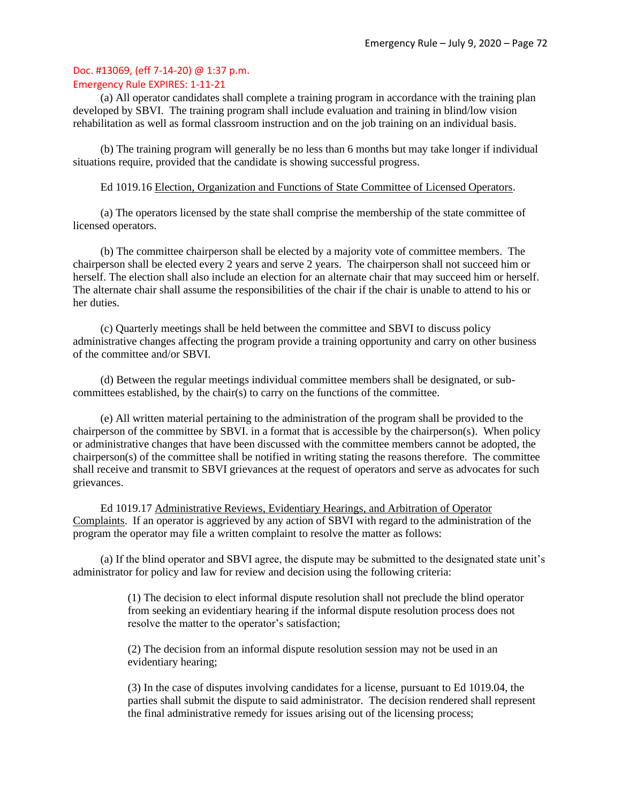(a) All operator candidates shall complete a training program in accordance with the training plan developed by SBVI. The training program shall include evaluation and training in blind/low vision rehabilitation as well as formal classroom instruction and on the job training on an individual basis.

(b) The training program will generally be no less than 6 months but may take longer if individual situations require, provided that the candidate is showing successful progress.

#### Ed 1019.16 Election, Organization and Functions of State Committee of Licensed Operators.

(a) The operators licensed by the state shall comprise the membership of the state committee of licensed operators.

(b) The committee chairperson shall be elected by a majority vote of committee members. The chairperson shall be elected every 2 years and serve 2 years. The chairperson shall not succeed him or herself. The election shall also include an election for an alternate chair that may succeed him or herself. The alternate chair shall assume the responsibilities of the chair if the chair is unable to attend to his or her duties.

(c) Quarterly meetings shall be held between the committee and SBVI to discuss policy administrative changes affecting the program provide a training opportunity and carry on other business of the committee and/or SBVI.

(d) Between the regular meetings individual committee members shall be designated, or subcommittees established, by the chair(s) to carry on the functions of the committee.

(e) All written material pertaining to the administration of the program shall be provided to the chairperson of the committee by SBVI. in a format that is accessible by the chairperson(s). When policy or administrative changes that have been discussed with the committee members cannot be adopted, the chairperson(s) of the committee shall be notified in writing stating the reasons therefore. The committee shall receive and transmit to SBVI grievances at the request of operators and serve as advocates for such grievances.

Ed 1019.17 Administrative Reviews, Evidentiary Hearings, and Arbitration of Operator Complaints. If an operator is aggrieved by any action of SBVI with regard to the administration of the program the operator may file a written complaint to resolve the matter as follows:

(a) If the blind operator and SBVI agree, the dispute may be submitted to the designated state unit's administrator for policy and law for review and decision using the following criteria:

> (1) The decision to elect informal dispute resolution shall not preclude the blind operator from seeking an evidentiary hearing if the informal dispute resolution process does not resolve the matter to the operator's satisfaction;

(2) The decision from an informal dispute resolution session may not be used in an evidentiary hearing;

(3) In the case of disputes involving candidates for a license, pursuant to Ed 1019.04, the parties shall submit the dispute to said administrator. The decision rendered shall represent the final administrative remedy for issues arising out of the licensing process;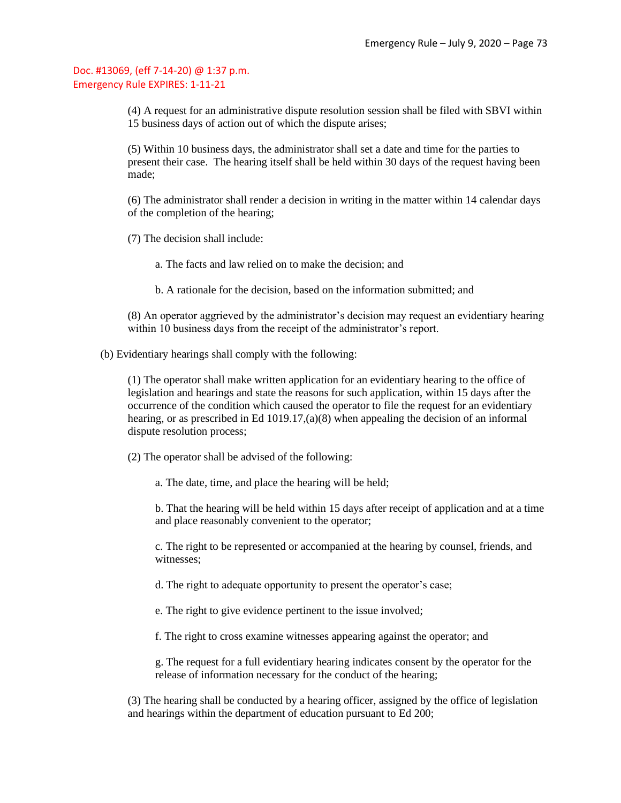(4) A request for an administrative dispute resolution session shall be filed with SBVI within 15 business days of action out of which the dispute arises;

(5) Within 10 business days, the administrator shall set a date and time for the parties to present their case. The hearing itself shall be held within 30 days of the request having been made;

(6) The administrator shall render a decision in writing in the matter within 14 calendar days of the completion of the hearing;

(7) The decision shall include:

a. The facts and law relied on to make the decision; and

b. A rationale for the decision, based on the information submitted; and

(8) An operator aggrieved by the administrator's decision may request an evidentiary hearing within 10 business days from the receipt of the administrator's report.

(b) Evidentiary hearings shall comply with the following:

(1) The operator shall make written application for an evidentiary hearing to the office of legislation and hearings and state the reasons for such application, within 15 days after the occurrence of the condition which caused the operator to file the request for an evidentiary hearing, or as prescribed in Ed 1019.17,(a)(8) when appealing the decision of an informal dispute resolution process;

(2) The operator shall be advised of the following:

a. The date, time, and place the hearing will be held;

b. That the hearing will be held within 15 days after receipt of application and at a time and place reasonably convenient to the operator;

c. The right to be represented or accompanied at the hearing by counsel, friends, and witnesses;

d. The right to adequate opportunity to present the operator's case;

e. The right to give evidence pertinent to the issue involved;

f. The right to cross examine witnesses appearing against the operator; and

g. The request for a full evidentiary hearing indicates consent by the operator for the release of information necessary for the conduct of the hearing;

(3) The hearing shall be conducted by a hearing officer, assigned by the office of legislation and hearings within the department of education pursuant to Ed 200;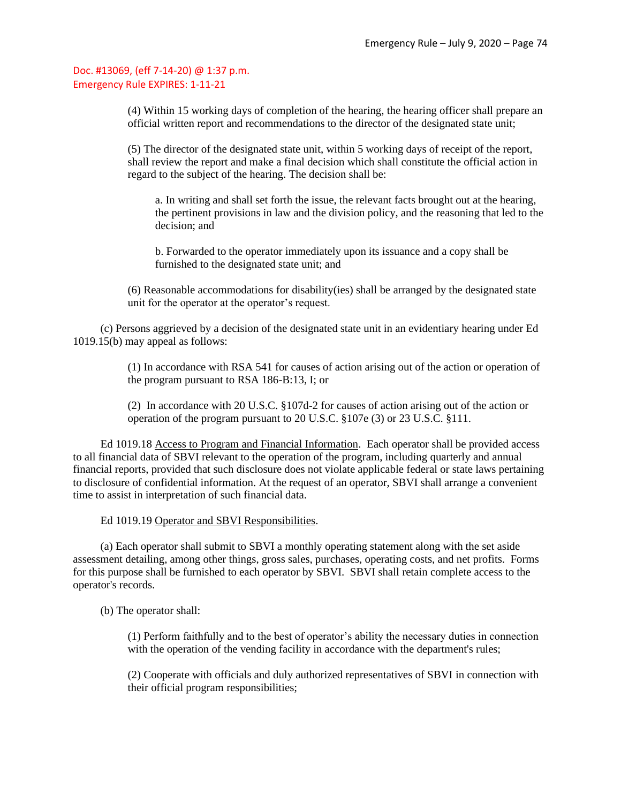> (4) Within 15 working days of completion of the hearing, the hearing officer shall prepare an official written report and recommendations to the director of the designated state unit;

(5) The director of the designated state unit, within 5 working days of receipt of the report, shall review the report and make a final decision which shall constitute the official action in regard to the subject of the hearing. The decision shall be:

a. In writing and shall set forth the issue, the relevant facts brought out at the hearing, the pertinent provisions in law and the division policy, and the reasoning that led to the decision; and

b. Forwarded to the operator immediately upon its issuance and a copy shall be furnished to the designated state unit; and

(6) Reasonable accommodations for disability(ies) shall be arranged by the designated state unit for the operator at the operator's request.

(c) Persons aggrieved by a decision of the designated state unit in an evidentiary hearing under Ed 1019.15(b) may appeal as follows:

> (1) In accordance with RSA 541 for causes of action arising out of the action or operation of the program pursuant to RSA 186-B:13, I; or

(2) In accordance with 20 U.S.C. §107d-2 for causes of action arising out of the action or operation of the program pursuant to 20 U.S.C. §107e (3) or 23 U.S.C. §111.

Ed 1019.18 Access to Program and Financial Information. Each operator shall be provided access to all financial data of SBVI relevant to the operation of the program, including quarterly and annual financial reports, provided that such disclosure does not violate applicable federal or state laws pertaining to disclosure of confidential information. At the request of an operator, SBVI shall arrange a convenient time to assist in interpretation of such financial data.

Ed 1019.19 Operator and SBVI Responsibilities.

(a) Each operator shall submit to SBVI a monthly operating statement along with the set aside assessment detailing, among other things, gross sales, purchases, operating costs, and net profits. Forms for this purpose shall be furnished to each operator by SBVI. SBVI shall retain complete access to the operator's records.

(b) The operator shall:

(1) Perform faithfully and to the best of operator's ability the necessary duties in connection with the operation of the vending facility in accordance with the department's rules;

(2) Cooperate with officials and duly authorized representatives of SBVI in connection with their official program responsibilities;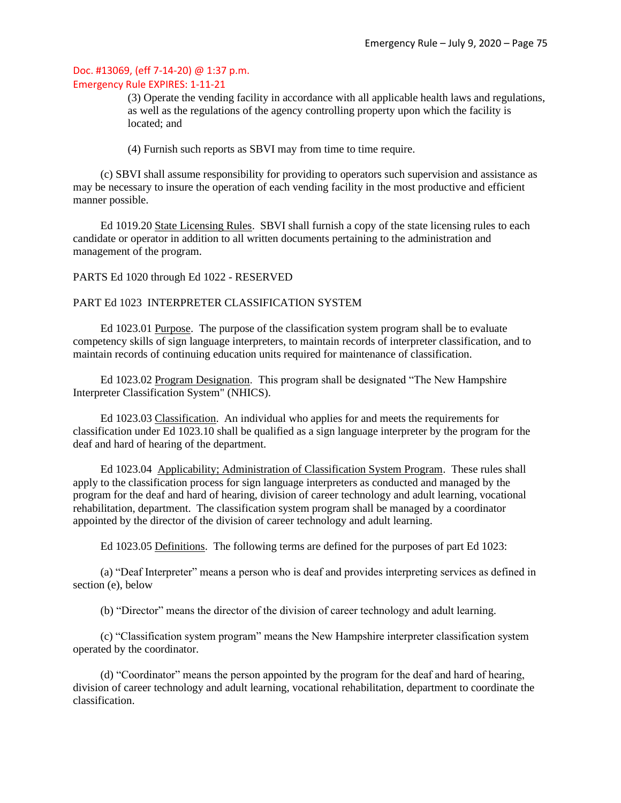(3) Operate the vending facility in accordance with all applicable health laws and regulations, as well as the regulations of the agency controlling property upon which the facility is located; and

(4) Furnish such reports as SBVI may from time to time require.

(c) SBVI shall assume responsibility for providing to operators such supervision and assistance as may be necessary to insure the operation of each vending facility in the most productive and efficient manner possible.

Ed 1019.20 State Licensing Rules. SBVI shall furnish a copy of the state licensing rules to each candidate or operator in addition to all written documents pertaining to the administration and management of the program.

## PARTS Ed 1020 through Ed 1022 - RESERVED

## PART Ed 1023 INTERPRETER CLASSIFICATION SYSTEM

Ed 1023.01 Purpose. The purpose of the classification system program shall be to evaluate competency skills of sign language interpreters, to maintain records of interpreter classification, and to maintain records of continuing education units required for maintenance of classification.

Ed 1023.02 Program Designation. This program shall be designated "The New Hampshire Interpreter Classification System" (NHICS).

Ed 1023.03 Classification. An individual who applies for and meets the requirements for classification under Ed 1023.10 shall be qualified as a sign language interpreter by the program for the deaf and hard of hearing of the department.

Ed 1023.04 Applicability; Administration of Classification System Program. These rules shall apply to the classification process for sign language interpreters as conducted and managed by the program for the deaf and hard of hearing, division of career technology and adult learning, vocational rehabilitation, department. The classification system program shall be managed by a coordinator appointed by the director of the division of career technology and adult learning.

Ed 1023.05 Definitions. The following terms are defined for the purposes of part Ed 1023:

(a) "Deaf Interpreter" means a person who is deaf and provides interpreting services as defined in section (e), below

(b) "Director" means the director of the division of career technology and adult learning.

(c) "Classification system program" means the New Hampshire interpreter classification system operated by the coordinator.

(d) "Coordinator" means the person appointed by the program for the deaf and hard of hearing, division of career technology and adult learning, vocational rehabilitation, department to coordinate the classification.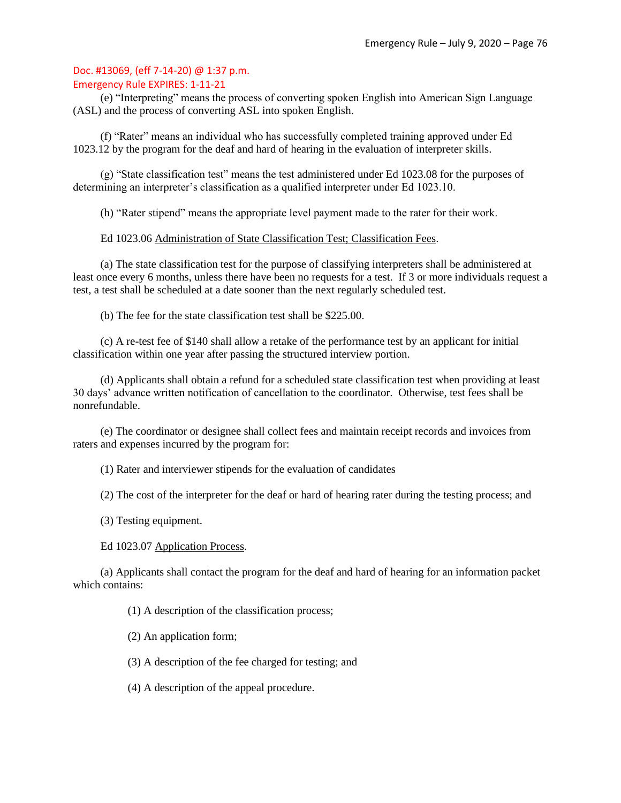## Emergency Rule EXPIRES: 1-11-21

(e) "Interpreting" means the process of converting spoken English into American Sign Language (ASL) and the process of converting ASL into spoken English.

(f) "Rater" means an individual who has successfully completed training approved under Ed 1023.12 by the program for the deaf and hard of hearing in the evaluation of interpreter skills.

(g) "State classification test" means the test administered under Ed 1023.08 for the purposes of determining an interpreter's classification as a qualified interpreter under Ed 1023.10.

(h) "Rater stipend" means the appropriate level payment made to the rater for their work.

#### Ed 1023.06 Administration of State Classification Test; Classification Fees.

(a) The state classification test for the purpose of classifying interpreters shall be administered at least once every 6 months, unless there have been no requests for a test. If 3 or more individuals request a test, a test shall be scheduled at a date sooner than the next regularly scheduled test.

(b) The fee for the state classification test shall be \$225.00.

(c) A re-test fee of \$140 shall allow a retake of the performance test by an applicant for initial classification within one year after passing the structured interview portion.

(d) Applicants shall obtain a refund for a scheduled state classification test when providing at least 30 days' advance written notification of cancellation to the coordinator. Otherwise, test fees shall be nonrefundable.

(e) The coordinator or designee shall collect fees and maintain receipt records and invoices from raters and expenses incurred by the program for:

(1) Rater and interviewer stipends for the evaluation of candidates

(2) The cost of the interpreter for the deaf or hard of hearing rater during the testing process; and

(3) Testing equipment.

Ed 1023.07 Application Process.

(a) Applicants shall contact the program for the deaf and hard of hearing for an information packet which contains:

(1) A description of the classification process;

(2) An application form;

(3) A description of the fee charged for testing; and

(4) A description of the appeal procedure.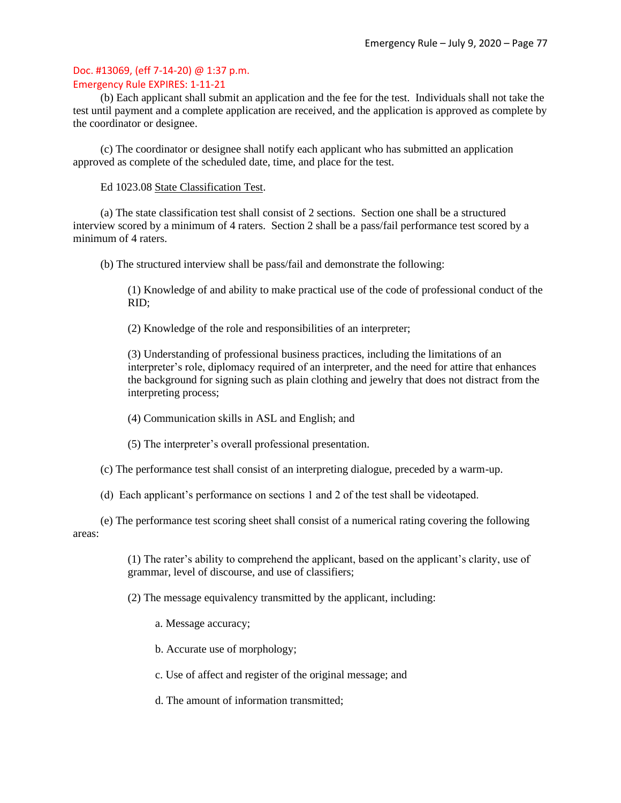(b) Each applicant shall submit an application and the fee for the test. Individuals shall not take the test until payment and a complete application are received, and the application is approved as complete by the coordinator or designee.

(c) The coordinator or designee shall notify each applicant who has submitted an application approved as complete of the scheduled date, time, and place for the test.

Ed 1023.08 State Classification Test.

(a) The state classification test shall consist of 2 sections. Section one shall be a structured interview scored by a minimum of 4 raters. Section 2 shall be a pass/fail performance test scored by a minimum of 4 raters.

(b) The structured interview shall be pass/fail and demonstrate the following:

(1) Knowledge of and ability to make practical use of the code of professional conduct of the RID;

(2) Knowledge of the role and responsibilities of an interpreter;

(3) Understanding of professional business practices, including the limitations of an interpreter's role, diplomacy required of an interpreter, and the need for attire that enhances the background for signing such as plain clothing and jewelry that does not distract from the interpreting process;

(4) Communication skills in ASL and English; and

(5) The interpreter's overall professional presentation.

(c) The performance test shall consist of an interpreting dialogue, preceded by a warm-up.

(d) Each applicant's performance on sections 1 and 2 of the test shall be videotaped.

(e) The performance test scoring sheet shall consist of a numerical rating covering the following areas:

> (1) The rater's ability to comprehend the applicant, based on the applicant's clarity, use of grammar, level of discourse, and use of classifiers;

(2) The message equivalency transmitted by the applicant, including:

a. Message accuracy;

b. Accurate use of morphology;

c. Use of affect and register of the original message; and

d. The amount of information transmitted;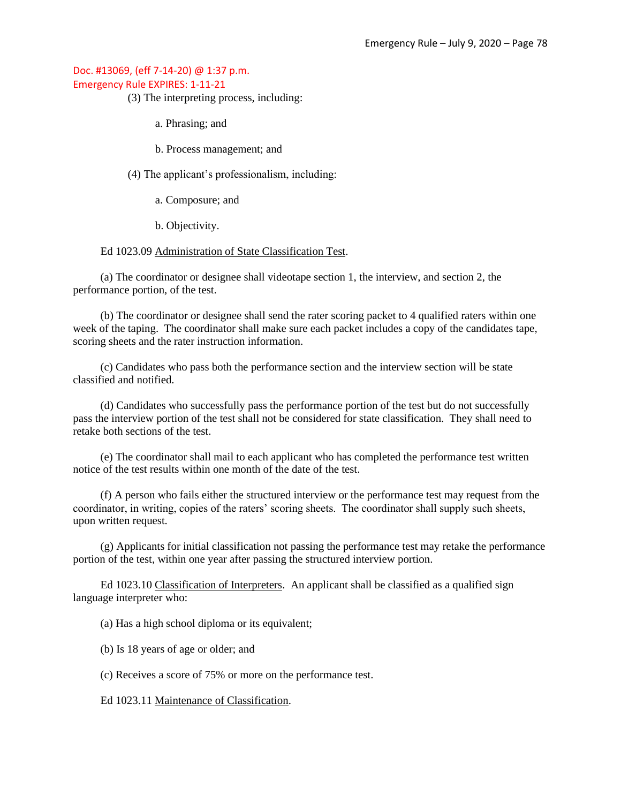(3) The interpreting process, including:

a. Phrasing; and

b. Process management; and

(4) The applicant's professionalism, including:

a. Composure; and

b. Objectivity.

Ed 1023.09 Administration of State Classification Test.

(a) The coordinator or designee shall videotape section 1, the interview, and section 2, the performance portion, of the test.

(b) The coordinator or designee shall send the rater scoring packet to 4 qualified raters within one week of the taping. The coordinator shall make sure each packet includes a copy of the candidates tape, scoring sheets and the rater instruction information.

(c) Candidates who pass both the performance section and the interview section will be state classified and notified.

(d) Candidates who successfully pass the performance portion of the test but do not successfully pass the interview portion of the test shall not be considered for state classification. They shall need to retake both sections of the test.

(e) The coordinator shall mail to each applicant who has completed the performance test written notice of the test results within one month of the date of the test.

(f) A person who fails either the structured interview or the performance test may request from the coordinator, in writing, copies of the raters' scoring sheets. The coordinator shall supply such sheets, upon written request.

(g) Applicants for initial classification not passing the performance test may retake the performance portion of the test, within one year after passing the structured interview portion.

Ed 1023.10 Classification of Interpreters. An applicant shall be classified as a qualified sign language interpreter who:

(a) Has a high school diploma or its equivalent;

(b) Is 18 years of age or older; and

(c) Receives a score of 75% or more on the performance test.

Ed 1023.11 Maintenance of Classification.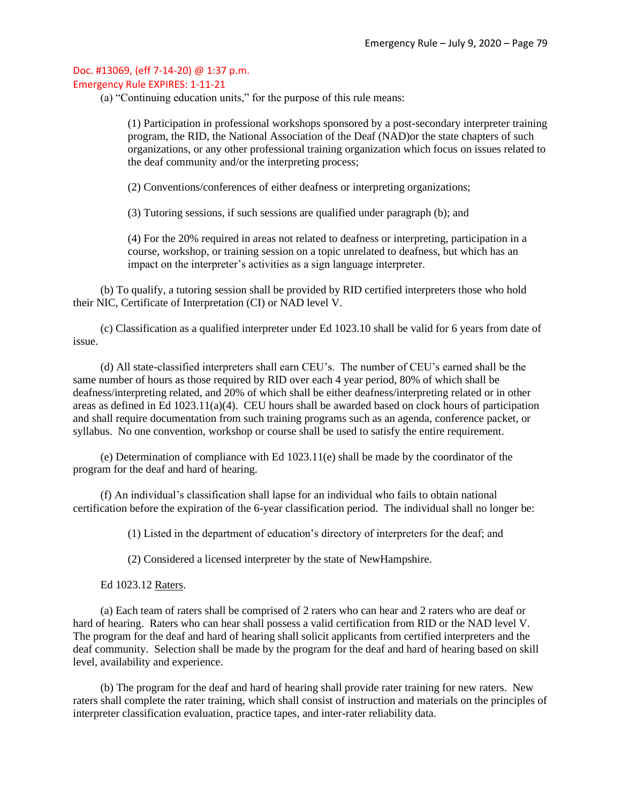#### Emergency Rule EXPIRES: 1-11-21

(a) "Continuing education units," for the purpose of this rule means:

(1) Participation in professional workshops sponsored by a post-secondary interpreter training program, the RID, the National Association of the Deaf (NAD)or the state chapters of such organizations, or any other professional training organization which focus on issues related to the deaf community and/or the interpreting process;

(2) Conventions/conferences of either deafness or interpreting organizations;

(3) Tutoring sessions, if such sessions are qualified under paragraph (b); and

(4) For the 20% required in areas not related to deafness or interpreting, participation in a course, workshop, or training session on a topic unrelated to deafness, but which has an impact on the interpreter's activities as a sign language interpreter.

(b) To qualify, a tutoring session shall be provided by RID certified interpreters those who hold their NIC, Certificate of Interpretation (CI) or NAD level V.

(c) Classification as a qualified interpreter under Ed 1023.10 shall be valid for 6 years from date of issue.

(d) All state-classified interpreters shall earn CEU's. The number of CEU's earned shall be the same number of hours as those required by RID over each 4 year period, 80% of which shall be deafness/interpreting related, and 20% of which shall be either deafness/interpreting related or in other areas as defined in Ed 1023.11(a)(4). CEU hours shall be awarded based on clock hours of participation and shall require documentation from such training programs such as an agenda, conference packet, or syllabus. No one convention, workshop or course shall be used to satisfy the entire requirement.

(e) Determination of compliance with Ed 1023.11(e) shall be made by the coordinator of the program for the deaf and hard of hearing.

(f) An individual's classification shall lapse for an individual who fails to obtain national certification before the expiration of the 6-year classification period. The individual shall no longer be:

(1) Listed in the department of education's directory of interpreters for the deaf; and

(2) Considered a licensed interpreter by the state of NewHampshire.

Ed 1023.12 Raters.

(a) Each team of raters shall be comprised of 2 raters who can hear and 2 raters who are deaf or hard of hearing. Raters who can hear shall possess a valid certification from RID or the NAD level V. The program for the deaf and hard of hearing shall solicit applicants from certified interpreters and the deaf community. Selection shall be made by the program for the deaf and hard of hearing based on skill level, availability and experience.

(b) The program for the deaf and hard of hearing shall provide rater training for new raters. New raters shall complete the rater training, which shall consist of instruction and materials on the principles of interpreter classification evaluation, practice tapes, and inter-rater reliability data.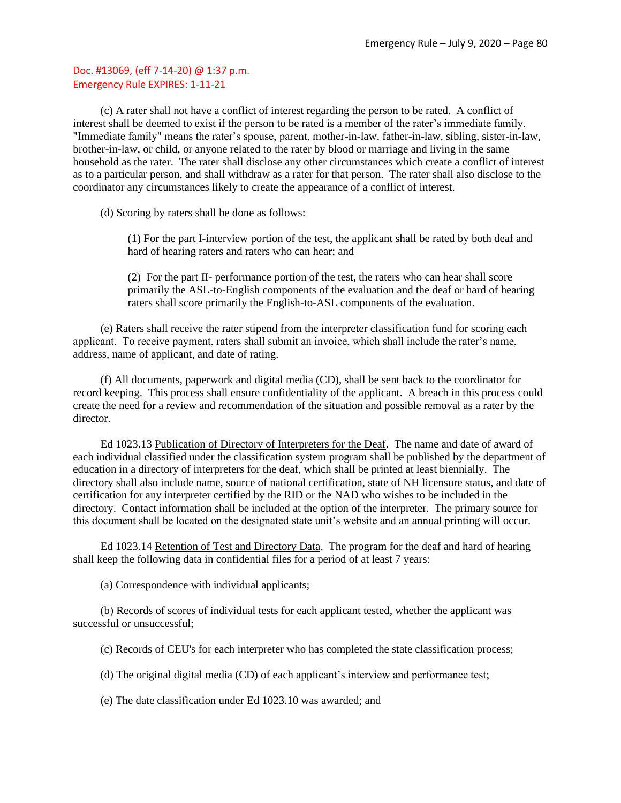(c) A rater shall not have a conflict of interest regarding the person to be rated. A conflict of interest shall be deemed to exist if the person to be rated is a member of the rater's immediate family. "Immediate family" means the rater's spouse, parent, mother-in-law, father-in-law, sibling, sister-in-law, brother-in-law, or child, or anyone related to the rater by blood or marriage and living in the same household as the rater. The rater shall disclose any other circumstances which create a conflict of interest as to a particular person, and shall withdraw as a rater for that person. The rater shall also disclose to the coordinator any circumstances likely to create the appearance of a conflict of interest.

(d) Scoring by raters shall be done as follows:

(1) For the part I-interview portion of the test, the applicant shall be rated by both deaf and hard of hearing raters and raters who can hear; and

(2) For the part II- performance portion of the test, the raters who can hear shall score primarily the ASL-to-English components of the evaluation and the deaf or hard of hearing raters shall score primarily the English-to-ASL components of the evaluation.

(e) Raters shall receive the rater stipend from the interpreter classification fund for scoring each applicant. To receive payment, raters shall submit an invoice, which shall include the rater's name, address, name of applicant, and date of rating.

(f) All documents, paperwork and digital media (CD), shall be sent back to the coordinator for record keeping. This process shall ensure confidentiality of the applicant. A breach in this process could create the need for a review and recommendation of the situation and possible removal as a rater by the director.

Ed 1023.13 Publication of Directory of Interpreters for the Deaf. The name and date of award of each individual classified under the classification system program shall be published by the department of education in a directory of interpreters for the deaf, which shall be printed at least biennially. The directory shall also include name, source of national certification, state of NH licensure status, and date of certification for any interpreter certified by the RID or the NAD who wishes to be included in the directory. Contact information shall be included at the option of the interpreter. The primary source for this document shall be located on the designated state unit's website and an annual printing will occur.

Ed 1023.14 Retention of Test and Directory Data. The program for the deaf and hard of hearing shall keep the following data in confidential files for a period of at least 7 years:

(a) Correspondence with individual applicants;

(b) Records of scores of individual tests for each applicant tested, whether the applicant was successful or unsuccessful;

(c) Records of CEU's for each interpreter who has completed the state classification process;

(d) The original digital media (CD) of each applicant's interview and performance test;

(e) The date classification under Ed 1023.10 was awarded; and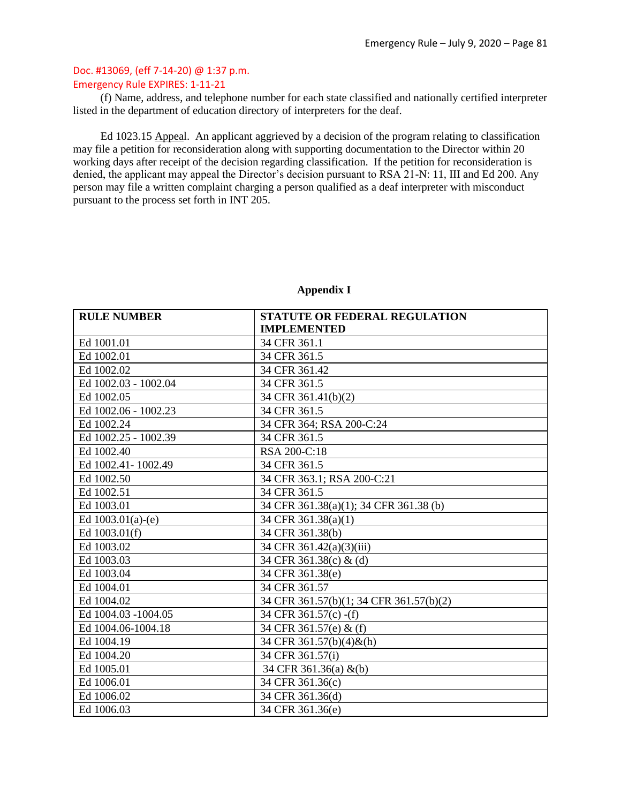## Emergency Rule EXPIRES: 1-11-21

(f) Name, address, and telephone number for each state classified and nationally certified interpreter listed in the department of education directory of interpreters for the deaf.

Ed 1023.15 Appeal. An applicant aggrieved by a decision of the program relating to classification may file a petition for reconsideration along with supporting documentation to the Director within 20 working days after receipt of the decision regarding classification. If the petition for reconsideration is denied, the applicant may appeal the Director's decision pursuant to RSA 21-N: 11, III and Ed 200. Any person may file a written complaint charging a person qualified as a deaf interpreter with misconduct pursuant to the process set forth in INT 205.

| <b>RULE NUMBER</b>   | STATUTE OR FEDERAL REGULATION           |
|----------------------|-----------------------------------------|
|                      | <b>IMPLEMENTED</b>                      |
| Ed 1001.01           | 34 CFR 361.1                            |
| Ed 1002.01           | 34 CFR 361.5                            |
| Ed 1002.02           | 34 CFR 361.42                           |
| Ed 1002.03 - 1002.04 | 34 CFR 361.5                            |
| Ed 1002.05           | 34 CFR 361.41(b)(2)                     |
| Ed 1002.06 - 1002.23 | 34 CFR 361.5                            |
| Ed 1002.24           | 34 CFR 364; RSA 200-C:24                |
| Ed 1002.25 - 1002.39 | 34 CFR 361.5                            |
| Ed 1002.40           | RSA 200-C:18                            |
| Ed 1002.41-1002.49   | 34 CFR 361.5                            |
| Ed 1002.50           | 34 CFR 363.1; RSA 200-C:21              |
| Ed 1002.51           | 34 CFR 361.5                            |
| Ed 1003.01           | 34 CFR 361.38(a)(1); 34 CFR 361.38 (b)  |
| Ed $1003.01(a)-(e)$  | 34 CFR 361.38(a)(1)                     |
| Ed 1003.01(f)        | 34 CFR 361.38(b)                        |
| Ed 1003.02           | 34 CFR 361.42(a)(3)(iii)                |
| Ed 1003.03           | 34 CFR 361.38(c) & (d)                  |
| Ed 1003.04           | 34 CFR 361.38(e)                        |
| Ed 1004.01           | 34 CFR 361.57                           |
| Ed 1004.02           | 34 CFR 361.57(b)(1; 34 CFR 361.57(b)(2) |
| Ed 1004.03 -1004.05  | 34 CFR 361.57(c) -(f)                   |
| Ed 1004.06-1004.18   | 34 CFR 361.57(e) & (f)                  |
| Ed 1004.19           | 34 CFR 361.57(b)(4) & (h)               |
| Ed 1004.20           | 34 CFR 361.57(i)                        |
| Ed 1005.01           | 34 CFR 361.36(a) &(b)                   |
| Ed 1006.01           | 34 CFR 361.36(c)                        |
| Ed 1006.02           | 34 CFR 361.36(d)                        |
| Ed 1006.03           | 34 CFR 361.36(e)                        |

## **Appendix I**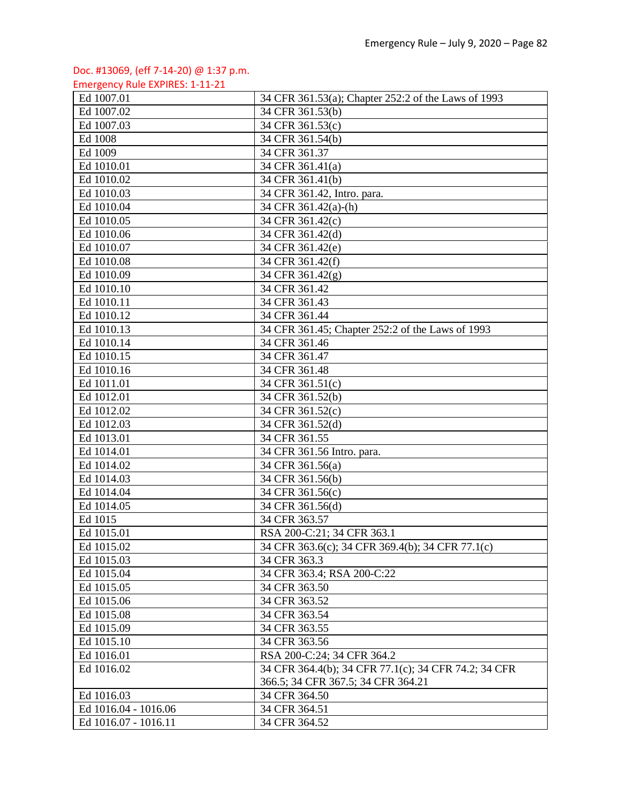Emergency Rule EXPIRES: 1-11-21

| Ed 1007.01           | 34 CFR 361.53(a); Chapter 252:2 of the Laws of 1993  |
|----------------------|------------------------------------------------------|
| Ed 1007.02           | 34 CFR 361.53(b)                                     |
| Ed 1007.03           | 34 CFR 361.53(c)                                     |
| Ed 1008              | 34 CFR 361.54(b)                                     |
| Ed 1009              | 34 CFR 361.37                                        |
| Ed 1010.01           | 34 CFR 361.41(a)                                     |
| Ed 1010.02           | 34 CFR 361.41(b)                                     |
| Ed 1010.03           | 34 CFR 361.42, Intro. para.                          |
| Ed 1010.04           | 34 CFR 361.42(a)-(h)                                 |
| Ed 1010.05           | 34 CFR 361.42(c)                                     |
| Ed 1010.06           | 34 CFR 361.42(d)                                     |
| Ed 1010.07           | 34 CFR 361.42(e)                                     |
| Ed 1010.08           | 34 CFR 361.42(f)                                     |
| Ed 1010.09           | 34 CFR 361.42(g)                                     |
| Ed 1010.10           | 34 CFR 361.42                                        |
| Ed 1010.11           | 34 CFR 361.43                                        |
| Ed 1010.12           | 34 CFR 361.44                                        |
| Ed 1010.13           | 34 CFR 361.45; Chapter 252:2 of the Laws of 1993     |
| Ed 1010.14           | 34 CFR 361.46                                        |
| Ed 1010.15           | 34 CFR 361.47                                        |
| Ed 1010.16           | 34 CFR 361.48                                        |
| Ed 1011.01           | 34 CFR 361.51(c)                                     |
| Ed 1012.01           | 34 CFR 361.52(b)                                     |
| Ed 1012.02           | 34 CFR 361.52(c)                                     |
| Ed 1012.03           | 34 CFR 361.52(d)                                     |
| Ed 1013.01           | 34 CFR 361.55                                        |
| Ed 1014.01           | 34 CFR 361.56 Intro. para.                           |
| Ed 1014.02           | 34 CFR 361.56(a)                                     |
| Ed 1014.03           | 34 CFR 361.56(b)                                     |
| Ed 1014.04           | 34 CFR 361.56(c)                                     |
| Ed 1014.05           | 34 CFR 361.56(d)                                     |
| Ed 1015              | 34 CFR 363.57                                        |
| Ed 1015.01           | RSA 200-C:21; 34 CFR 363.1                           |
| Ed 1015.02           | 34 CFR 363.6(c); 34 CFR 369.4(b); 34 CFR 77.1(c)     |
| Ed 1015.03           | 34 CFR 363.3                                         |
| Ed 1015.04           | 34 CFR 363.4; RSA 200-C:22                           |
| Ed 1015.05           | 34 CFR 363.50                                        |
| Ed 1015.06           | 34 CFR 363.52                                        |
| Ed 1015.08           | 34 CFR 363.54                                        |
| Ed 1015.09           | 34 CFR 363.55                                        |
| Ed 1015.10           | 34 CFR 363.56                                        |
| Ed 1016.01           | RSA 200-C:24; 34 CFR 364.2                           |
| Ed 1016.02           | 34 CFR 364.4(b); 34 CFR 77.1(c); 34 CFR 74.2; 34 CFR |
|                      | 366.5; 34 CFR 367.5; 34 CFR 364.21                   |
| Ed 1016.03           | 34 CFR 364.50                                        |
| Ed 1016.04 - 1016.06 | 34 CFR 364.51                                        |
| Ed 1016.07 - 1016.11 | 34 CFR 364.52                                        |